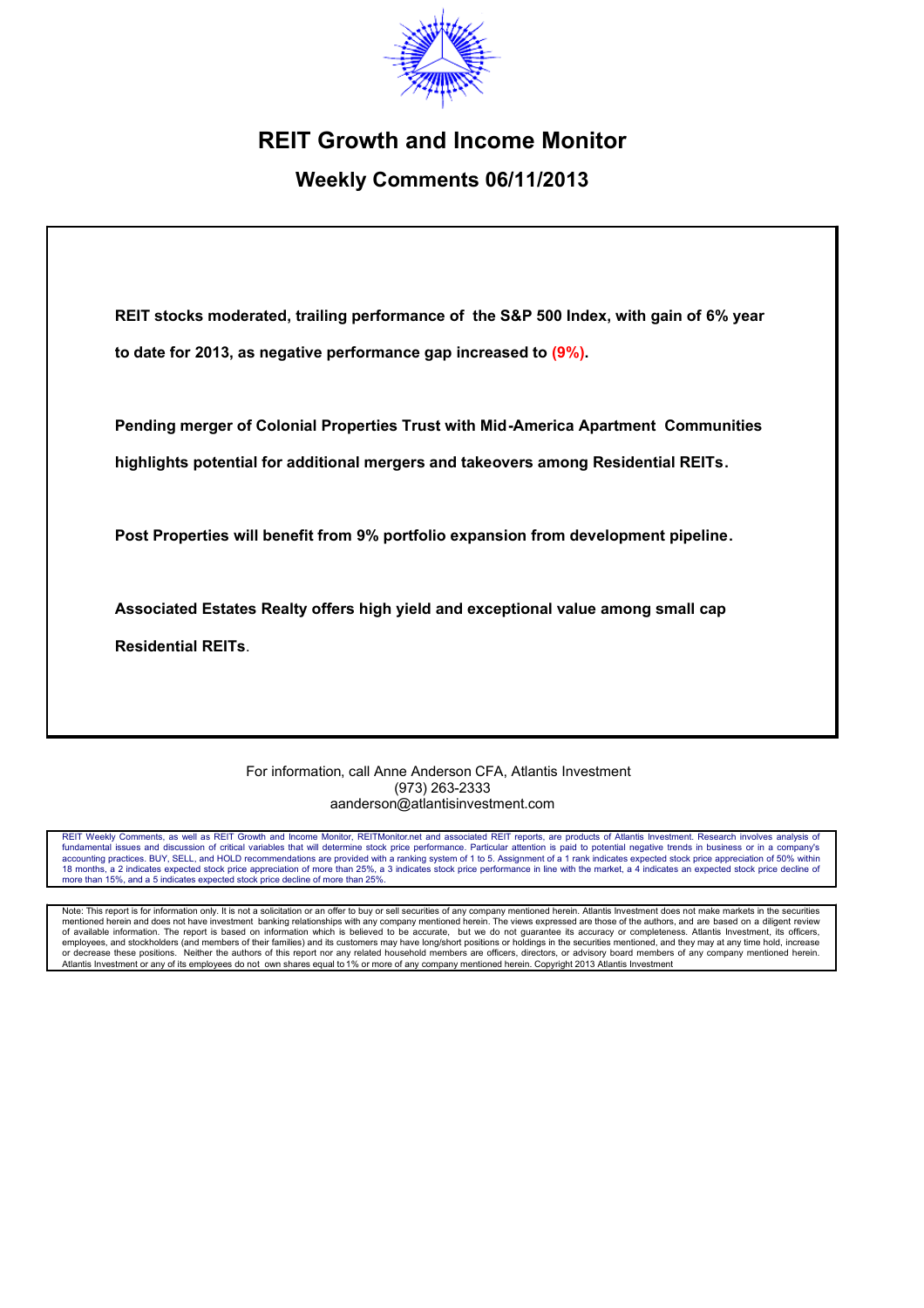

# **REIT Growth and Income Monitor**

# **Weekly Comments 06/11/2013**

**REIT stocks moderated, trailing performance of the S&P 500 Index, with gain of 6% year to date for 2013, as negative performance gap increased to (9%).**

**Pending merger of Colonial Properties Trust with Mid-America Apartment Communities highlights potential for additional mergers and takeovers among Residential REITs.**

**Post Properties will benefit from 9% portfolio expansion from development pipeline.**

**Associated Estates Realty offers high yield and exceptional value among small cap** 

**Residential REITs**.

For information, call Anne Anderson CFA, Atlantis Investment (973) 263-2333 aanderson@atlantisinvestment.com

REIT Weekly Comments, as well as REIT Growth and Income Monitor, REITMonitor.net and associated REIT reports, are products of Atlantis Investment. Research involves analysis of fundamental issues and discussion of critical variables that will determine stock price performance. Particular attention is paid to potential negative trends in business or in a company's<br>accounting practices. BUY, SELL, 18 months, a 2 indicates expected stock price appreciation of more than 25%, a 3 indicates stock price performance in line with the market, a 4 indicates an expected stock price decline of more than 15%, and a 5 indicates expected stock price decline of more than 25%

Note: This report is for information only. It is not a solicitation or an offer to buy or sell securities of any company mentioned herein. Atlantis Investment does not make markets in the securities mentioned herein and does not have investment banking relationships with any company mentioned herein. The views expressed are those of the authors, and are based on a diligent review<br>of available information. The report i or decrease these positions. Neither the authors of this report nor any related household members are officers, directors, or advisory board members of any company mentioned herein.<br>Atlantis Investment or any of its employ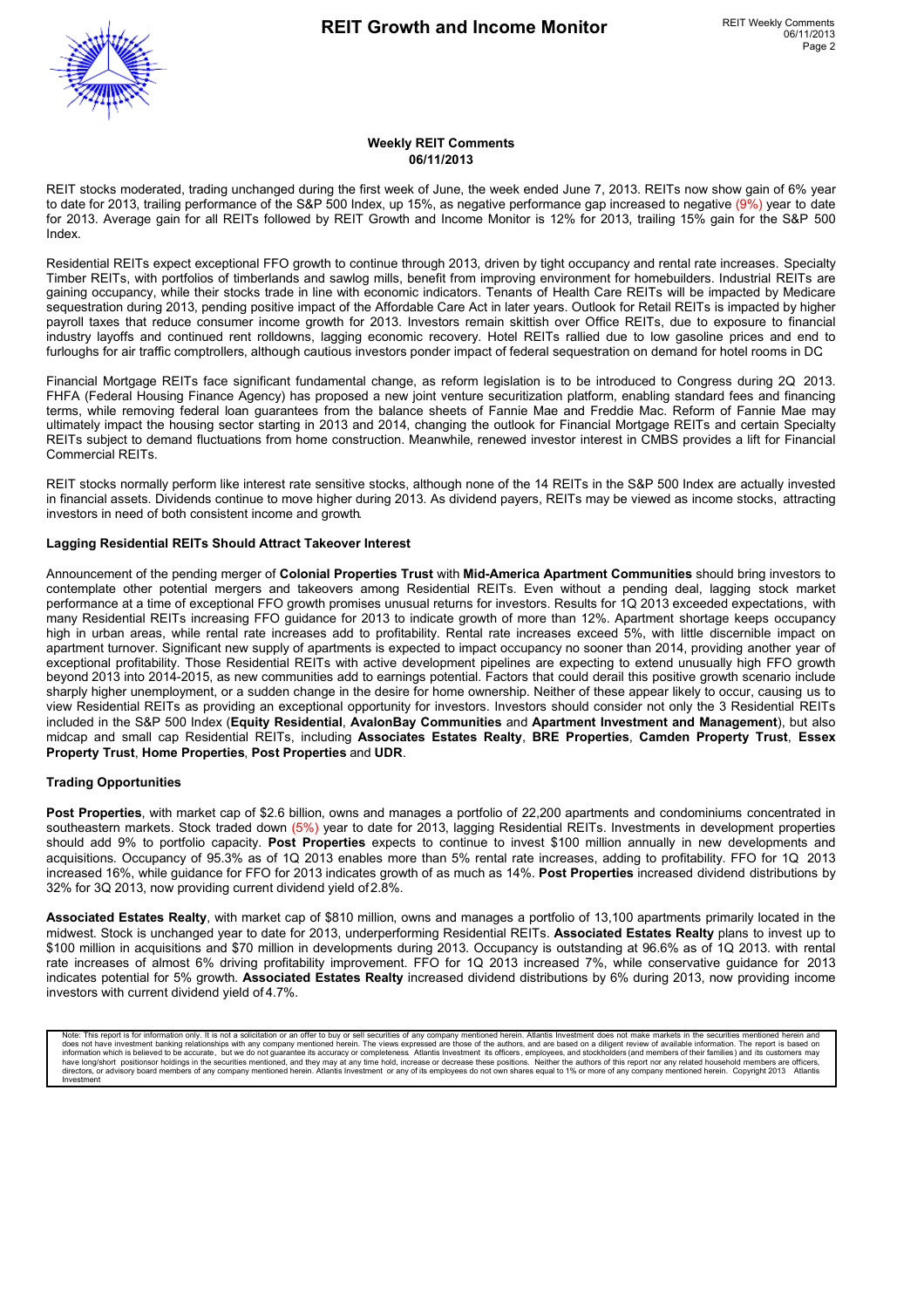

#### **Weekly REIT Comments 06/11/2013**

REIT stocks moderated, trading unchanged during the first week of June, the week ended June 7, 2013. REITs now show gain of 6% year to date for 2013, trailing performance of the S&P 500 Index, up 15%, as negative performance gap increased to negative (9%) year to date for 2013. Average gain for all REITs followed by REIT Growth and Income Monitor is 12% for 2013, trailing 15% gain for the S&P 500 Index.

Residential REITs expect exceptional FFO growth to continue through 2013, driven by tight occupancy and rental rate increases. Specialty Timber REITs, with portfolios of timberlands and sawlog mills, benefit from improving environment for homebuilders. Industrial REITs are gaining occupancy, while their stocks trade in line with economic indicators. Tenants of Health Care REITs will be impacted by Medicare sequestration during 2013, pending positive impact of the Affordable Care Act in later years. Outlook for Retail REITs is impacted by higher payroll taxes that reduce consumer income growth for 2013. Investors remain skittish over Office REITs, due to exposure to financial industry layoffs and continued rent rolldowns, lagging economic recovery. Hotel REITs rallied due to low gasoline prices and end to furloughs for air traffic comptrollers, although cautious investors ponder impact of federal sequestration on demand for hotel rooms in DC.

Financial Mortgage REITs face significant fundamental change, as reform legislation is to be introduced to Congress during 2Q 2013. FHFA (Federal Housing Finance Agency) has proposed a new joint venture securitization platform, enabling standard fees and financing terms, while removing federal loan guarantees from the balance sheets of Fannie Mae and Freddie Mac. Reform of Fannie Mae may ultimately impact the housing sector starting in 2013 and 2014, changing the outlook for Financial Mortgage REITs and certain Specialty REITs subject to demand fluctuations from home construction. Meanwhile, renewed investor interest in CMBS provides a lift for Financial Commercial REITs.

REIT stocks normally perform like interest rate sensitive stocks, although none of the 14 REITs in the S&P 500 Index are actually invested in financial assets. Dividends continue to move higher during 2013. As dividend payers, REITs may be viewed as income stocks, attracting investors in need of both consistent income and growth.

#### **Lagging Residential REITs Should Attract Takeover Interest**

Announcement of the pending merger of **Colonial Properties Trust** with **Mid-America Apartment Communities** should bring investors to contemplate other potential mergers and takeovers among Residential REITs. Even without a pending deal, lagging stock market performance at a time of exceptional FFO growth promises unusual returns for investors. Results for 1Q 2013 exceeded expectations, with many Residential REITs increasing FFO guidance for 2013 to indicate growth of more than 12%. Apartment shortage keeps occupancy high in urban areas, while rental rate increases add to profitability. Rental rate increases exceed 5%, with little discernible impact on apartment turnover. Significant new supply of apartments is expected to impact occupancy no sooner than 2014, providing another year of exceptional profitability. Those Residential REITs with active development pipelines are expecting to extend unusually high FFO growth beyond 2013 into 2014-2015, as new communities add to earnings potential. Factors that could derail this positive growth scenario include sharply higher unemployment, or a sudden change in the desire for home ownership. Neither of these appear likely to occur, causing us to view Residential REITs as providing an exceptional opportunity for investors. Investors should consider not only the 3 Residential REITs included in the S&P 500 Index (**Equity Residential**, **AvalonBay Communities** and **Apartment Investment and Management**), but also midcap and small cap Residential REITs, including **Associates Estates Realty**, **BRE Properties**, **Camden Property Trust**, **Essex Property Trust**, **Home Properties**, **Post Properties** and **UDR**.

#### **Trading Opportunities**

Post Properties, with market cap of \$2.6 billion, owns and manages a portfolio of 22,200 apartments and condominiums concentrated in southeastern markets. Stock traded down (5%) year to date for 2013, lagging Residential REITs. Investments in development properties should add 9% to portfolio capacity. **Post Properties** expects to continue to invest \$100 million annually in new developments and acquisitions. Occupancy of 95.3% as of 1Q 2013 enables more than 5% rental rate increases, adding to profitability. FFO for 1Q 2013 increased 16%, while guidance for FFO for 2013 indicates growth of as much as 14%. **Post Properties** increased dividend distributions by 32% for 3Q 2013, now providing current dividend yield of 2.8%.

**Associated Estates Realty**, with market cap of \$810 million, owns and manages a portfolio of 13,100 apartments primarily located in the midwest. Stock is unchanged year to date for 2013, underperforming Residential REITs. **Associated Estates Realty** plans to invest up to \$100 million in acquisitions and \$70 million in developments during 2013. Occupancy is outstanding at 96.6% as of 1Q 2013. with rental rate increases of almost 6% driving profitability improvement. FFO for 1Q 2013 increased 7%, while conservative guidance for 2013 indicates potential for 5% growth. **Associated Estates Realty** increased dividend distributions by 6% during 2013, now providing income investors with current dividend yield of 4.7%.

Note: This report is for information only. It is not a solicitation or an offer to buy or sell securities of any company mentioned herein. Atlantis Investment does not make markets in the securities mentioned herein and do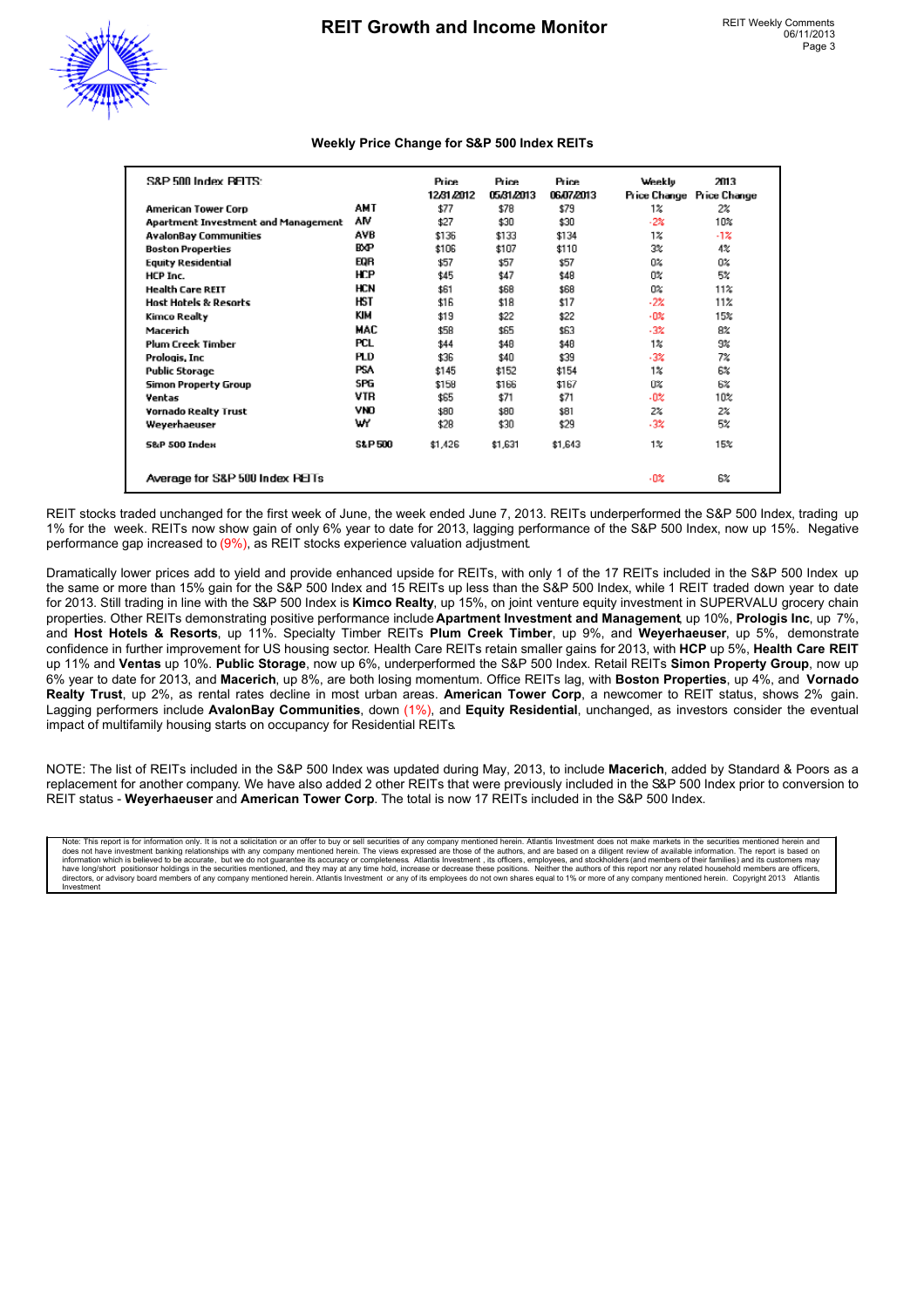

### **Weekly Price Change for S&P 500 Index REITs**

| S&P 500 Index PEITS:                |                   | Price<br>12/31/2012 | Price<br>05/31/2013 | Price<br>06/07/2013 | Weekly<br>Price Change | 2013<br><b>Price Change</b> |
|-------------------------------------|-------------------|---------------------|---------------------|---------------------|------------------------|-----------------------------|
| <b>American Tower Corp</b>          | AMT               | \$77                | \$78                | \$79                | $1\%$                  | 2%                          |
| Apartment Investment and Management | ٨M                | \$27                | \$30                | \$30                | $-2\%$                 | 10%                         |
| <b>AvalonBay Communities</b>        | AVB               | \$136               | \$133               | \$134               | 1%                     | -1%                         |
| <b>Boston Properties</b>            | <b>BXP</b>        | \$106               | \$107               | \$110               | 3%                     | 4%                          |
| <b>Equity Residential</b>           | EQR               | \$57                | \$57                | \$57                | 0%                     | 0%                          |
| HCP Inc.                            | HCP               | \$45                | \$47                | \$48                | n×                     | 5%                          |
| <b>Health Care REIT</b>             | <b>HCN</b>        | \$61                | \$68                | \$68                | 0%                     | 11%                         |
| Host Hotels & Resorts               | HST               | \$16                | \$18                | \$17                | $-2\%$                 | 11%                         |
| Kimco Realty                        | KIM               | \$19                | \$22                | \$22                | $-0\%$                 | 15%                         |
| Macerich                            | MAC               | \$58                | \$65                | \$63                | $-3\%$                 | 8%                          |
| <b>Plum Creek Timber</b>            | PCL               | \$44                | \$48                | \$48                | 1%                     | 9%                          |
| Prologis, Inc.                      | PLD               | \$36                | \$40                | \$39                | $-3\%$                 | 7%                          |
| <b>Public Storage</b>               | <b>PSA</b>        | \$145               | \$152               | \$154               | $1\%$                  | 6%                          |
| Simon Property Group                | SPG               | \$158               | \$166               | \$167               | Ū%                     | 6%                          |
| Ventas                              | VTR               | \$65                | \$71                | \$71                | $-0\%$                 | 10%                         |
| Vornado Realty Trust                | VNO               | \$80                | \$80                | \$81                | 2%                     | 2%                          |
| Weyerhaeuser                        | wY                | \$28                | \$30                | \$29                | $-3\%$                 | 5%                          |
| <b>S&amp;P 500 Index</b>            | <b>S&amp;P500</b> | \$1,426             | \$1,631             | \$1,643             | 1%                     | 15%                         |
| Average for S&P 500 Index PEITs     |                   |                     |                     |                     | -0%                    | 6%                          |

REIT stocks traded unchanged for the first week of June, the week ended June 7, 2013. REITs underperformed the S&P 500 Index, trading up 1% for the week. REITs now show gain of only 6% year to date for 2013, lagging performance of the S&P 500 Index, now up 15%. Negative performance gap increased to (9%), as REIT stocks experience valuation adjustment.

Dramatically lower prices add to yield and provide enhanced upside for REITs, with only 1 of the 17 REITs included in the S&P 500 Index up the same or more than 15% gain for the S&P 500 Index and 15 REITs up less than the S&P 500 Index, while 1 REIT traded down year to date for 2013. Still trading in line with the S&P 500 Index is **Kimco Realty**, up 15%, on joint venture equity investment in SUPERVALU grocery chain properties. Other REITs demonstrating positive performance include **Apartment Investment and Management**, up 10%, **Prologis Inc**, up 7%, and **Host Hotels & Resorts**, up 11%. Specialty Timber REITs **Plum Creek Timber**, up 9%, and **Weyerhaeuser**, up 5%, demonstrate confidence in further improvement for US housing sector. Health Care REITs retain smaller gains for 2013, with **HCP** up 5%, **Health Care REIT** up 11% and **Ventas** up 10%. **Public Storage**, now up 6%, underperformed the S&P 500 Index. Retail REITs **Simon Property Group**, now up 6% year to date for 2013, and **Macerich**, up 8%, are both losing momentum. Office REITs lag, with **Boston Properties**, up 4%, and **Vornado Realty Trust**, up 2%, as rental rates decline in most urban areas. **American Tower Corp**, a newcomer to REIT status, shows 2% gain. Lagging performers include **AvalonBay Communities**, down (1%), and **Equity Residential**, unchanged, as investors consider the eventual impact of multifamily housing starts on occupancy for Residential REITs.

NOTE: The list of REITs included in the S&P 500 Index was updated during May, 2013, to include **Macerich**, added by Standard & Poors as a replacement for another company. We have also added 2 other REITs that were previously included in the S&P 500 Index prior to conversion to REIT status - **Weyerhaeuser** and **American Tower Corp**. The total is now 17 REITs included in the S&P 500 Index.

Note: This report is for information only. It is not a solicitation or an offer to buy or sell securities of any company mentioned herein. Atlantis Investment does not make markets in the securities mentioned herein and di directors, or advisory board members of any company mentioned herein. Atlantis Investment or any of its employees do not own shares equal to 1% or more of any company mentioned herein. Copyright 2013 Atlantis Investment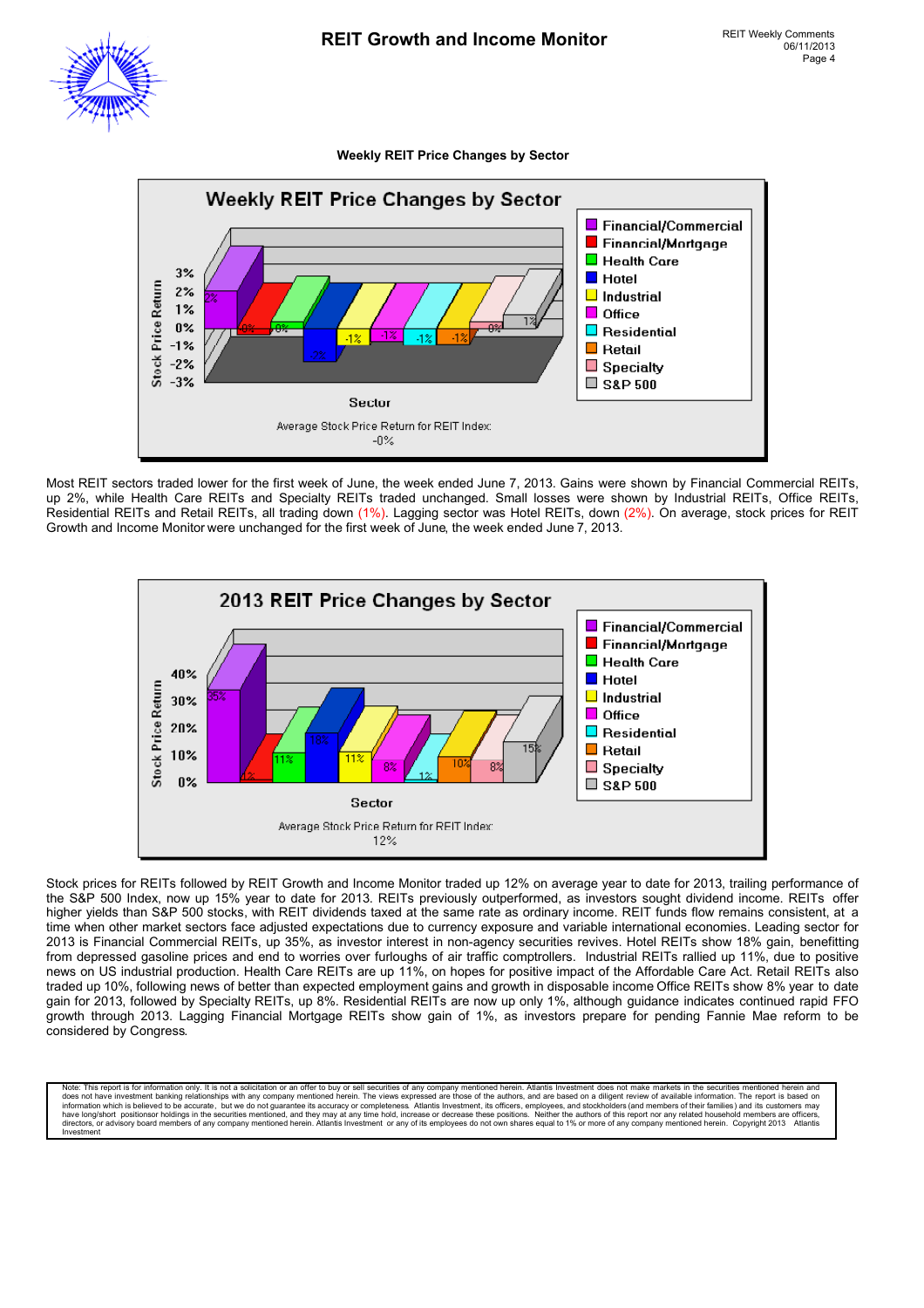#### **Weekly REIT Price Changes by Sector**



Most REIT sectors traded lower for the first week of June, the week ended June 7, 2013. Gains were shown by Financial Commercial REITs, up 2%, while Health Care REITs and Specialty REITs traded unchanged. Small losses were shown by Industrial REITs, Office REITs, Residential REITs and Retail REITs, all trading down (1%). Lagging sector was Hotel REITs, down (2%). On average, stock prices for REIT Growth and Income Monitor were unchanged for the first week of June, the week ended June 7, 2013.



Stock prices for REITs followed by REIT Growth and Income Monitor traded up 12% on average year to date for 2013, trailing performance of the S&P 500 Index, now up 15% year to date for 2013. REITs previously outperformed, as investors sought dividend income. REITs offer higher yields than S&P 500 stocks, with REIT dividends taxed at the same rate as ordinary income. REIT funds flow remains consistent, at a time when other market sectors face adjusted expectations due to currency exposure and variable international economies. Leading sector for 2013 is Financial Commercial REITs, up 35%, as investor interest in non-agency securities revives. Hotel REITs show 18% gain, benefitting from depressed gasoline prices and end to worries over furloughs of air traffic comptrollers. Industrial REITs rallied up 11%, due to positive news on US industrial production. Health Care REITs are up 11%, on hopes for positive impact of the Affordable Care Act. Retail REITs also traded up 10%, following news of better than expected employment gains and growth in disposable income Office REITs show 8% year to date gain for 2013, followed by Specialty REITs, up 8%. Residential REITs are now up only 1%, although guidance indicates continued rapid FFO growth through 2013. Lagging Financial Mortgage REITs show gain of 1%, as investors prepare for pending Fannie Mae reform to be considered by Congress.

Note: This report is for information only. It is not a solicitation or an offer to buy or sell securities of any company mentioned herein. Atlantis Investment does not make markets in the securities mentioned herein and do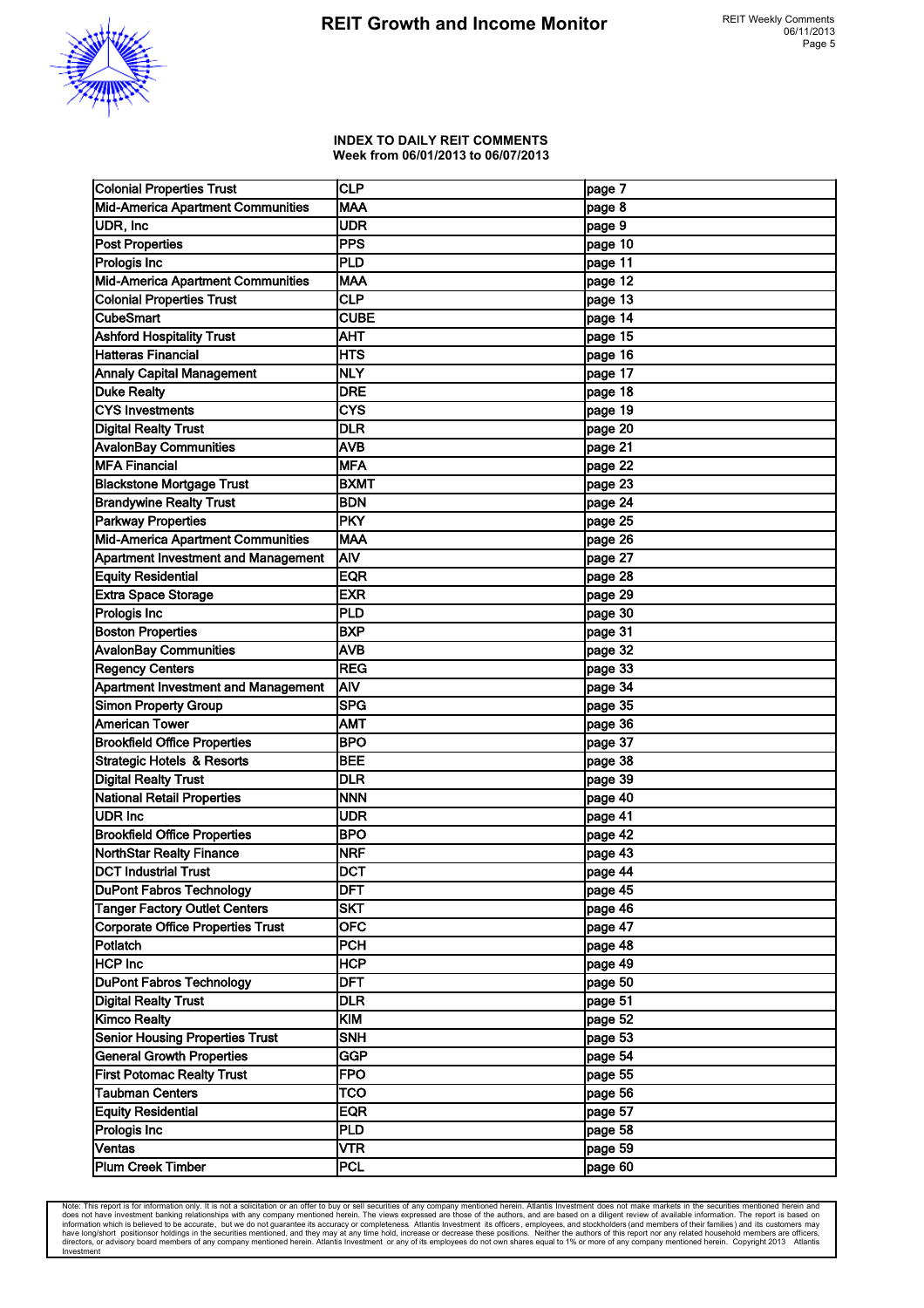

#### **INDEX TO DAILY REIT COMMENTS Week from 06/01/2013 to 06/07/2013**

| <b>Colonial Properties Trust</b>           | CLP                     | page 7    |
|--------------------------------------------|-------------------------|-----------|
| Mid-America Apartment Communities          | <b>MAA</b>              | page 8    |
| UDR, Inc                                   | <b>UDR</b>              | page 9    |
| <b>Post Properties</b>                     | PPS                     | page 10   |
| Prologis Inc                               | PLD                     | page 11   |
| Mid-America Apartment Communities          | <b>MAA</b>              | page 12   |
| <b>Colonial Properties Trust</b>           | $\overline{\text{CLP}}$ | page 13   |
| <b>CubeSmart</b>                           | <b>CUBE</b>             | page 14   |
| <b>Ashford Hospitality Trust</b>           | AHT                     | page 15   |
| Hatteras Financial                         | <b>HTS</b>              | page 16   |
| <b>Annaly Capital Management</b>           | <b>NLY</b>              | page 17   |
| <b>Duke Realty</b>                         | <b>DRE</b>              | page 18   |
| <b>CYS Investments</b>                     | <b>CYS</b>              | page $19$ |
| <b>Digital Realty Trust</b>                | <b>DLR</b>              | page 20   |
| <b>AvalonBay Communities</b>               | <b>AVB</b>              | page 21   |
| <b>MFA Financial</b>                       | <b>MFA</b>              | page 22   |
| <b>Blackstone Mortgage Trust</b>           | <b>BXMT</b>             | page 23   |
| <b>Brandywine Realty Trust</b>             | <b>BDN</b>              | page 24   |
| <b>Parkway Properties</b>                  | PKY                     | page 25   |
| Mid-America Apartment Communities          | <b>MAA</b>              | page 26   |
| <b>Apartment Investment and Management</b> | AIV                     | page 27   |
| <b>Equity Residential</b>                  | <b>EQR</b>              | page 28   |
| Extra Space Storage                        | <b>EXR</b>              | page 29   |
| Prologis Inc                               | PLD                     | page 30   |
| <b>Boston Properties</b>                   | <b>BXP</b>              | page 31   |
| <b>AvalonBay Communities</b>               | <b>AVB</b>              | page 32   |
| <b>Regency Centers</b>                     | REG                     | page 33   |
| <b>Apartment Investment and Management</b> | AIV                     | page 34   |
| Simon Property Group                       | lsPG                    | page 35   |
| <b>American Tower</b>                      | <b>AMT</b>              | page 36   |
| <b>Brookfield Office Properties</b>        | <b>BPO</b>              | page 37   |
| <b>Strategic Hotels &amp; Resorts</b>      | <b>BEE</b>              | page 38   |
| <b>Digital Realty Trust</b>                | DLR                     | page 39   |
| National Retail Properties                 | <b>NNN</b>              | page 40   |
| <b>UDR Inc</b>                             | <b>UDR</b>              | page 41   |
| <b>Brookfield Office Properties</b>        | <b>BPO</b>              | page 42   |
| <b>NorthStar Realty Finance</b>            | <b>NRF</b>              | page 43   |
| <b>DCT Industrial Trust</b>                | DCT                     | page 44   |
| <b>DuPont Fabros Technology</b>            | <b>DFT</b>              | page 45   |
| <b>Tanger Factory Outlet Centers</b>       | <b>SKT</b>              | page 46   |
| <b>Corporate Office Properties Trust</b>   | <b>OFC</b>              | page 47   |
| Potlatch                                   | PCH                     | page 48   |
| <b>HCP Inc</b>                             | <b>HCP</b>              | page 49   |
| <b>DuPont Fabros Technology</b>            | <b>DFT</b>              | page 50   |
| <b>Digital Realty Trust</b>                | <b>DLR</b>              | page 51   |
| <b>Kimco Realty</b>                        | KIM                     | page 52   |
| <b>Senior Housing Properties Trust</b>     | SNH                     | page 53   |
| <b>General Growth Properties</b>           | GGP                     | page 54   |
| <b>First Potomac Realty Trust</b>          | <b>FPO</b>              | page 55   |
| <b>Taubman Centers</b>                     | TCO                     | page 56   |
| <b>Equity Residential</b>                  | <b>EQR</b>              | page 57   |
| Prologis Inc                               | PLD                     | page 58   |
| Ventas                                     | VTR                     | page 59   |
| Plum Creek Timber                          | PCL                     | page 60   |

Note: This report is for information only. It is not a solicitation or an offer to buy or sell securities of any company mentioned herein. Atlantis Investment does not make markets in the securities mentioned herein and do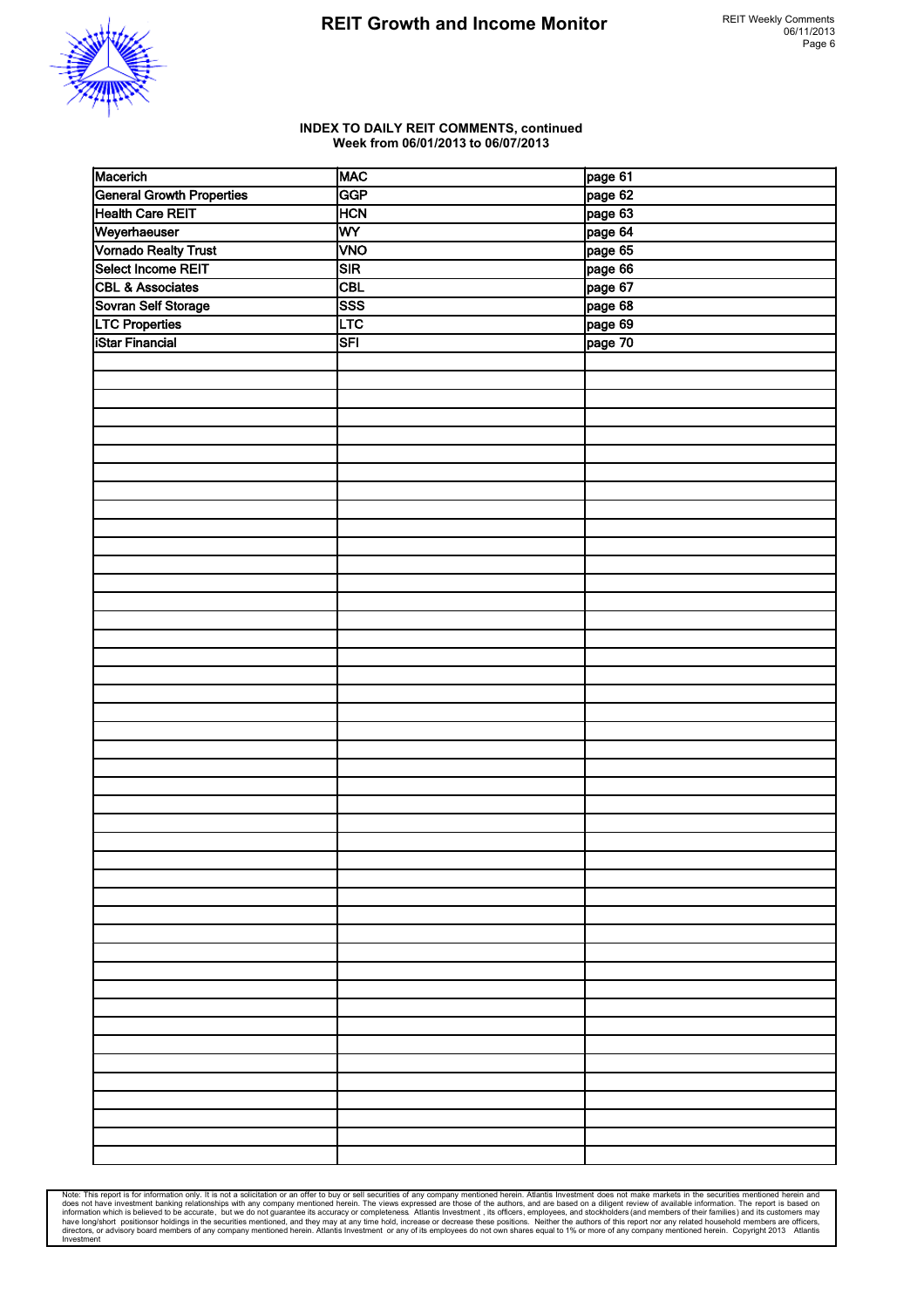



### **INDEX TO DAILY REIT COMMENTS, continued Week from 06/01/2013 to 06/07/2013**

| Macerich                         | MAC        | page 61 |
|----------------------------------|------------|---------|
| <b>General Growth Properties</b> | GGP        | page 62 |
| <b>Health Care REIT</b>          | <b>HCN</b> | page 63 |
| Weyerhaeuser                     | WY         | page 64 |
| Vornado Realty Trust             | <b>VNO</b> | page 65 |
| Select Income REIT               | SIR        | page 66 |
| <b>CBL &amp; Associates</b>      | <b>CBL</b> | page 67 |
| Sovran Self Storage              | SSS        | page 68 |
| <b>LTC Properties</b>            | <b>LTC</b> | page 69 |
| <b>iStar Financial</b>           | SFI        | page 70 |
|                                  |            |         |
|                                  |            |         |
|                                  |            |         |
|                                  |            |         |
|                                  |            |         |
|                                  |            |         |
|                                  |            |         |
|                                  |            |         |
|                                  |            |         |
|                                  |            |         |
|                                  |            |         |
|                                  |            |         |
|                                  |            |         |
|                                  |            |         |
|                                  |            |         |
|                                  |            |         |
|                                  |            |         |
|                                  |            |         |
|                                  |            |         |
|                                  |            |         |
|                                  |            |         |
|                                  |            |         |
|                                  |            |         |
|                                  |            |         |
|                                  |            |         |
|                                  |            |         |
|                                  |            |         |
|                                  |            |         |
|                                  |            |         |
|                                  |            |         |
|                                  |            |         |
|                                  |            |         |
|                                  |            |         |
|                                  |            |         |
|                                  |            |         |
|                                  |            |         |
|                                  |            |         |
|                                  |            |         |
|                                  |            |         |
|                                  |            |         |
|                                  |            |         |
|                                  |            |         |
|                                  |            |         |
|                                  |            |         |
|                                  |            |         |

Note: This report is for information only. It is not a solicitation or an offer to buy or sell securities of any company mentioned herein. Atlantiis lines and all these investment banking relationships with any company men Investment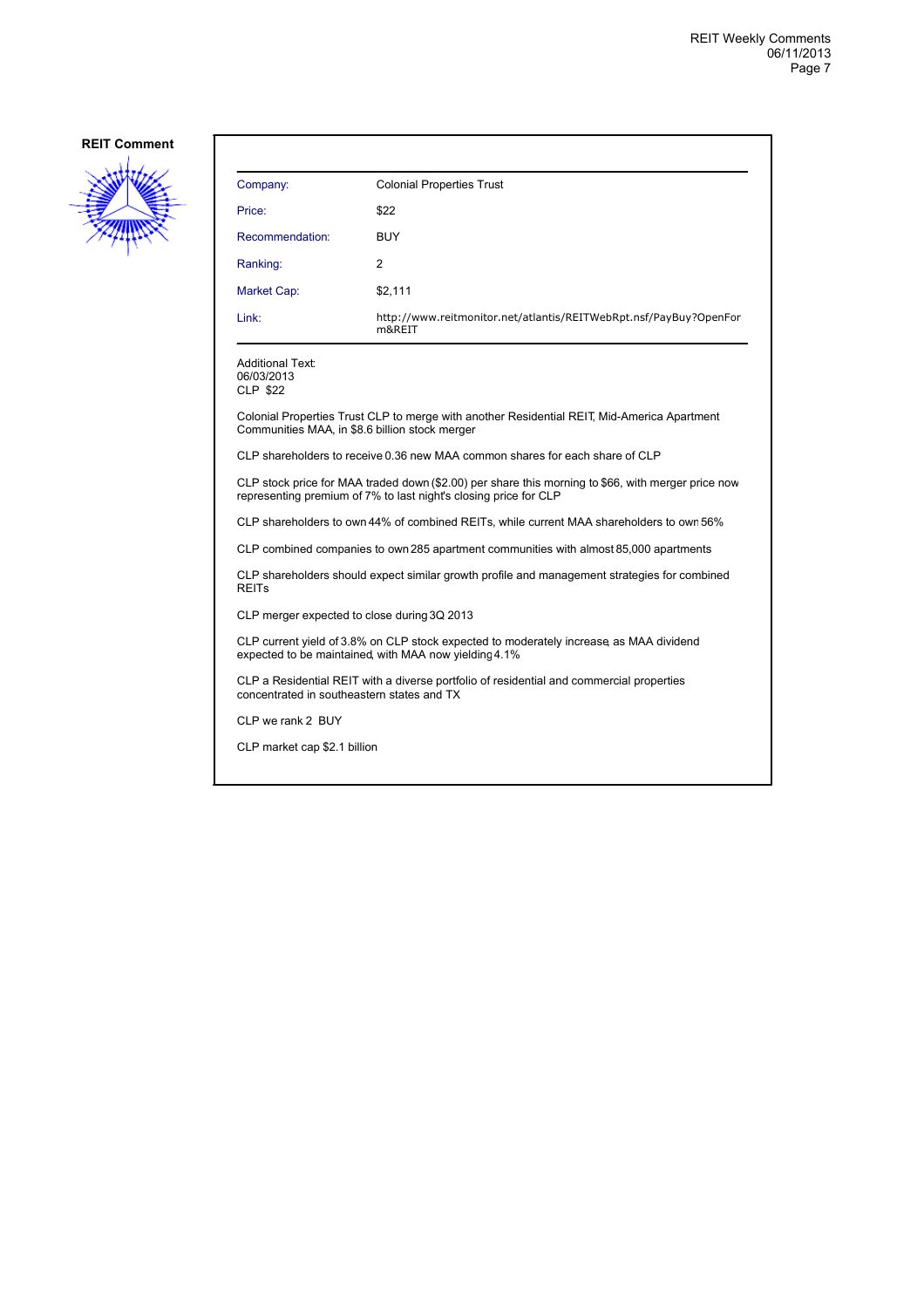

| Company:        | <b>Colonial Properties Trust</b>                                            |
|-----------------|-----------------------------------------------------------------------------|
| Price:          | \$22                                                                        |
| Recommendation: | <b>BUY</b>                                                                  |
| Ranking:        | $\overline{2}$                                                              |
| Market Cap:     | \$2,111                                                                     |
| Link:           | http://www.reitmonitor.net/atlantis/REITWebRpt.nsf/PayBuy?OpenFor<br>m&REIT |

Additional Text: 06/03/2013 CLP \$22

Colonial Properties Trust CLP to merge with another Residential REIT, Mid-America Apartment Communities MAA, in \$8.6 billion stock merger

CLP shareholders to receive 0.36 new MAA common shares for each share of CLP

CLP stock price for MAA traded down (\$2.00) per share this morning to \$66, with merger price now representing premium of 7% to last night's closing price for CLP

CLP shareholders to own 44% of combined REITs, while current MAA shareholders to own56%

CLP combined companies to own 285 apartment communities with almost 85,000 apartments

CLP shareholders should expect similar growth profile and management strategies for combined REITs

CLP merger expected to close during 3Q 2013

CLP current yield of 3.8% on CLP stock expected to moderately increase, as MAA dividend expected to be maintained, with MAA now yielding 4.1%

CLP a Residential REIT with a diverse portfolio of residential and commercial properties concentrated in southeastern states and TX

CLP we rank 2 BUY

CLP market cap \$2.1 billion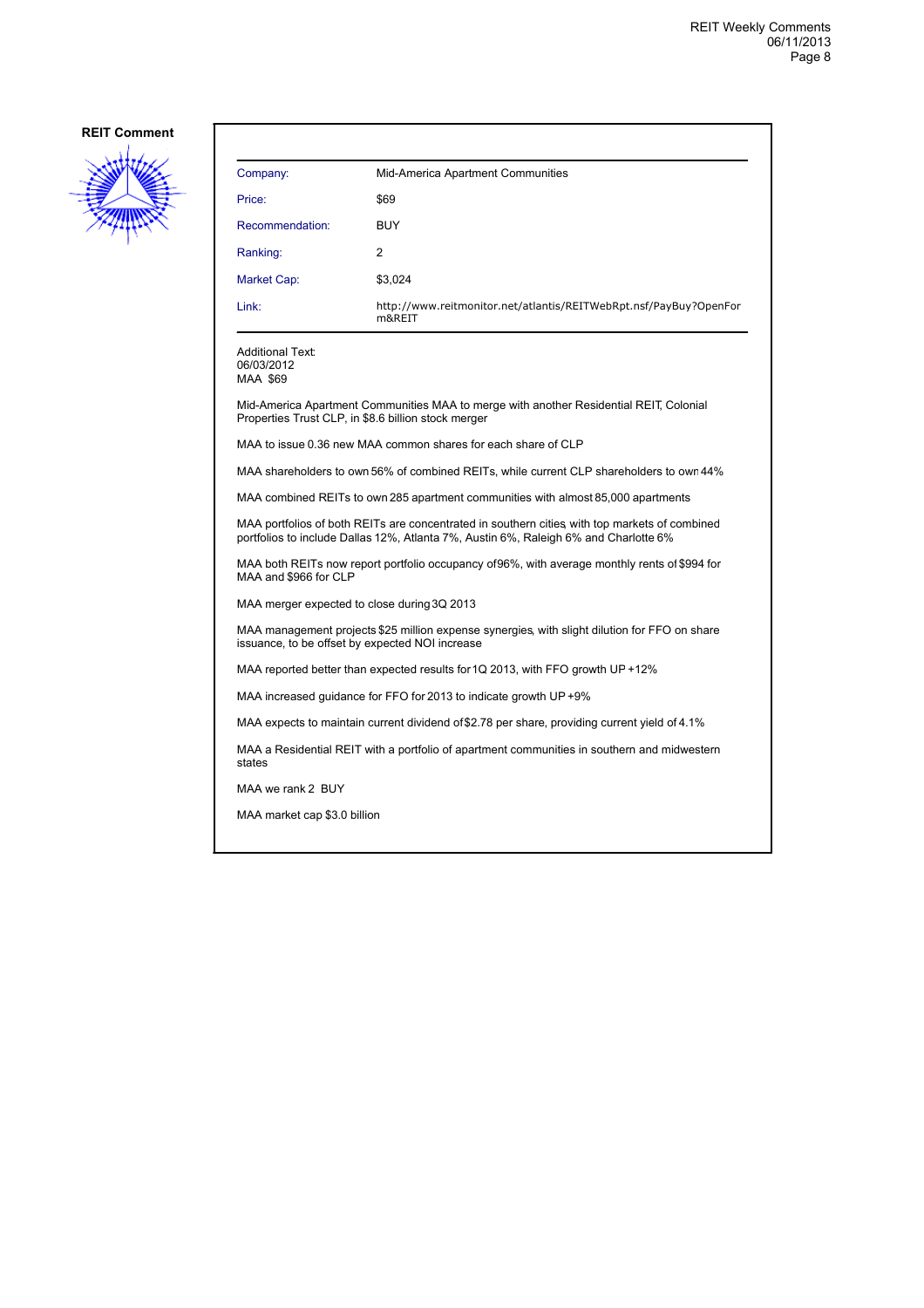

| Company:        | Mid-America Apartment Communities                                           |
|-----------------|-----------------------------------------------------------------------------|
| Price:          | \$69                                                                        |
| Recommendation: | <b>BUY</b>                                                                  |
| Ranking:        | $\overline{2}$                                                              |
| Market Cap:     | \$3,024                                                                     |
| Link:           | http://www.reitmonitor.net/atlantis/REITWebRpt.nsf/PayBuy?OpenFor<br>m&REIT |

Additional Text: 06/03/2012 MAA \$69

Mid-America Apartment Communities MAA to merge with another Residential REIT, Colonial Properties Trust CLP, in \$8.6 billion stock merger

MAA to issue 0.36 new MAA common shares for each share of CLP

MAA shareholders to own 56% of combined REITs, while current CLP shareholders to own 44%

MAA combined REITs to own 285 apartment communities with almost 85,000 apartments

MAA portfolios of both REITs are concentrated in southern cities, with top markets of combined portfolios to include Dallas 12%, Atlanta 7%, Austin 6%, Raleigh 6% and Charlotte 6%

MAA both REITs now report portfolio occupancy of 96%, with average monthly rents of \$994 for MAA and \$966 for CLP

MAA merger expected to close during 3Q 2013

MAA management projects \$25 million expense synergies, with slight dilution for FFO on share issuance, to be offset by expected NOI increase

MAA reported better than expected results for 1Q 2013, with FFO growth UP +12%

MAA increased guidance for FFO for 2013 to indicate growth UP +9%

MAA expects to maintain current dividend of \$2.78 per share, providing current yield of 4.1%

MAA a Residential REIT with a portfolio of apartment communities in southern and midwestern states

MAA we rank 2 BUY

MAA market cap \$3.0 billion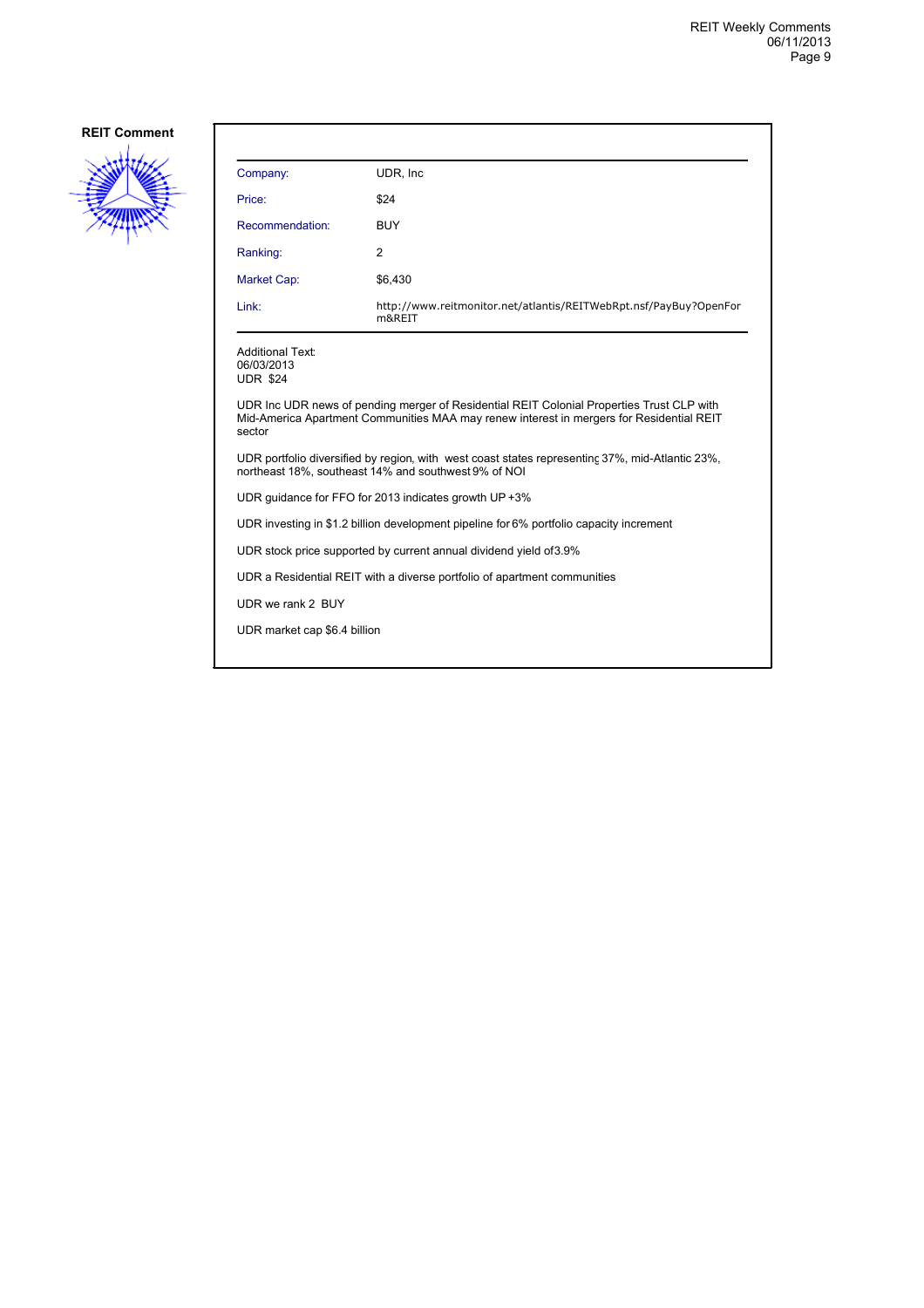

| Company:                                                                                                                                                                                        | UDR. Inc.                                                                   |  |
|-------------------------------------------------------------------------------------------------------------------------------------------------------------------------------------------------|-----------------------------------------------------------------------------|--|
| Price:                                                                                                                                                                                          | \$24                                                                        |  |
| Recommendation:                                                                                                                                                                                 | <b>BUY</b>                                                                  |  |
| Ranking:                                                                                                                                                                                        | 2                                                                           |  |
| Market Cap:                                                                                                                                                                                     | \$6,430                                                                     |  |
| Link:                                                                                                                                                                                           | http://www.reitmonitor.net/atlantis/REITWebRpt.nsf/PayBuy?OpenFor<br>m&REIT |  |
| <b>Additional Text:</b><br>06/03/2013<br><b>UDR \$24</b>                                                                                                                                        |                                                                             |  |
| UDR Inc UDR news of pending merger of Residential REIT Colonial Properties Trust CLP with<br>Mid-America Apartment Communities MAA may renew interest in mergers for Residential REIT<br>sector |                                                                             |  |
| UDR portfolio diversified by region, with west coast states representing 37%, mid-Atlantic 23%,<br>northeast 18%, southeast 14% and southwest 9% of NOI                                         |                                                                             |  |
| UDR quidance for FFO for 2013 indicates growth UP +3%                                                                                                                                           |                                                                             |  |
| UDR investing in \$1.2 billion development pipeline for 6% portfolio capacity increment                                                                                                         |                                                                             |  |
| UDR stock price supported by current annual dividend yield of 3.9%                                                                                                                              |                                                                             |  |
| UDR a Residential REIT with a diverse portfolio of apartment communities                                                                                                                        |                                                                             |  |
| UDR we rank 2 BUY                                                                                                                                                                               |                                                                             |  |
| UDR market cap \$6.4 billion                                                                                                                                                                    |                                                                             |  |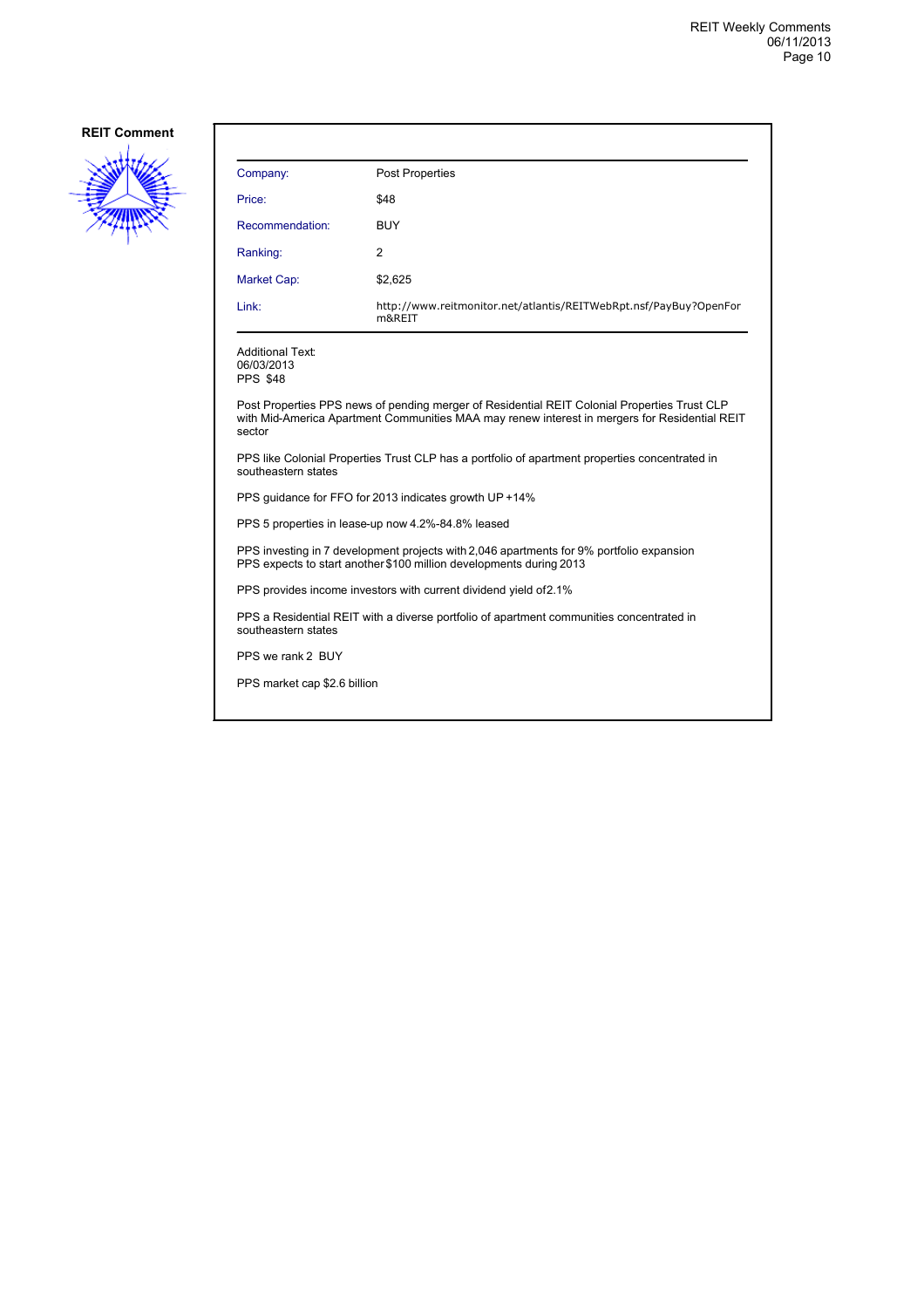

| Company:                                                 | Post Properties                                                             |
|----------------------------------------------------------|-----------------------------------------------------------------------------|
| Price:                                                   | \$48                                                                        |
| Recommendation:                                          | <b>BUY</b>                                                                  |
| Ranking:                                                 | 2                                                                           |
| Market Cap:                                              | \$2,625                                                                     |
| Link:                                                    | http://www.reitmonitor.net/atlantis/REITWebRpt.nsf/PayBuy?OpenFor<br>m&REIT |
| <b>Additional Text:</b><br>06/03/2013<br><b>PPS \$48</b> |                                                                             |

Post Properties PPS news of pending merger of Residential REIT Colonial Properties Trust CLP with Mid-America Apartment Communities MAA may renew interest in mergers for Residential REIT sector

PPS like Colonial Properties Trust CLP has a portfolio of apartment properties concentrated in southeastern states

PPS guidance for FFO for 2013 indicates growth UP +14%

PPS 5 properties in lease-up now 4.2%-84.8% leased

PPS investing in 7 development projects with 2,046 apartments for 9% portfolio expansion PPS expects to start another \$100 million developments during 2013

PPS provides income investors with current dividend yield of 2.1%

PPS a Residential REIT with a diverse portfolio of apartment communities concentrated in southeastern states

PPS we rank 2 BUY

PPS market cap \$2.6 billion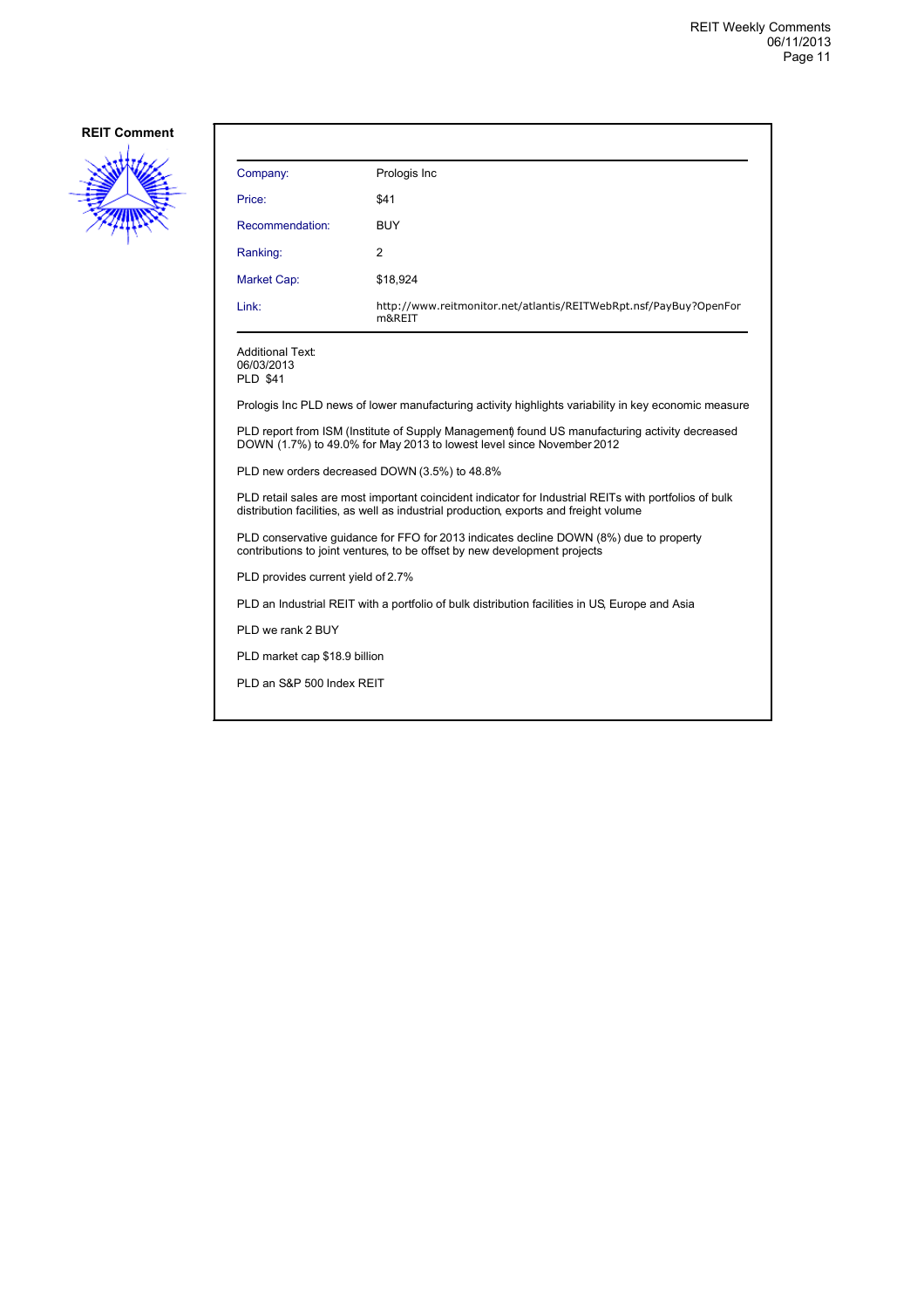

| Company:                                                 | Prologis Inc                                                                |
|----------------------------------------------------------|-----------------------------------------------------------------------------|
| Price:                                                   | \$41                                                                        |
| Recommendation:                                          | <b>BUY</b>                                                                  |
| Ranking:                                                 | 2                                                                           |
| <b>Market Cap:</b>                                       | \$18,924                                                                    |
| Link:                                                    | http://www.reitmonitor.net/atlantis/REITWebRpt.nsf/PayBuy?OpenFor<br>m&REIT |
| <b>Additional Text:</b><br>06/03/2013<br><b>PLD \$41</b> |                                                                             |

Prologis Inc PLD news of lower manufacturing activity highlights variability in key economic measure

PLD report from ISM (Institute of Supply Management) found US manufacturing activity decreased DOWN (1.7%) to 49.0% for May 2013 to lowest level since November 2012

PLD new orders decreased DOWN (3.5%) to 48.8%

PLD retail sales are most important coincident indicator for Industrial REITs with portfolios of bulk distribution facilities, as well as industrial production, exports and freight volume

PLD conservative guidance for FFO for 2013 indicates decline DOWN (8%) due to property contributions to joint ventures, to be offset by new development projects

PLD provides current yield of 2.7%

PLD an Industrial REIT with a portfolio of bulk distribution facilities in US, Europe and Asia

PLD we rank 2 BUY

PLD market cap \$18.9 billion

PLD an S&P 500 Index REIT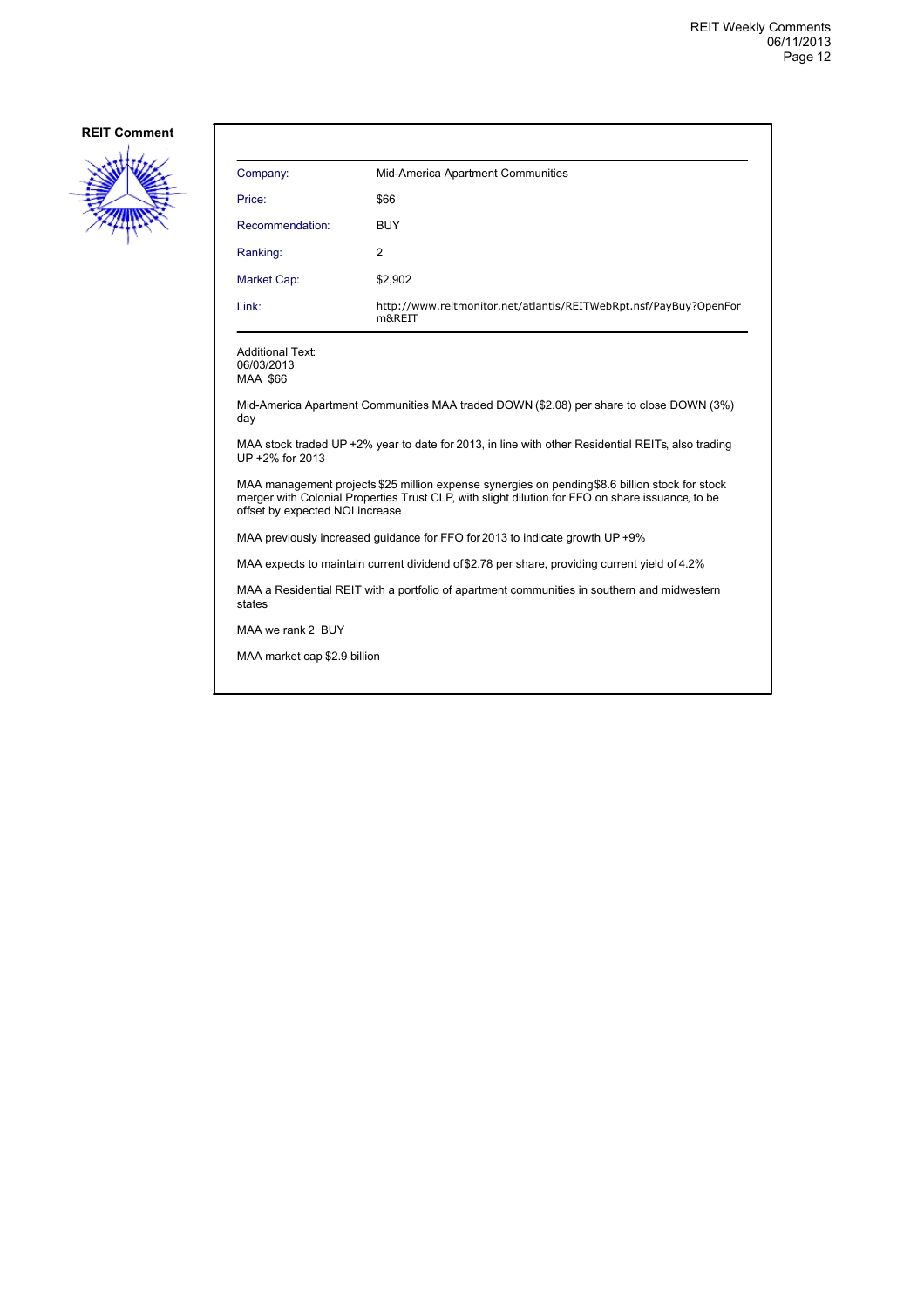

| Company:        | Mid-America Apartment Communities                                           |
|-----------------|-----------------------------------------------------------------------------|
| Price:          | \$66                                                                        |
| Recommendation: | <b>BUY</b>                                                                  |
| Ranking:        | 2                                                                           |
| Market Cap:     | \$2,902                                                                     |
| Link:           | http://www.reitmonitor.net/atlantis/REITWebRpt.nsf/PayBuy?OpenFor<br>m&REIT |

Additional Text: 06/03/2013 MAA \$66

Mid-America Apartment Communities MAA traded DOWN (\$2.08) per share to close DOWN (3%) day

MAA stock traded UP +2% year to date for 2013, in line with other Residential REITs, also trading UP +2% for 2013

MAA management projects \$25 million expense synergies on pending \$8.6 billion stock for stock merger with Colonial Properties Trust CLP, with slight dilution for FFO on share issuance, to be offset by expected NOI increase

MAA previously increased guidance for FFO for 2013 to indicate growth UP +9%

MAA expects to maintain current dividend of \$2.78 per share, providing current yield of 4.2%

MAA a Residential REIT with a portfolio of apartment communities in southern and midwestern states

MAA we rank 2 BUY

MAA market cap \$2.9 billion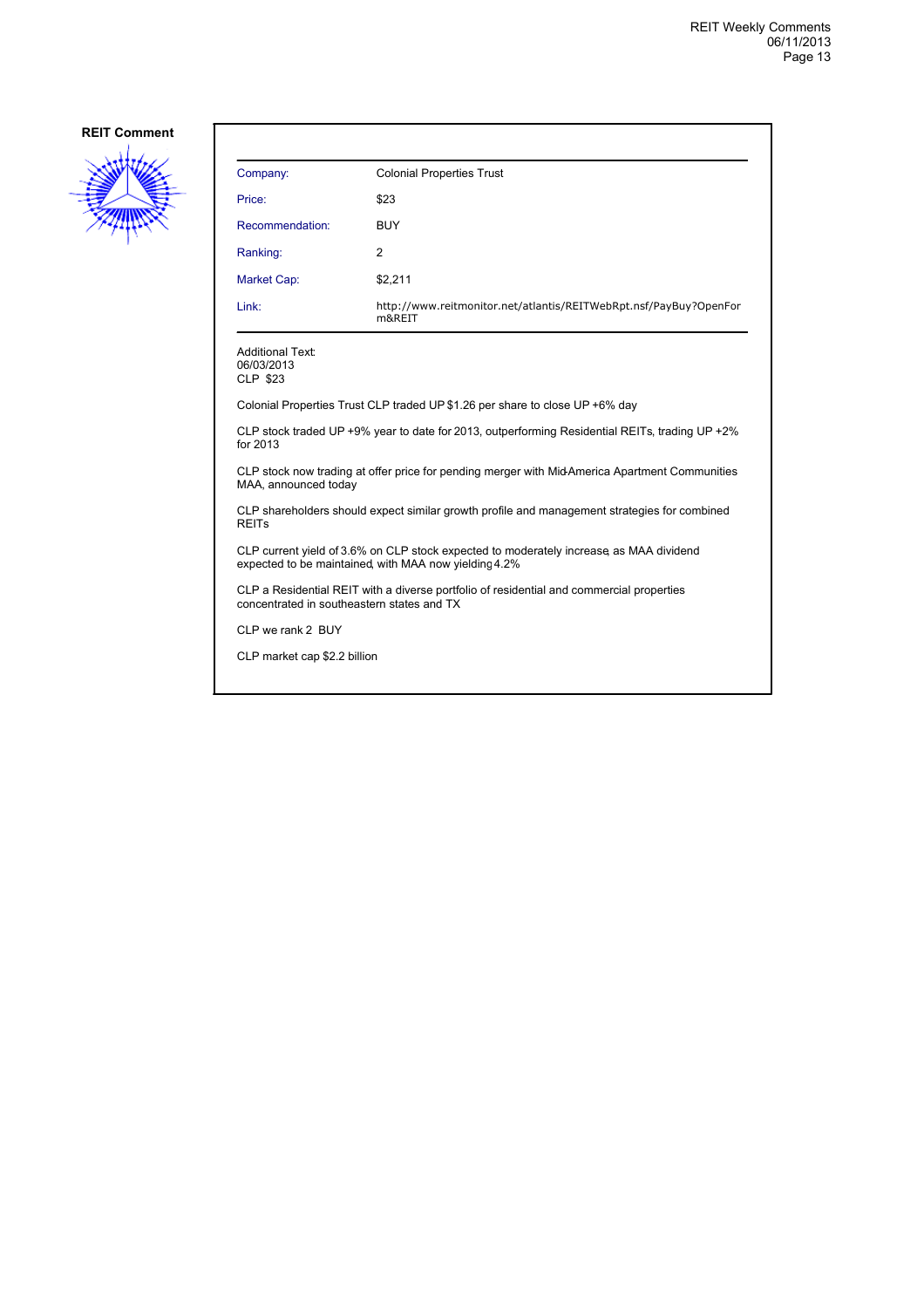

| Company:                                                                                                                                        | <b>Colonial Properties Trust</b>                                             |  |
|-------------------------------------------------------------------------------------------------------------------------------------------------|------------------------------------------------------------------------------|--|
| Price:                                                                                                                                          | \$23                                                                         |  |
| Recommendation:                                                                                                                                 | <b>BUY</b>                                                                   |  |
| Ranking:                                                                                                                                        | 2                                                                            |  |
| Market Cap:                                                                                                                                     | \$2,211                                                                      |  |
| Link:                                                                                                                                           | http://www.reitmonitor.net/atlantis/REITWebRpt.nsf/PayBuy?OpenFor<br>m&REIT  |  |
| <b>Additional Text:</b><br>06/03/2013<br><b>CLP \$23</b>                                                                                        |                                                                              |  |
|                                                                                                                                                 | Colonial Properties Trust CLP traded UP \$1.26 per share to close UP +6% day |  |
| CLP stock traded UP +9% year to date for 2013, outperforming Residential REITs, trading UP +2%<br>for 2013                                      |                                                                              |  |
| CLP stock now trading at offer price for pending merger with Mid-America Apartment Communities<br>MAA, announced today                          |                                                                              |  |
| CLP shareholders should expect similar growth profile and management strategies for combined<br><b>REITS</b>                                    |                                                                              |  |
| CLP current yield of 3.6% on CLP stock expected to moderately increase as MAA dividend<br>expected to be maintained, with MAA now yielding 4.2% |                                                                              |  |
| CLP a Residential REIT with a diverse portfolio of residential and commercial properties<br>concentrated in southeastern states and TX          |                                                                              |  |

CLP we rank 2 BUY

CLP market cap \$2.2 billion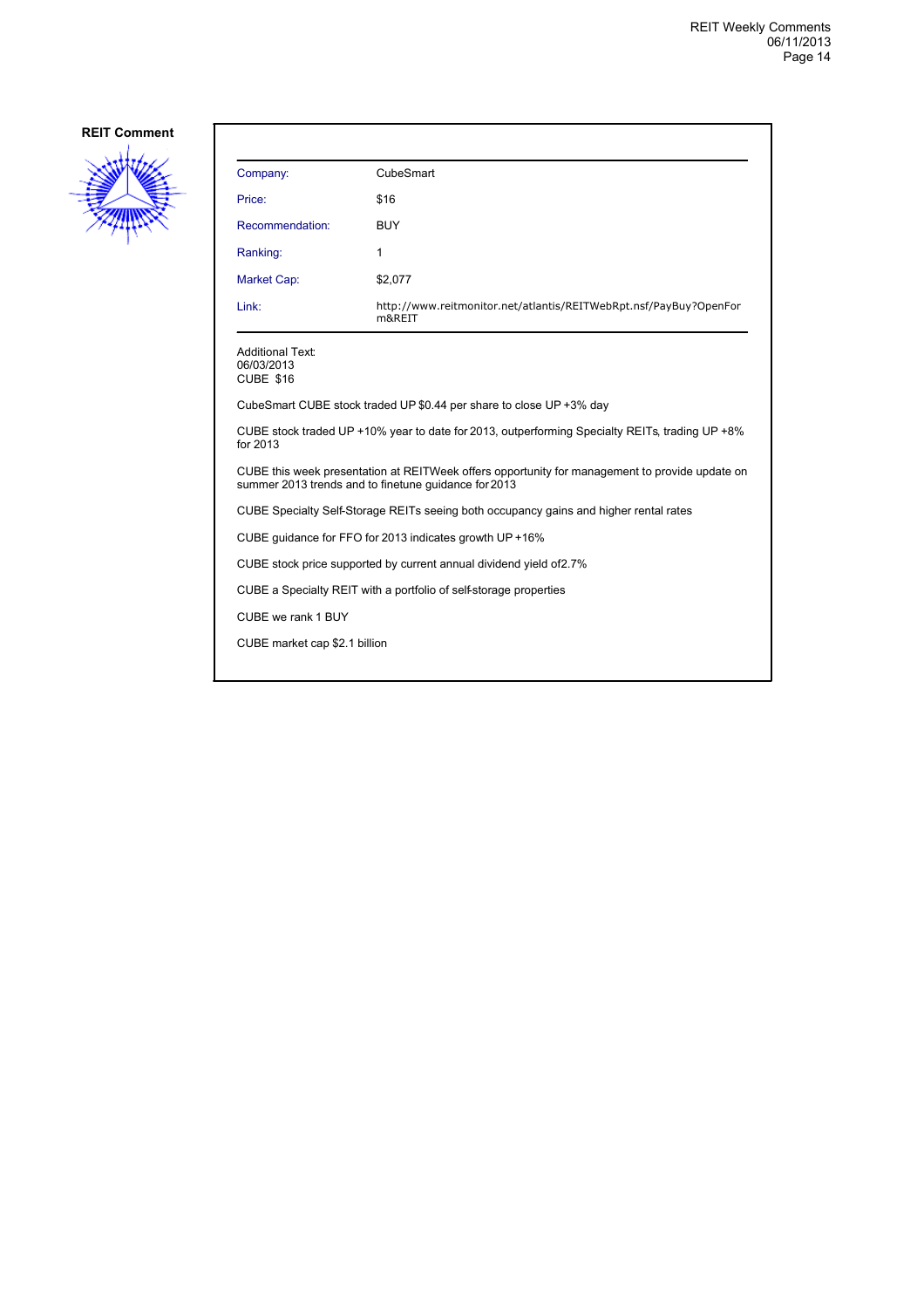

| Company:                                                                                                                                               | CubeSmart                                                                   |  |
|--------------------------------------------------------------------------------------------------------------------------------------------------------|-----------------------------------------------------------------------------|--|
| Price:                                                                                                                                                 | \$16                                                                        |  |
| Recommendation:                                                                                                                                        | <b>BUY</b>                                                                  |  |
| Ranking:                                                                                                                                               | 1                                                                           |  |
| <b>Market Cap:</b>                                                                                                                                     | \$2,077                                                                     |  |
| Link:                                                                                                                                                  | http://www.reitmonitor.net/atlantis/REITWebRpt.nsf/PayBuy?OpenFor<br>m&REIT |  |
| <b>Additional Text:</b><br>06/03/2013<br><b>CUBE \$16</b>                                                                                              |                                                                             |  |
|                                                                                                                                                        | CubeSmart CUBE stock traded UP \$0.44 per share to close UP +3% day         |  |
| CUBE stock traded UP +10% year to date for 2013, outperforming Specialty REITs, trading UP +8%<br>for 2013                                             |                                                                             |  |
| CUBE this week presentation at REITWeek offers opportunity for management to provide update on<br>summer 2013 trends and to finetune guidance for 2013 |                                                                             |  |
| CUBE Specialty Self-Storage REITs seeing both occupancy gains and higher rental rates                                                                  |                                                                             |  |
| CUBE quidance for FFO for 2013 indicates growth UP +16%                                                                                                |                                                                             |  |
| CUBE stock price supported by current annual dividend yield of 2.7%                                                                                    |                                                                             |  |
| CUBE a Specialty REIT with a portfolio of self-storage properties                                                                                      |                                                                             |  |
| CUBE we rank 1 BUY                                                                                                                                     |                                                                             |  |
| CUBE market cap \$2.1 billion                                                                                                                          |                                                                             |  |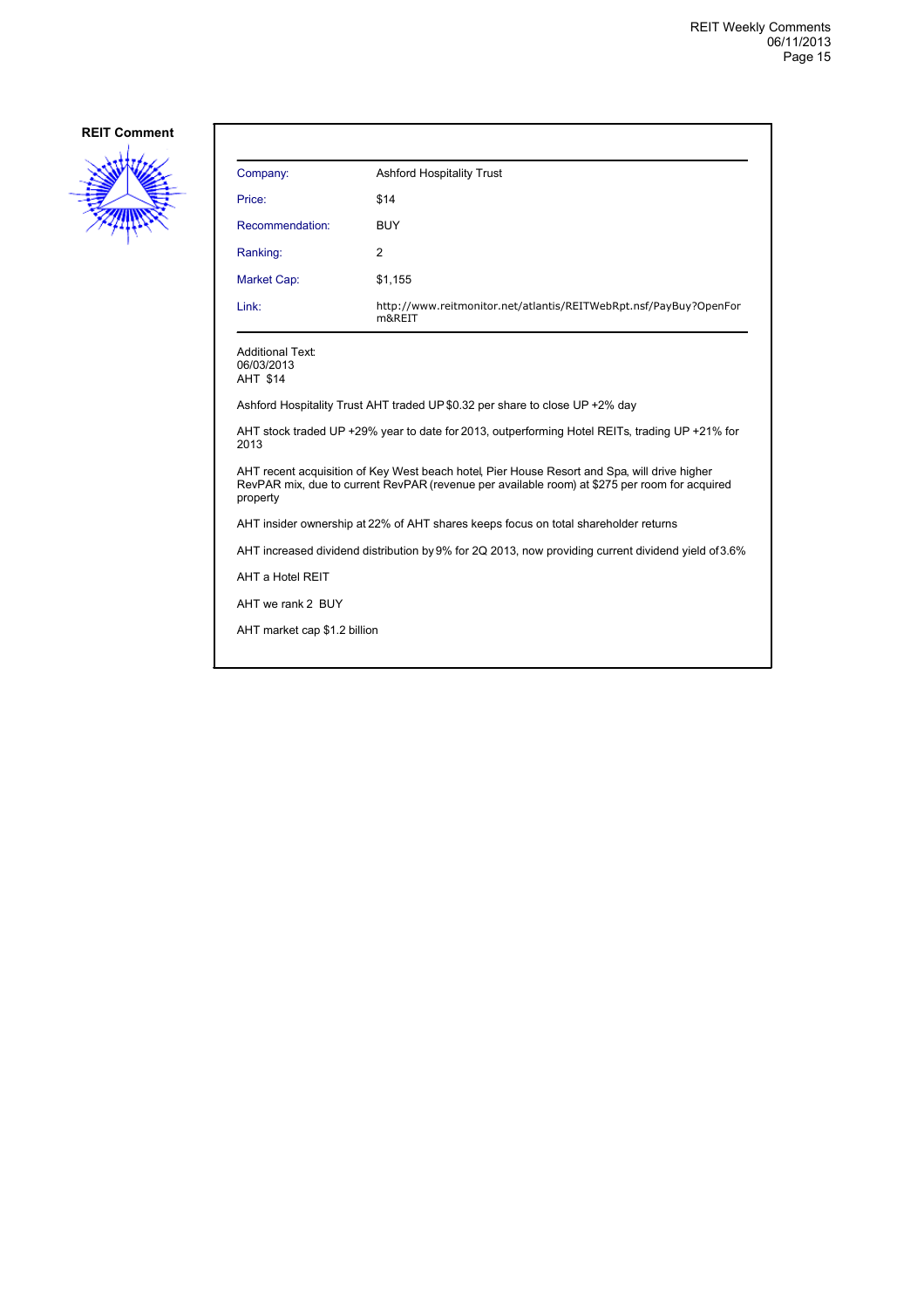

| Company:                                                                                                                                                                                                  | <b>Ashford Hospitality Trust</b>                                             |  |
|-----------------------------------------------------------------------------------------------------------------------------------------------------------------------------------------------------------|------------------------------------------------------------------------------|--|
| Price:                                                                                                                                                                                                    | \$14                                                                         |  |
| Recommendation:                                                                                                                                                                                           | <b>BUY</b>                                                                   |  |
| Ranking:                                                                                                                                                                                                  | 2                                                                            |  |
| Market Cap:                                                                                                                                                                                               | \$1,155                                                                      |  |
| Link:                                                                                                                                                                                                     | http://www.reitmonitor.net/atlantis/REITWebRpt.nsf/PayBuy?OpenFor<br>m&REIT  |  |
| <b>Additional Text:</b><br>06/03/2013<br>AHT \$14                                                                                                                                                         |                                                                              |  |
|                                                                                                                                                                                                           | Ashford Hospitality Trust AHT traded UP \$0.32 per share to close UP +2% day |  |
| AHT stock traded UP +29% year to date for 2013, outperforming Hotel REITs, trading UP +21% for<br>2013                                                                                                    |                                                                              |  |
| AHT recent acquisition of Key West beach hotel, Pier House Resort and Spa, will drive higher<br>RevPAR mix, due to current RevPAR (revenue per available room) at \$275 per room for acquired<br>property |                                                                              |  |
| AHT insider ownership at 22% of AHT shares keeps focus on total shareholder returns                                                                                                                       |                                                                              |  |
| AHT increased dividend distribution by 9% for 2Q 2013, now providing current dividend yield of 3.6%                                                                                                       |                                                                              |  |
| AHT a Hotel REIT                                                                                                                                                                                          |                                                                              |  |
| AHT we rank 2 BUY                                                                                                                                                                                         |                                                                              |  |
| AHT market cap \$1.2 billion                                                                                                                                                                              |                                                                              |  |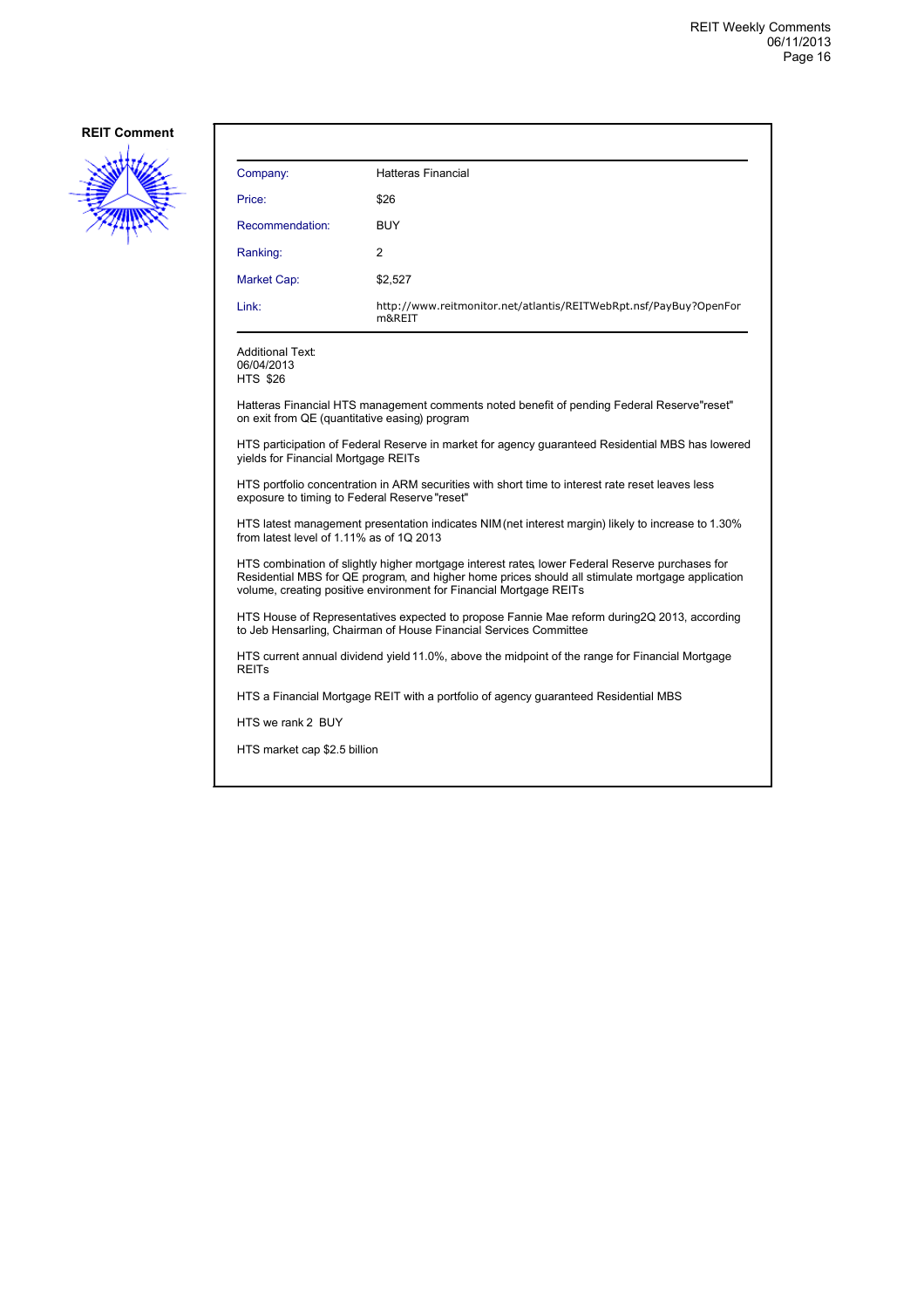

| Company:        | <b>Hatteras Financial</b>                                                   |
|-----------------|-----------------------------------------------------------------------------|
| Price:          | \$26                                                                        |
| Recommendation: | <b>BUY</b>                                                                  |
| Ranking:        | 2                                                                           |
| Market Cap:     | \$2,527                                                                     |
| Link:           | http://www.reitmonitor.net/atlantis/REITWebRpt.nsf/PayBuy?OpenFor<br>m&REIT |

06/04/2013 HTS \$26

Hatteras Financial HTS management comments noted benefit of pending Federal Reserve "reset" on exit from QE (quantitative easing) program

HTS participation of Federal Reserve in market for agency guaranteed Residential MBS has lowered yields for Financial Mortgage REITs

HTS portfolio concentration in ARM securities with short time to interest rate reset leaves less exposure to timing to Federal Reserve "reset"

HTS latest management presentation indicates NIM (net interest margin) likely to increase to 1.30% from latest level of 1.11% as of 1Q 2013

HTS combination of slightly higher mortgage interest rates, lower Federal Reserve purchases for Residential MBS for QE program, and higher home prices should all stimulate mortgage application volume, creating positive environment for Financial Mortgage REITs

HTS House of Representatives expected to propose Fannie Mae reform during 2Q 2013, according to Jeb Hensarling, Chairman of House Financial Services Committee

HTS current annual dividend yield 11.0%, above the midpoint of the range for Financial Mortgage REITs

HTS a Financial Mortgage REIT with a portfolio of agency guaranteed Residential MBS

HTS we rank 2 BUY

HTS market cap \$2.5 billion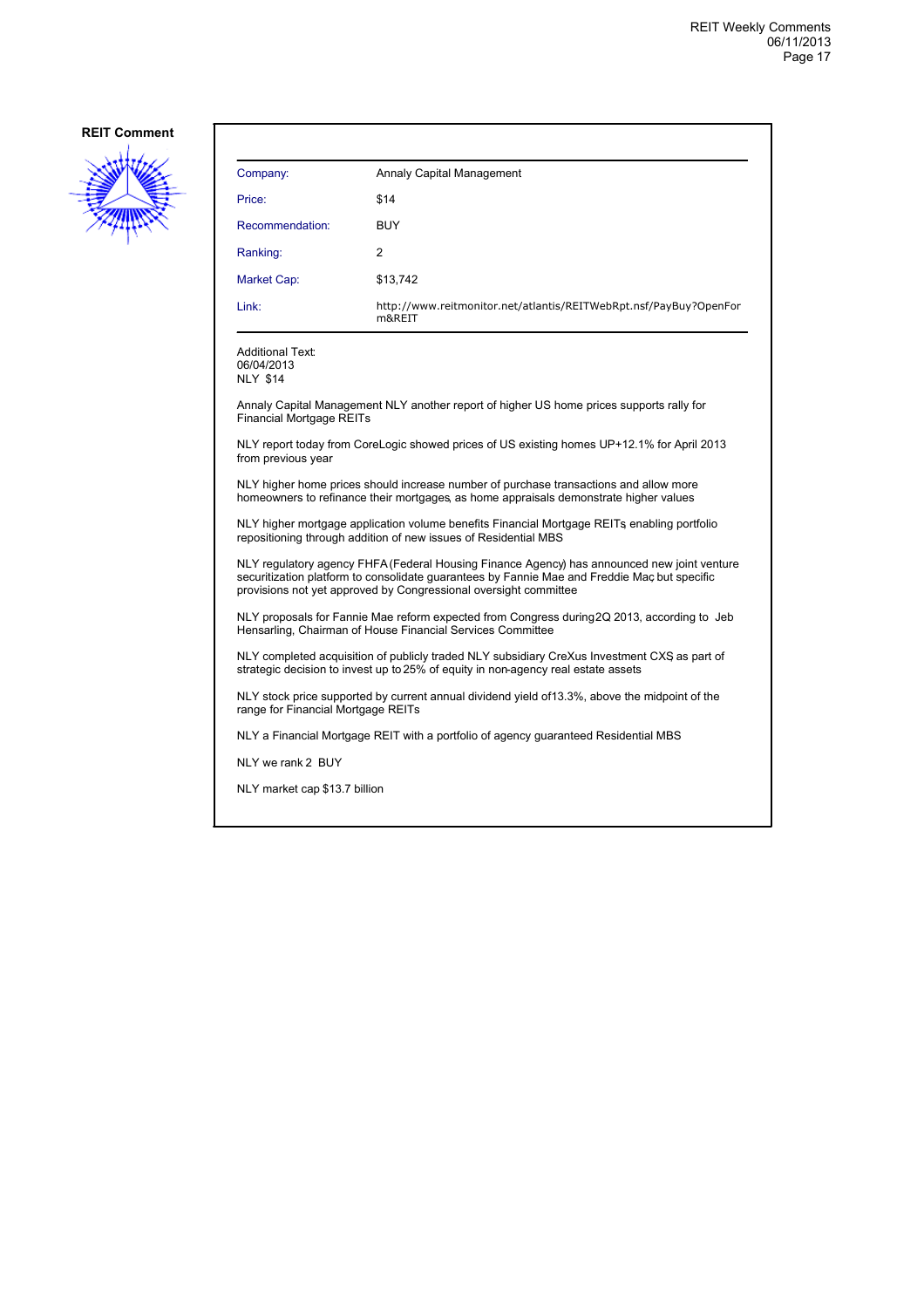

| Company:        | Annaly Capital Management                                                   |
|-----------------|-----------------------------------------------------------------------------|
| Price:          | \$14                                                                        |
| Recommendation: | <b>BUY</b>                                                                  |
| Ranking:        | 2                                                                           |
| Market Cap:     | \$13,742                                                                    |
| Link:           | http://www.reitmonitor.net/atlantis/REITWebRpt.nsf/PayBuy?OpenFor<br>m&REIT |

Additional Text: 06/04/2013 NLY \$14

Annaly Capital Management NLY another report of higher US home prices supports rally for Financial Mortgage REITs

NLY report today from CoreLogic showed prices of US existing homes UP +12.1% for April 2013 from previous year

NLY higher home prices should increase number of purchase transactions and allow more homeowners to refinance their mortgages, as home appraisals demonstrate higher values

NLY higher mortgage application volume benefits Financial Mortgage REITs, enabling portfolio repositioning through addition of new issues of Residential MBS

NLY regulatory agency FHFA (Federal Housing Finance Agency) has announced new joint venture securitization platform to consolidate guarantees by Fannie Mae and Freddie Mac, but specific provisions not yet approved by Congressional oversight committee

NLY proposals for Fannie Mae reform expected from Congress during 2Q 2013, according to Jeb Hensarling, Chairman of House Financial Services Committee

NLY completed acquisition of publicly traded NLY subsidiary CreXus Investment CXS, as part of strategic decision to invest up to 25% of equity in non-agency real estate assets

NLY stock price supported by current annual dividend yield of 13.3%, above the midpoint of the range for Financial Mortgage REITs

NLY a Financial Mortgage REIT with a portfolio of agency guaranteed Residential MBS

NLY we rank 2 BUY

NLY market cap \$13.7 billion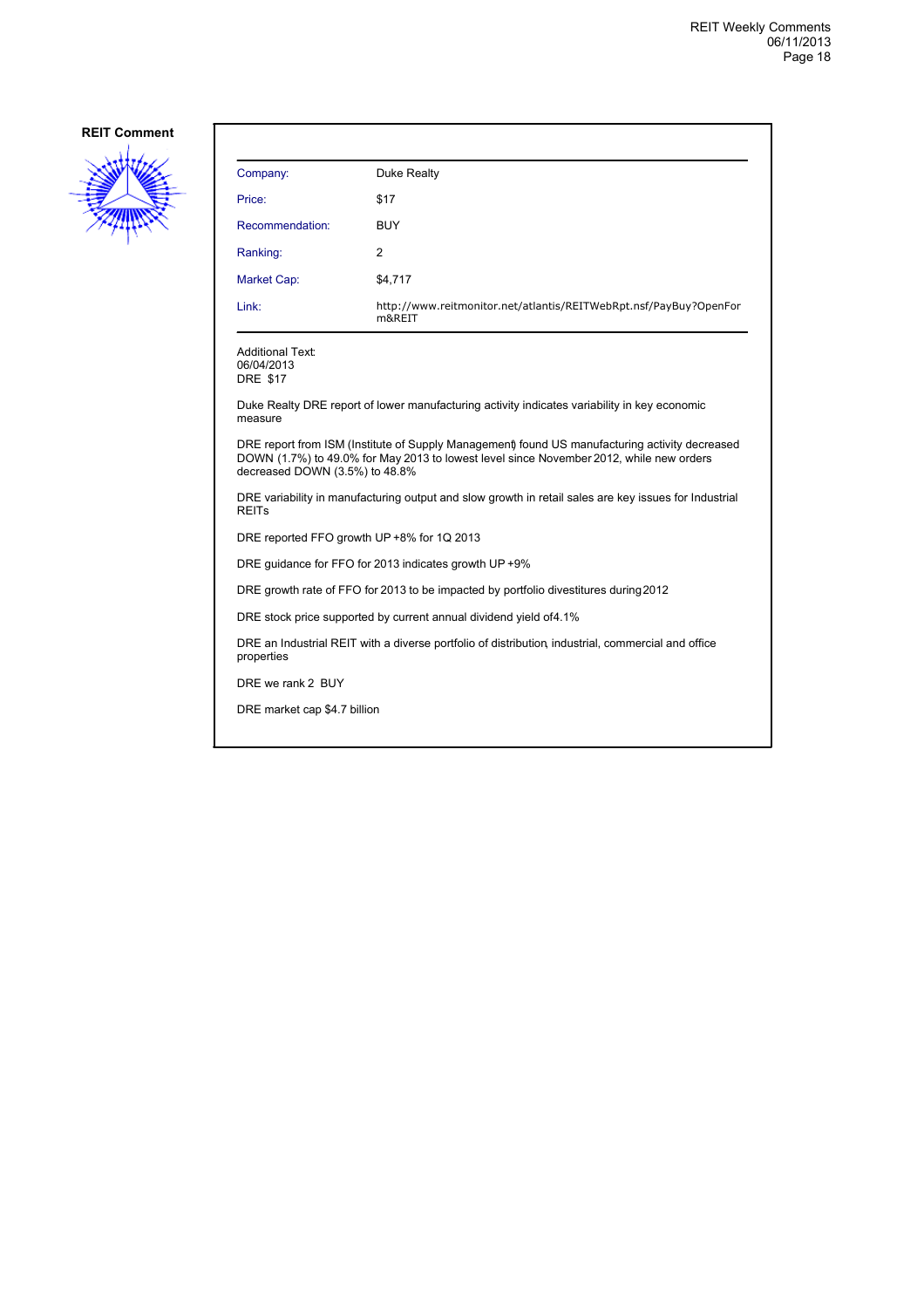

| Company:                                                                                                              | Duke Realty                                                                                                                                                                               |  |
|-----------------------------------------------------------------------------------------------------------------------|-------------------------------------------------------------------------------------------------------------------------------------------------------------------------------------------|--|
| Price:                                                                                                                | \$17                                                                                                                                                                                      |  |
| Recommendation:                                                                                                       | <b>BUY</b>                                                                                                                                                                                |  |
| Ranking:                                                                                                              | 2                                                                                                                                                                                         |  |
| Market Cap:                                                                                                           | \$4,717                                                                                                                                                                                   |  |
| Link:                                                                                                                 | http://www.reitmonitor.net/atlantis/REITWebRpt.nsf/PayBuy?OpenFor<br>m&REIT                                                                                                               |  |
| <b>Additional Text:</b><br>06/04/2013<br><b>DRE \$17</b>                                                              |                                                                                                                                                                                           |  |
| measure                                                                                                               | Duke Realty DRE report of lower manufacturing activity indicates variability in key economic                                                                                              |  |
| decreased DOWN (3.5%) to 48.8%                                                                                        | DRE report from ISM (Institute of Supply Management) found US manufacturing activity decreased<br>DOWN (1.7%) to 49.0% for May 2013 to lowest level since November 2012, while new orders |  |
| DRE variability in manufacturing output and slow growth in retail sales are key issues for Industrial<br><b>REITs</b> |                                                                                                                                                                                           |  |
| DRE reported FFO growth UP +8% for 1Q 2013                                                                            |                                                                                                                                                                                           |  |
| DRE guidance for FFO for 2013 indicates growth UP +9%                                                                 |                                                                                                                                                                                           |  |
| DRE growth rate of FFO for 2013 to be impacted by portfolio divestitures during 2012                                  |                                                                                                                                                                                           |  |
| DRE stock price supported by current annual dividend yield of 4.1%                                                    |                                                                                                                                                                                           |  |
| DRE an Industrial REIT with a diverse portfolio of distribution, industrial, commercial and office<br>properties      |                                                                                                                                                                                           |  |
| DRE we rank 2 BUY                                                                                                     |                                                                                                                                                                                           |  |
| DRE market cap \$4.7 billion                                                                                          |                                                                                                                                                                                           |  |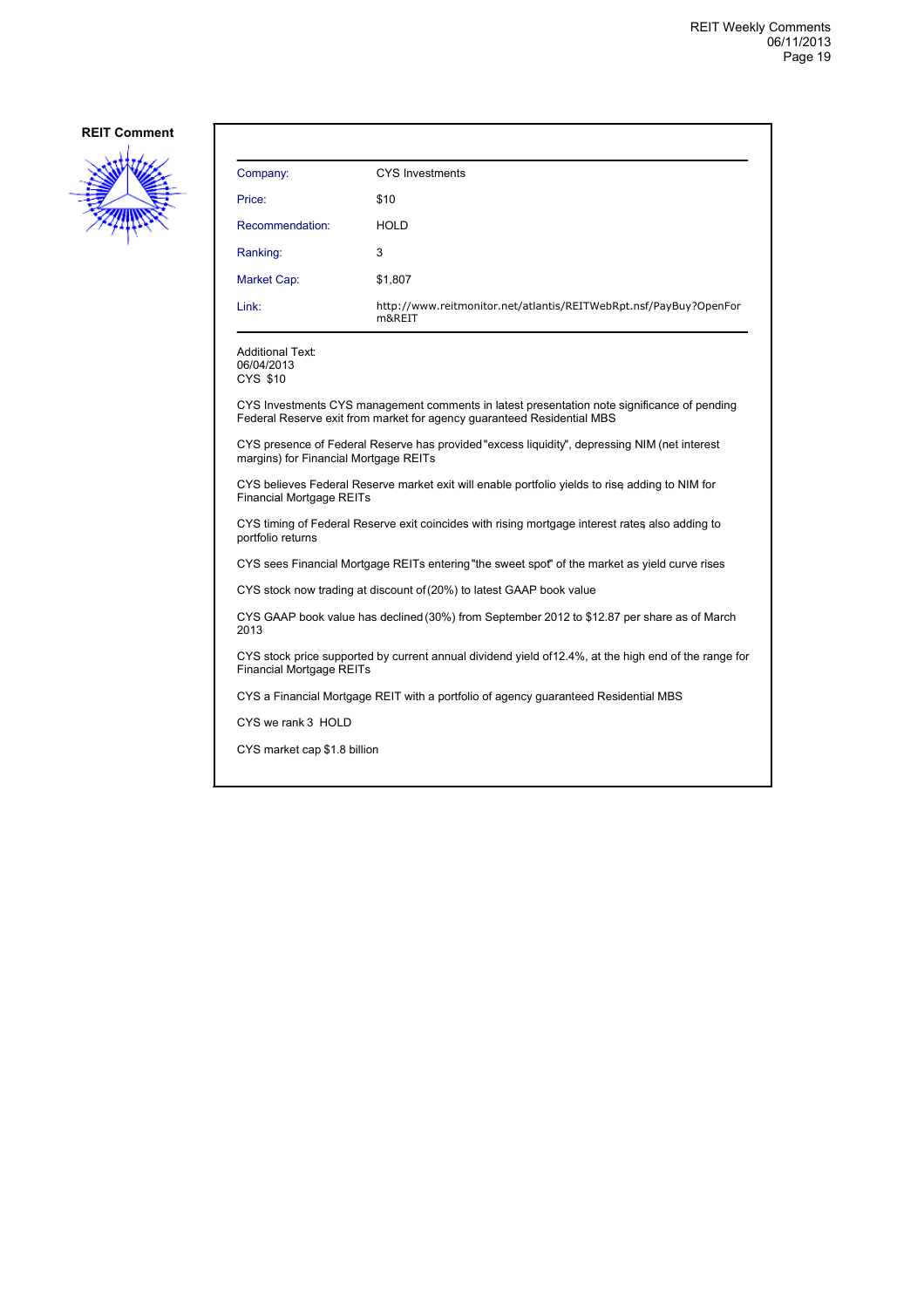

| Company:                                                                                                                                 | <b>CYS Investments</b>                                                                                                                                                |  |
|------------------------------------------------------------------------------------------------------------------------------------------|-----------------------------------------------------------------------------------------------------------------------------------------------------------------------|--|
| Price:                                                                                                                                   | \$10                                                                                                                                                                  |  |
| Recommendation:                                                                                                                          | <b>HOLD</b>                                                                                                                                                           |  |
| Ranking:                                                                                                                                 | 3                                                                                                                                                                     |  |
| Market Cap:                                                                                                                              | \$1,807                                                                                                                                                               |  |
| Link:                                                                                                                                    | http://www.reitmonitor.net/atlantis/REITWebRpt.nsf/PayBuy?OpenFor<br>m&REIT                                                                                           |  |
| <b>Additional Text:</b><br>06/04/2013<br>CYS \$10                                                                                        |                                                                                                                                                                       |  |
|                                                                                                                                          | CYS Investments CYS management comments in latest presentation note significance of pending<br>Federal Reserve exit from market for agency guaranteed Residential MBS |  |
| margins) for Financial Mortgage REITs                                                                                                    | CYS presence of Federal Reserve has provided "excess liquidity", depressing NIM (net interest                                                                         |  |
| CYS believes Federal Reserve market exit will enable portfolio yields to rise adding to NIM for<br><b>Financial Mortgage REITs</b>       |                                                                                                                                                                       |  |
| CYS timing of Federal Reserve exit coincides with rising mortgage interest rates also adding to<br>portfolio returns                     |                                                                                                                                                                       |  |
|                                                                                                                                          | CYS sees Financial Mortgage REITs entering "the sweet spot" of the market as yield curve rises                                                                        |  |
|                                                                                                                                          | CYS stock now trading at discount of (20%) to latest GAAP book value                                                                                                  |  |
| 2013                                                                                                                                     | CYS GAAP book value has declined (30%) from September 2012 to \$12.87 per share as of March                                                                           |  |
| CYS stock price supported by current annual dividend yield of 12.4%, at the high end of the range for<br><b>Financial Mortgage REITs</b> |                                                                                                                                                                       |  |
|                                                                                                                                          | CYS a Financial Mortgage REIT with a portfolio of agency quaranteed Residential MBS                                                                                   |  |
| CYS we rank 3 HOLD                                                                                                                       |                                                                                                                                                                       |  |
| CYS market cap \$1.8 billion                                                                                                             |                                                                                                                                                                       |  |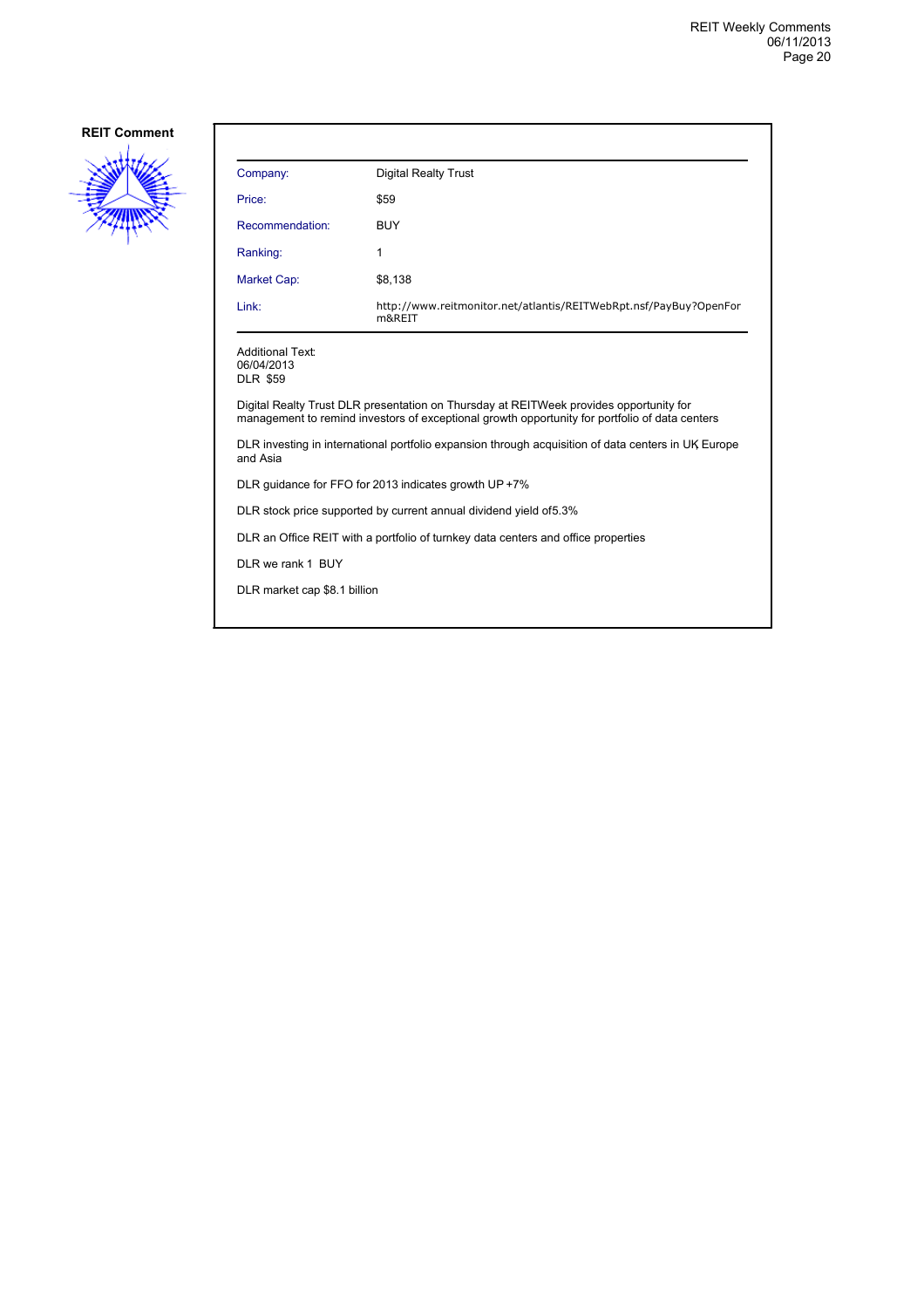

| Company:                                                                                                        | <b>Digital Realty Trust</b>                                                                                                                                                              |  |
|-----------------------------------------------------------------------------------------------------------------|------------------------------------------------------------------------------------------------------------------------------------------------------------------------------------------|--|
| Price:                                                                                                          | \$59                                                                                                                                                                                     |  |
| Recommendation:                                                                                                 | <b>BUY</b>                                                                                                                                                                               |  |
| Ranking:                                                                                                        | 1                                                                                                                                                                                        |  |
| Market Cap:                                                                                                     | \$8,138                                                                                                                                                                                  |  |
| Link:                                                                                                           | http://www.reitmonitor.net/atlantis/REITWebRpt.nsf/PayBuy?OpenFor<br>m&REIT                                                                                                              |  |
| <b>Additional Text:</b><br>06/04/2013<br><b>DLR \$59</b>                                                        |                                                                                                                                                                                          |  |
|                                                                                                                 | Digital Realty Trust DLR presentation on Thursday at REITWeek provides opportunity for<br>management to remind investors of exceptional growth opportunity for portfolio of data centers |  |
| DLR investing in international portfolio expansion through acquisition of data centers in UK Europe<br>and Asia |                                                                                                                                                                                          |  |
| DLR guidance for FFO for 2013 indicates growth UP +7%                                                           |                                                                                                                                                                                          |  |
| DLR stock price supported by current annual dividend yield of 5.3%                                              |                                                                                                                                                                                          |  |
| DLR an Office REIT with a portfolio of turnkey data centers and office properties                               |                                                                                                                                                                                          |  |
| DLR we rank 1 BUY                                                                                               |                                                                                                                                                                                          |  |
| DLR market cap \$8.1 billion                                                                                    |                                                                                                                                                                                          |  |
|                                                                                                                 |                                                                                                                                                                                          |  |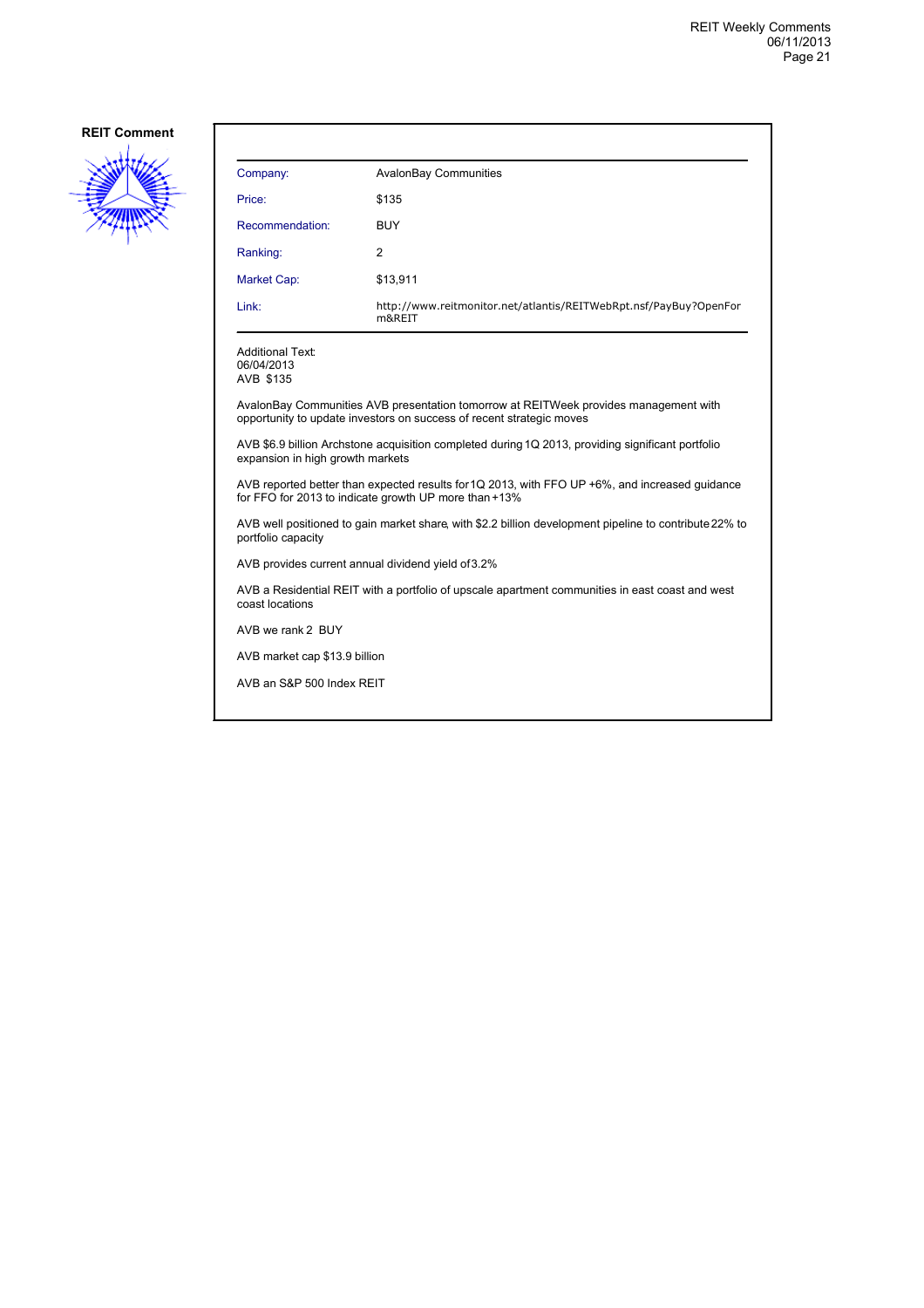

| Company:        | <b>AvalonBay Communities</b>                                                |
|-----------------|-----------------------------------------------------------------------------|
| Price:          | \$135                                                                       |
| Recommendation: | <b>BUY</b>                                                                  |
| Ranking:        | 2                                                                           |
| Market Cap:     | \$13,911                                                                    |
| Link:           | http://www.reitmonitor.net/atlantis/REITWebRpt.nsf/PayBuy?OpenFor<br>m&REIT |

Additional Text: 06/04/2013 AVB \$135

AvalonBay Communities AVB presentation tomorrow at REITWeek provides management with opportunity to update investors on success of recent strategic moves

AVB \$6.9 billion Archstone acquisition completed during 1Q 2013, providing significant portfolio expansion in high growth markets

AVB reported better than expected results for 1Q 2013, with FFO UP +6%, and increased guidance for FFO for 2013 to indicate growth UP more than +13%

AVB well positioned to gain market share, with \$2.2 billion development pipeline to contribute 22% to portfolio capacity

AVB provides current annual dividend yield of 3.2%

AVB a Residential REIT with a portfolio of upscale apartment communities in east coast and west coast locations

AVB we rank 2 BUY

AVB market cap \$13.9 billion

AVB an S&P 500 Index REIT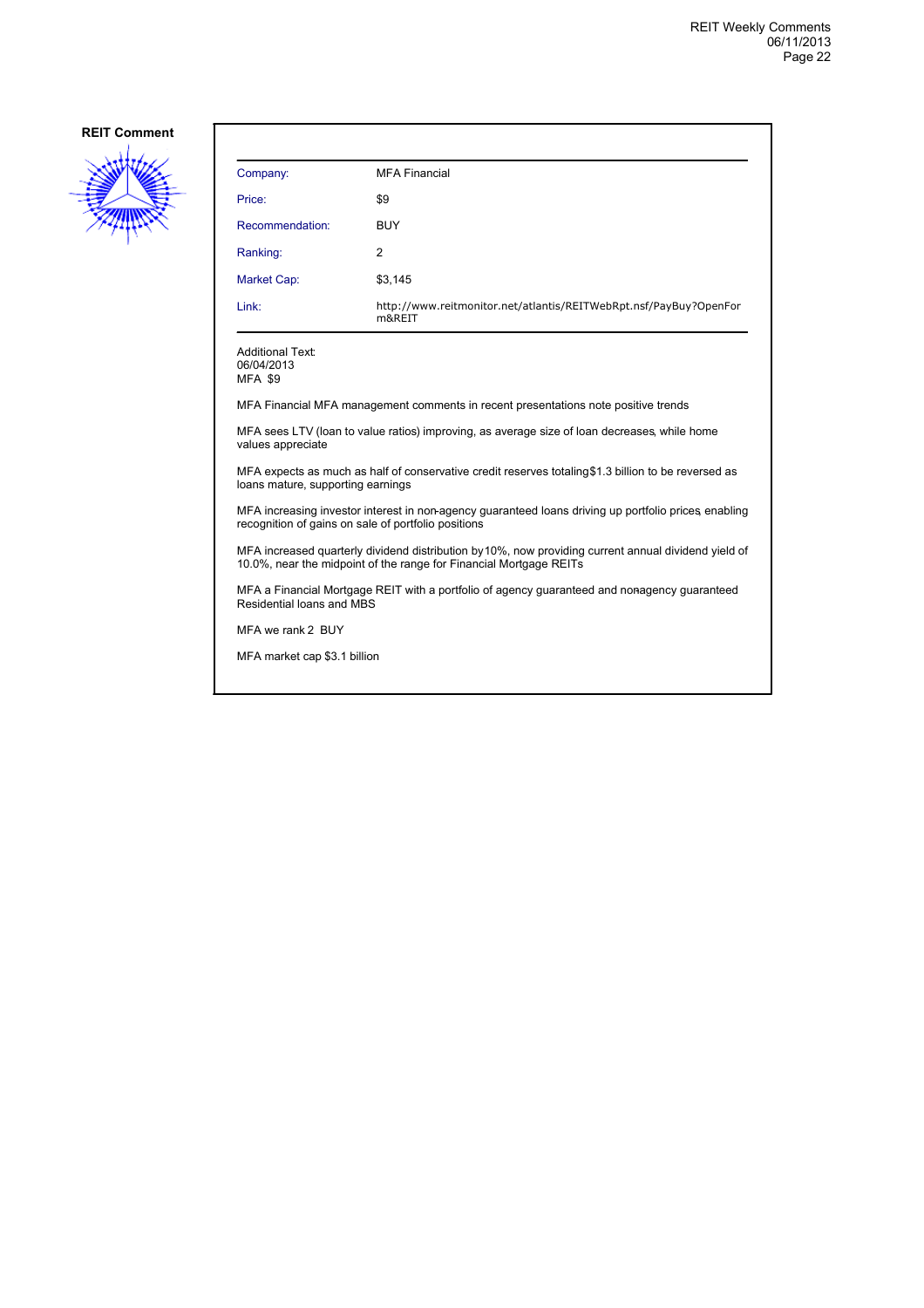

| Company:                                                                           | <b>MFA Financial</b>                                                        |
|------------------------------------------------------------------------------------|-----------------------------------------------------------------------------|
| Price:                                                                             | \$9                                                                         |
| Recommendation:                                                                    | <b>BUY</b>                                                                  |
| Ranking:                                                                           | 2                                                                           |
| <b>Market Cap:</b>                                                                 | \$3,145                                                                     |
| Link:                                                                              | http://www.reitmonitor.net/atlantis/REITWebRpt.nsf/PayBuy?OpenFor<br>m&REIT |
| <b>Additional Text:</b><br>06/04/2013<br><b>MFA \$9</b>                            |                                                                             |
| MFA Financial MFA management comments in recent presentations note positive trends |                                                                             |

MFA sees LTV (loan to value ratios) improving, as average size of loan decreases, while home values appreciate

MFA expects as much as half of conservative credit reserves totaling \$1.3 billion to be reversed as loans mature, supporting earnings

MFA increasing investor interest in non-agency guaranteed loans driving up portfolio prices, enabling recognition of gains on sale of portfolio positions

MFA increased quarterly dividend distribution by 10%, now providing current annual dividend yield of 10.0%, near the midpoint of the range for Financial Mortgage REITs

MFA a Financial Mortgage REIT with a portfolio of agency guaranteed and nonagency guaranteed Residential loans and MBS

MFA we rank 2 BUY

MFA market cap \$3.1 billion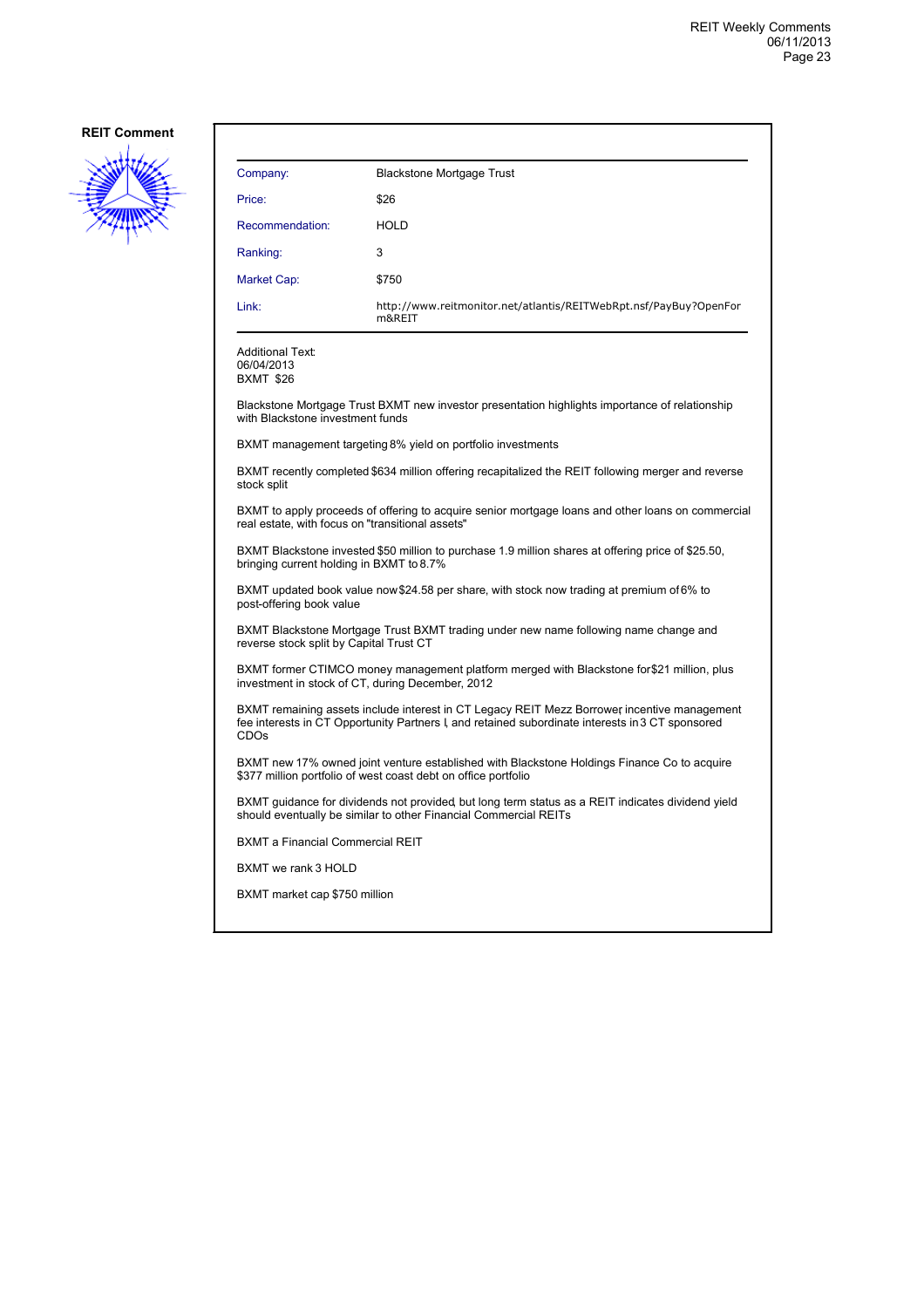

| Company:        | <b>Blackstone Mortgage Trust</b>                                            |
|-----------------|-----------------------------------------------------------------------------|
| Price:          | \$26                                                                        |
| Recommendation: | <b>HOLD</b>                                                                 |
| Ranking:        | 3                                                                           |
| Market Cap:     | \$750                                                                       |
| Link:           | http://www.reitmonitor.net/atlantis/REITWebRpt.nsf/PayBuy?OpenFor<br>m&REIT |

Additional Text: 06/04/2013 BXMT \$26

Blackstone Mortgage Trust BXMT new investor presentation highlights importance of relationship with Blackstone investment funds

BXMT management targeting 8% yield on portfolio investments

BXMT recently completed \$634 million offering recapitalized the REIT following merger and reverse stock split

BXMT to apply proceeds of offering to acquire senior mortgage loans and other loans on commercial real estate, with focus on "transitional assets"

BXMT Blackstone invested \$50 million to purchase 1.9 million shares at offering price of \$25.50, bringing current holding in BXMT to 8.7%

BXMT updated book value now \$24.58 per share, with stock now trading at premium of 6% to post-offering book value

BXMT Blackstone Mortgage Trust BXMT trading under new name following name change and reverse stock split by Capital Trust CT

BXMT former CTIMCO money management platform merged with Blackstone for \$21 million, plus investment in stock of CT, during December, 2012

BXMT remaining assets include interest in CT Legacy REIT Mezz Borrower, incentive management fee interests in CT Opportunity Partners I, and retained subordinate interests in 3 CT sponsored CDOs

BXMT new 17% owned joint venture established with Blackstone Holdings Finance Co to acquire \$377 million portfolio of west coast debt on office portfolio

BXMT guidance for dividends not provided, but long term status as a REIT indicates dividend yield should eventually be similar to other Financial Commercial REITs

BXMT a Financial Commercial REIT

BXMT we rank 3 HOLD

BXMT market cap \$750 million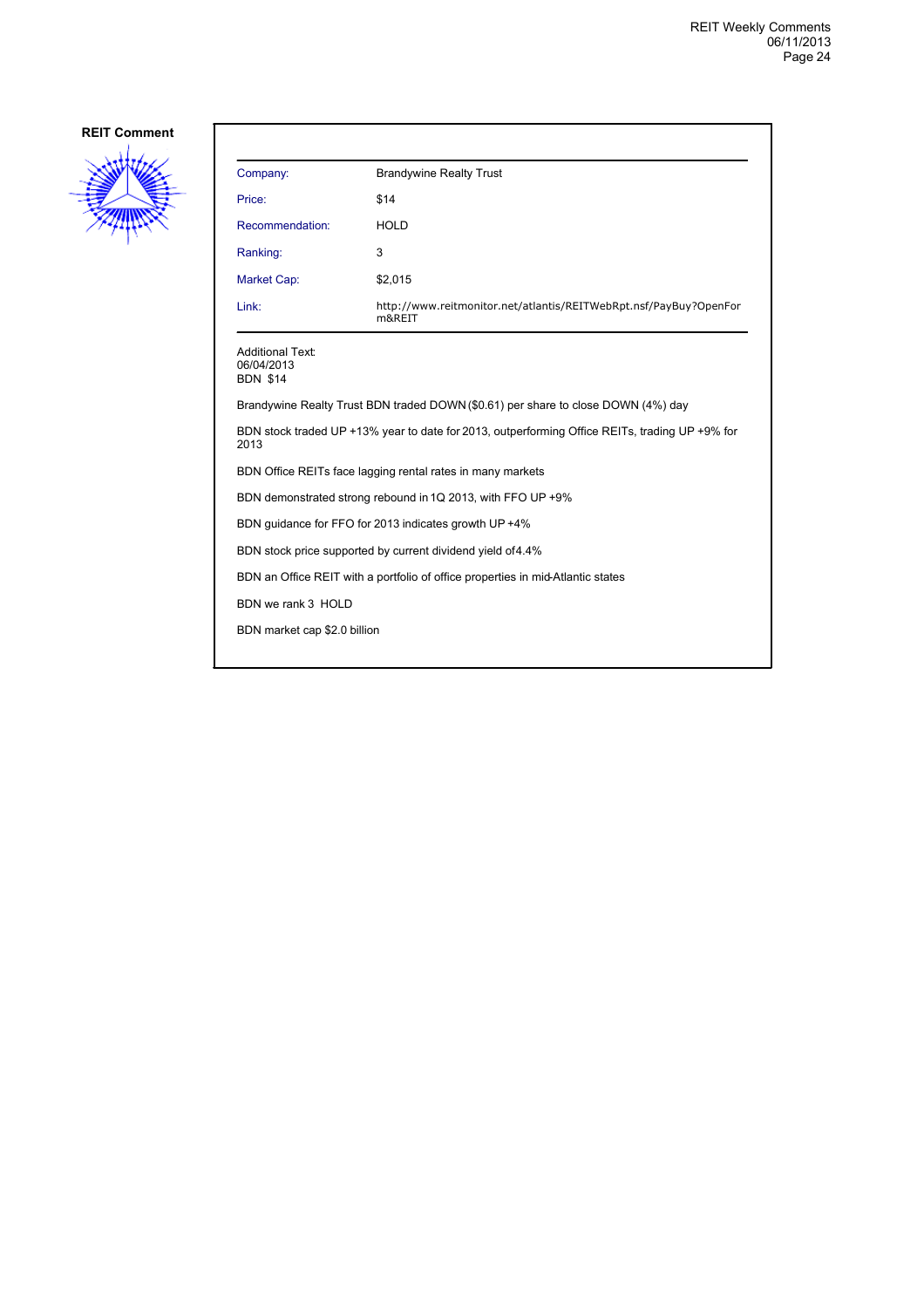

| Company:                                                                                               | <b>Brandywine Realty Trust</b>                                                    |  |
|--------------------------------------------------------------------------------------------------------|-----------------------------------------------------------------------------------|--|
| Price:                                                                                                 | \$14                                                                              |  |
| Recommendation:                                                                                        | <b>HOLD</b>                                                                       |  |
| Ranking:                                                                                               | 3                                                                                 |  |
| Market Cap:                                                                                            | \$2,015                                                                           |  |
| Link:                                                                                                  | http://www.reitmonitor.net/atlantis/REITWebRpt.nsf/PayBuy?OpenFor<br>m&REIT       |  |
| <b>Additional Text:</b><br>06/04/2013<br><b>BDN \$14</b>                                               |                                                                                   |  |
|                                                                                                        | Brandywine Realty Trust BDN traded DOWN (\$0.61) per share to close DOWN (4%) day |  |
| BDN stock traded UP +13% year to date for 2013, outperforming Office REITs, trading UP +9% for<br>2013 |                                                                                   |  |
| BDN Office REITs face lagging rental rates in many markets                                             |                                                                                   |  |
| BDN demonstrated strong rebound in 1Q 2013, with FFO UP +9%                                            |                                                                                   |  |
| BDN quidance for FFO for 2013 indicates growth UP +4%                                                  |                                                                                   |  |
| BDN stock price supported by current dividend yield of 4.4%                                            |                                                                                   |  |
| BDN an Office REIT with a portfolio of office properties in mid-Atlantic states                        |                                                                                   |  |
| BDN we rank 3 HOLD                                                                                     |                                                                                   |  |
| BDN market cap \$2.0 billion                                                                           |                                                                                   |  |
|                                                                                                        |                                                                                   |  |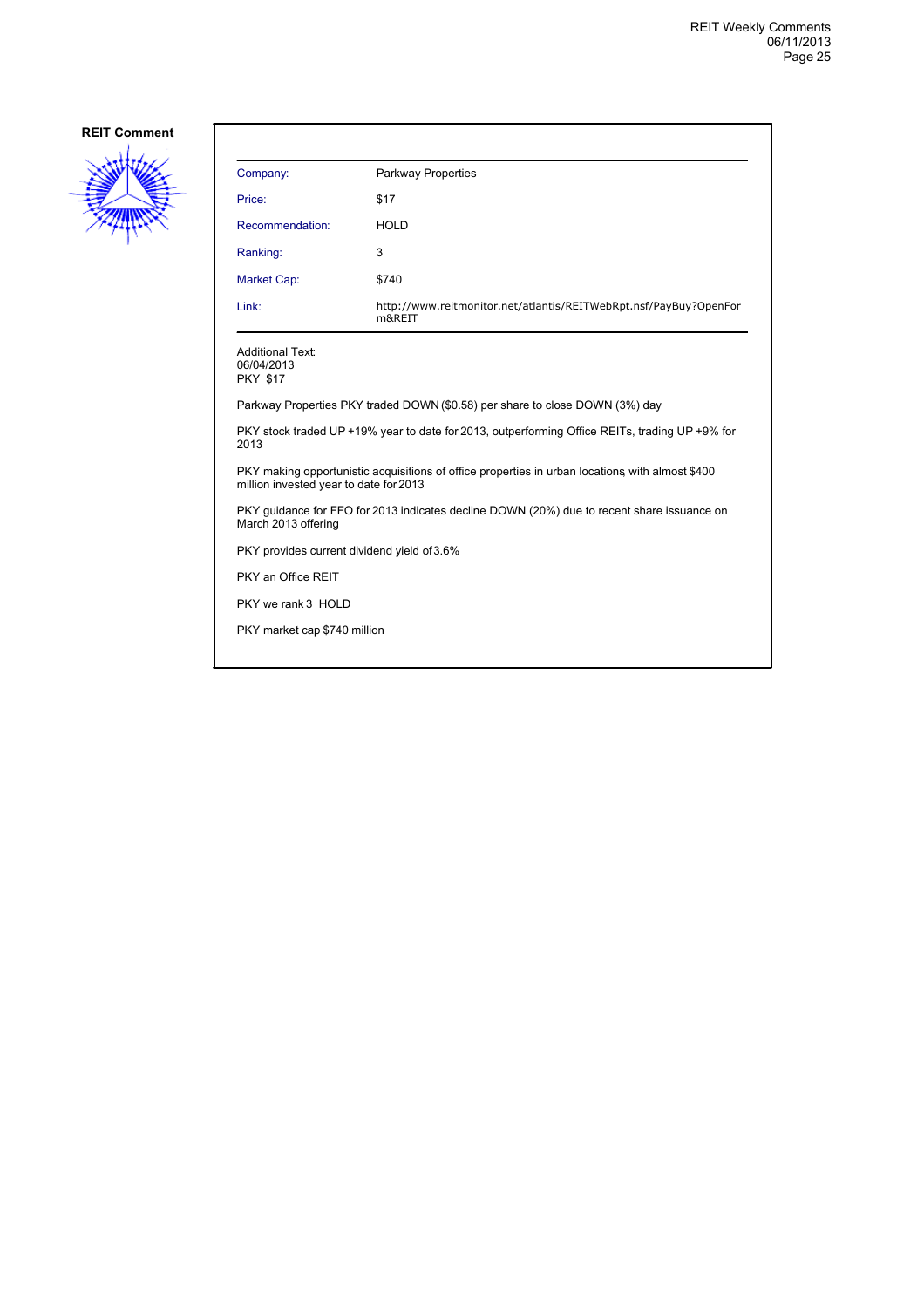

| Company:                                                                                                                                  | <b>Parkway Properties</b>                                                    |  |
|-------------------------------------------------------------------------------------------------------------------------------------------|------------------------------------------------------------------------------|--|
| Price:                                                                                                                                    | \$17                                                                         |  |
| Recommendation:                                                                                                                           | <b>HOLD</b>                                                                  |  |
| Ranking:                                                                                                                                  | 3                                                                            |  |
| Market Cap:                                                                                                                               | \$740                                                                        |  |
| Link:                                                                                                                                     | http://www.reitmonitor.net/atlantis/REITWebRpt.nsf/PayBuy?OpenFor<br>m&REIT  |  |
| <b>Additional Text:</b><br>06/04/2013<br><b>PKY \$17</b>                                                                                  |                                                                              |  |
|                                                                                                                                           | Parkway Properties PKY traded DOWN (\$0.58) per share to close DOWN (3%) day |  |
| PKY stock traded UP +19% year to date for 2013, outperforming Office REITs, trading UP +9% for<br>2013                                    |                                                                              |  |
| PKY making opportunistic acquisitions of office properties in urban locations with almost \$400<br>million invested year to date for 2013 |                                                                              |  |
| PKY guidance for FFO for 2013 indicates decline DOWN (20%) due to recent share issuance on<br>March 2013 offering                         |                                                                              |  |
| PKY provides current dividend yield of 3.6%                                                                                               |                                                                              |  |
| PKY an Office REIT                                                                                                                        |                                                                              |  |
| PKY we rank 3 HOLD                                                                                                                        |                                                                              |  |
| PKY market cap \$740 million                                                                                                              |                                                                              |  |
|                                                                                                                                           |                                                                              |  |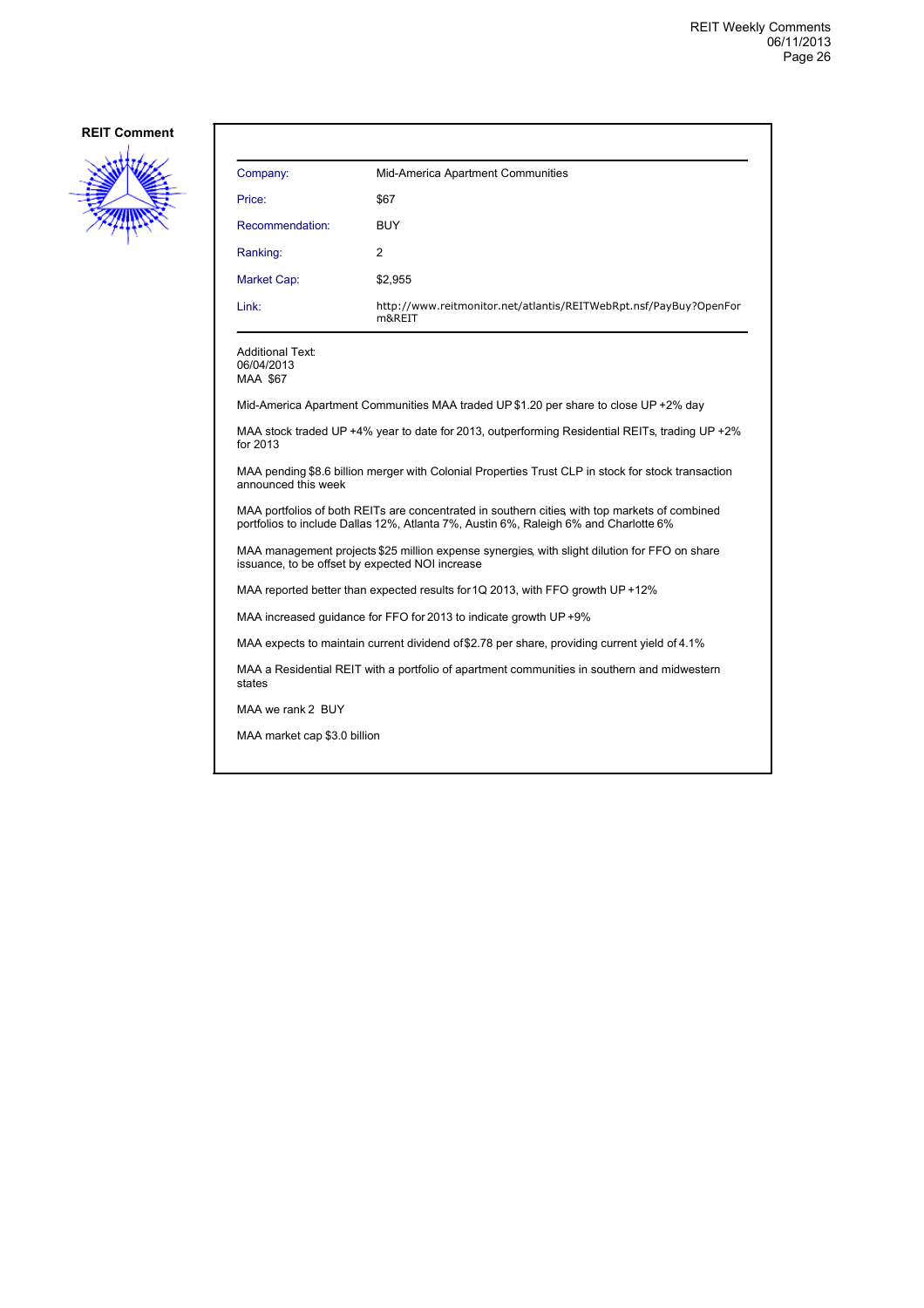

| Company:        | Mid-America Apartment Communities                                           |
|-----------------|-----------------------------------------------------------------------------|
| Price:          | \$67                                                                        |
| Recommendation: | <b>BUY</b>                                                                  |
| Ranking:        | 2                                                                           |
| Market Cap:     | \$2,955                                                                     |
| Link:           | http://www.reitmonitor.net/atlantis/REITWebRpt.nsf/PayBuy?OpenFor<br>m&REIT |

Additional Text: 06/04/2013 MAA \$67

Mid-America Apartment Communities MAA traded UP \$1.20 per share to close UP +2% day

MAA stock traded UP +4% year to date for 2013, outperforming Residential REITs, trading UP +2% for 2013

MAA pending \$8.6 billion merger with Colonial Properties Trust CLP in stock for stock transaction announced this week

MAA portfolios of both REITs are concentrated in southern cities, with top markets of combined portfolios to include Dallas 12%, Atlanta 7%, Austin 6%, Raleigh 6% and Charlotte 6%

MAA management projects \$25 million expense synergies, with slight dilution for FFO on share issuance, to be offset by expected NOI increase

MAA reported better than expected results for 1Q 2013, with FFO growth UP +12%

MAA increased guidance for FFO for 2013 to indicate growth UP +9%

MAA expects to maintain current dividend of \$2.78 per share, providing current yield of 4.1%

MAA a Residential REIT with a portfolio of apartment communities in southern and midwestern states

MAA we rank 2 BUY

MAA market cap \$3.0 billion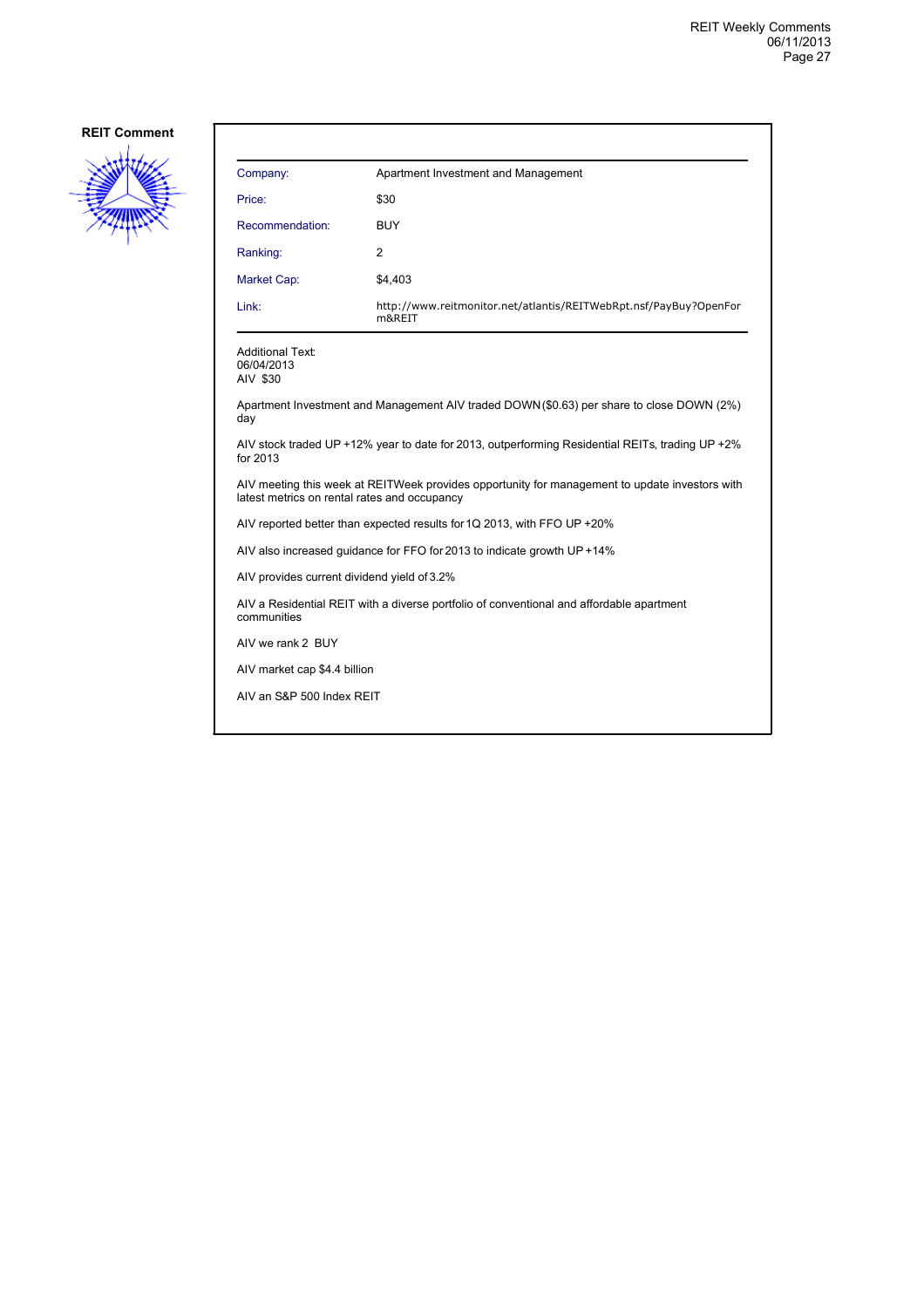

| Company:        | Apartment Investment and Management                                         |
|-----------------|-----------------------------------------------------------------------------|
| Price:          | \$30                                                                        |
| Recommendation: | <b>BUY</b>                                                                  |
| Ranking:        | 2                                                                           |
| Market Cap:     | \$4,403                                                                     |
| Link:           | http://www.reitmonitor.net/atlantis/REITWebRpt.nsf/PayBuy?OpenFor<br>m&REIT |

Additional Text: 06/04/2013 AIV \$30

Apartment Investment and Management AIV traded DOWN (\$0.63) per share to close DOWN (2%) day

AIV stock traded UP +12% year to date for 2013, outperforming Residential REITs, trading UP +2% for 2013

AIV meeting this week at REITWeek provides opportunity for management to update investors with latest metrics on rental rates and occupancy

AIV reported better than expected results for 1Q 2013, with FFO UP +20%

AIV also increased guidance for FFO for 2013 to indicate growth UP +14%

AIV provides current dividend yield of 3.2%

AIV a Residential REIT with a diverse portfolio of conventional and affordable apartment communities

AIV we rank 2 BUY

AIV market cap \$4.4 billion

AIV an S&P 500 Index REIT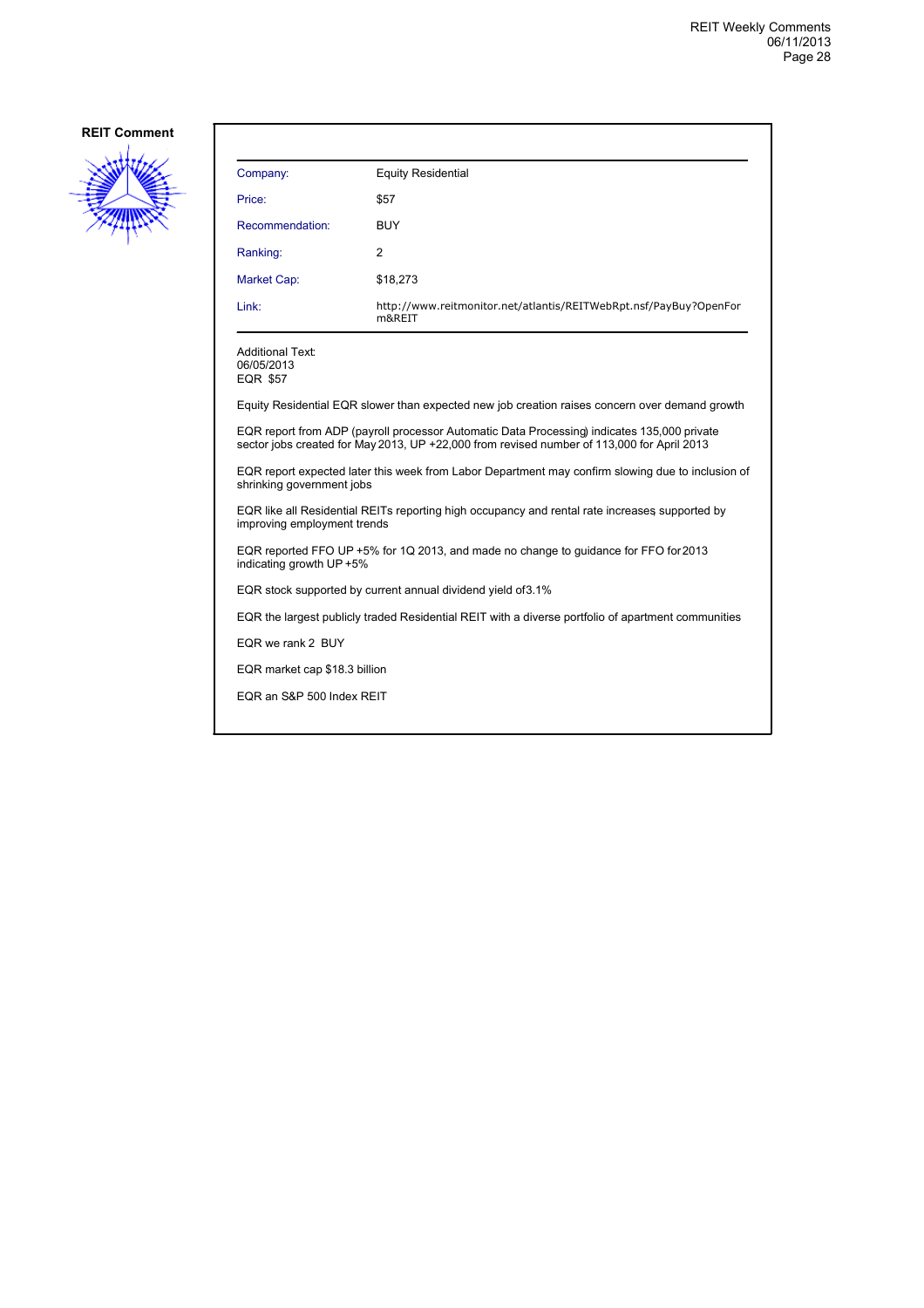

| Company:                                                                                                                                                                                  | <b>Equity Residential</b>                                                   |  |
|-------------------------------------------------------------------------------------------------------------------------------------------------------------------------------------------|-----------------------------------------------------------------------------|--|
| Price:                                                                                                                                                                                    | \$57                                                                        |  |
| Recommendation:                                                                                                                                                                           | <b>BUY</b>                                                                  |  |
| Ranking:                                                                                                                                                                                  | $\overline{2}$                                                              |  |
| Market Cap:                                                                                                                                                                               | \$18,273                                                                    |  |
| Link:                                                                                                                                                                                     | http://www.reitmonitor.net/atlantis/REITWebRpt.nsf/PayBuy?OpenFor<br>m&REIT |  |
| <b>Additional Text:</b><br>06/05/2013<br>EQR \$57                                                                                                                                         |                                                                             |  |
| Equity Residential EQR slower than expected new job creation raises concern over demand growth                                                                                            |                                                                             |  |
| EQR report from ADP (payroll processor Automatic Data Processing) indicates 135,000 private<br>sector jobs created for May 2013, UP +22,000 from revised number of 113,000 for April 2013 |                                                                             |  |
| EQR report expected later this week from Labor Department may confirm slowing due to inclusion of<br>shrinking government jobs                                                            |                                                                             |  |

EQR like all Residential REITs reporting high occupancy and rental rate increases, supported by improving employment trends

EQR reported FFO UP +5% for 1Q 2013, and made no change to guidance for FFO for 2013 indicating growth UP +5%

EQR stock supported by current annual dividend yield of 3.1%

EQR the largest publicly traded Residential REIT with a diverse portfolio of apartment communities

EQR we rank 2 BUY

EQR market cap \$18.3 billion

EQR an S&P 500 Index REIT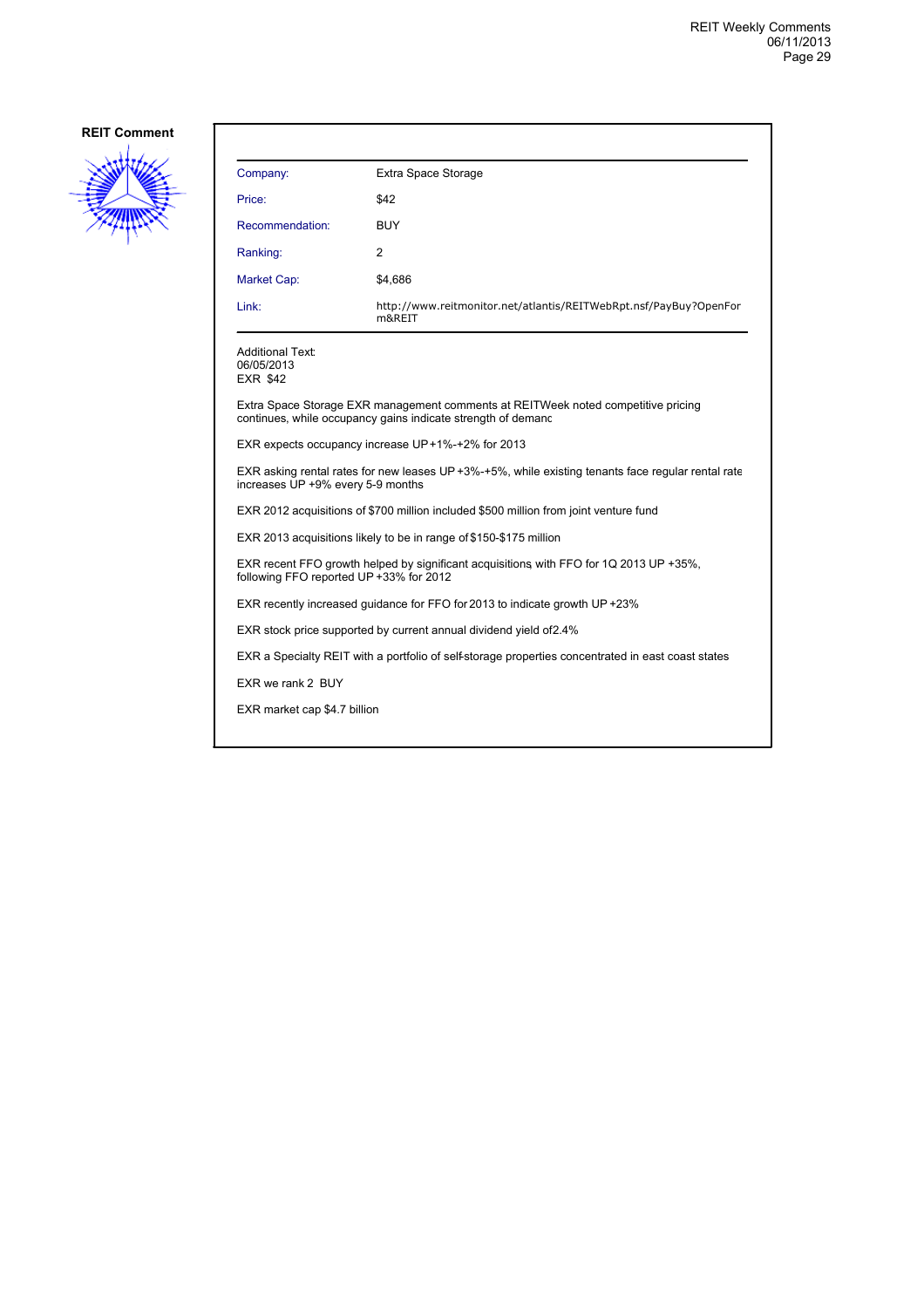

| Company:                                                                                                                                          | Extra Space Storage                                                         |  |
|---------------------------------------------------------------------------------------------------------------------------------------------------|-----------------------------------------------------------------------------|--|
| Price:                                                                                                                                            | \$42                                                                        |  |
| Recommendation:                                                                                                                                   | <b>BUY</b>                                                                  |  |
| Ranking:                                                                                                                                          | 2                                                                           |  |
| Market Cap:                                                                                                                                       | \$4,686                                                                     |  |
| Link:                                                                                                                                             | http://www.reitmonitor.net/atlantis/REITWebRpt.nsf/PayBuy?OpenFor<br>m&REIT |  |
| Additional Text:<br>06/05/2013<br><b>EXR \$42</b>                                                                                                 |                                                                             |  |
| Extra Space Storage EXR management comments at REITWeek noted competitive pricing<br>continues, while occupancy gains indicate strength of demand |                                                                             |  |
| EXR expects occupancy increase UP+1%-+2% for 2013                                                                                                 |                                                                             |  |
| EXR asking rental rates for new leases UP +3%-+5%, while existing tenants face regular rental rate<br>increases UP +9% every 5-9 months           |                                                                             |  |
| EXR 2012 acquisitions of \$700 million included \$500 million from joint venture fund                                                             |                                                                             |  |
| EXR 2013 acquisitions likely to be in range of \$150-\$175 million                                                                                |                                                                             |  |
| EXR recent FFO growth helped by significant acquisitions with FFO for 1Q 2013 UP +35%,<br>following FFO reported UP +33% for 2012                 |                                                                             |  |
| EXR recently increased quidance for FFO for 2013 to indicate growth UP +23%                                                                       |                                                                             |  |
| EXR stock price supported by current annual dividend yield of 2.4%                                                                                |                                                                             |  |
| EXR a Specialty REIT with a portfolio of self-storage properties concentrated in east coast states                                                |                                                                             |  |
| EXR we rank 2 BUY                                                                                                                                 |                                                                             |  |
| EXR market cap \$4.7 billion                                                                                                                      |                                                                             |  |
|                                                                                                                                                   |                                                                             |  |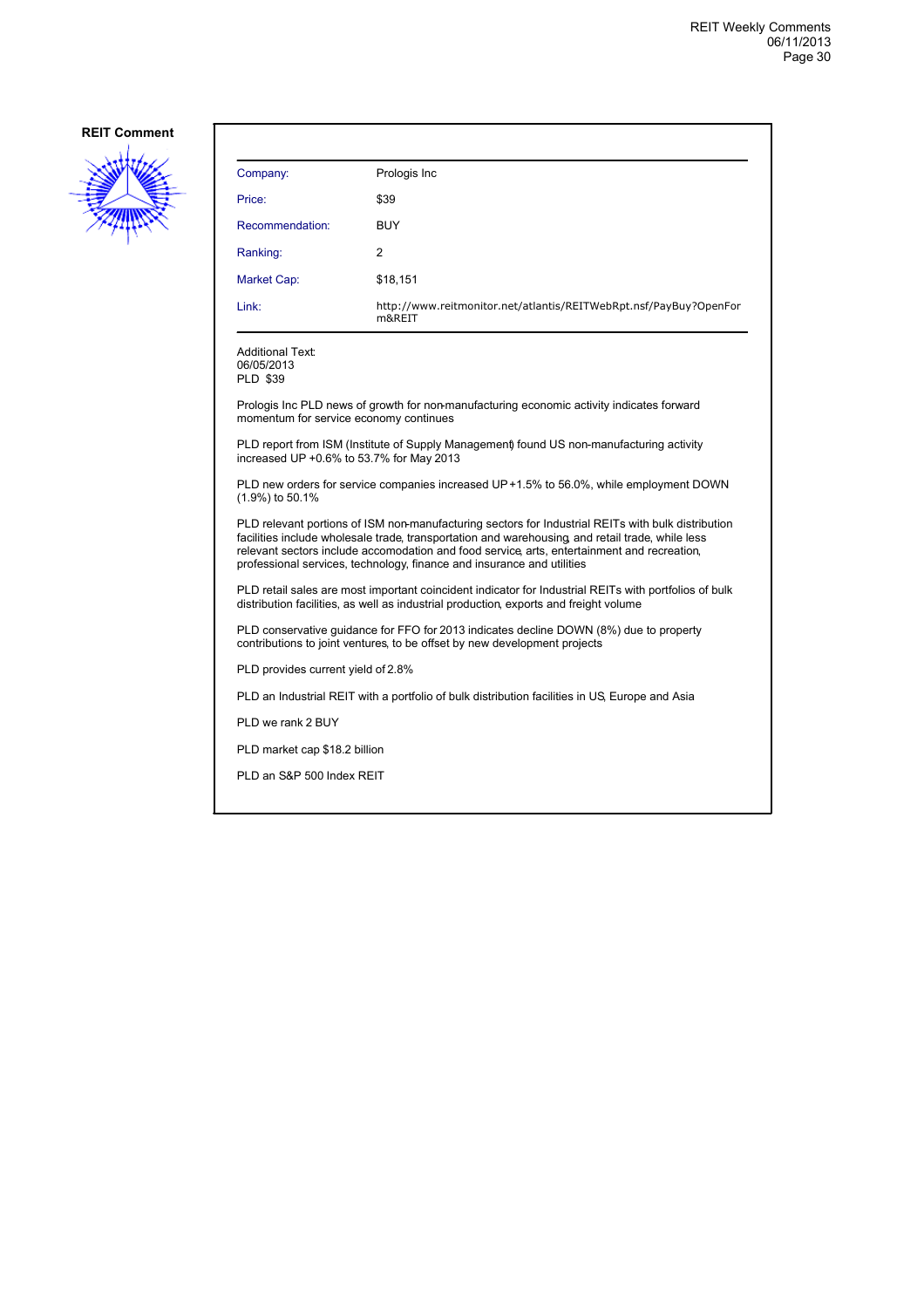

| Company:                                                                                                                                                                                       | Prologis Inc                                                                                                                                                                                                                                                                                                                                                                   |  |
|------------------------------------------------------------------------------------------------------------------------------------------------------------------------------------------------|--------------------------------------------------------------------------------------------------------------------------------------------------------------------------------------------------------------------------------------------------------------------------------------------------------------------------------------------------------------------------------|--|
| Price:                                                                                                                                                                                         | \$39                                                                                                                                                                                                                                                                                                                                                                           |  |
| Recommendation:                                                                                                                                                                                | <b>BUY</b>                                                                                                                                                                                                                                                                                                                                                                     |  |
| Ranking:                                                                                                                                                                                       | 2                                                                                                                                                                                                                                                                                                                                                                              |  |
| Market Cap:                                                                                                                                                                                    | \$18,151                                                                                                                                                                                                                                                                                                                                                                       |  |
| Link:                                                                                                                                                                                          | http://www.reitmonitor.net/atlantis/REITWebRpt.nsf/PayBuy?OpenFor<br>m&REIT                                                                                                                                                                                                                                                                                                    |  |
| <b>Additional Text:</b><br>06/05/2013<br><b>PLD \$39</b>                                                                                                                                       | Prologis Inc PLD news of growth for non-manufacturing economic activity indicates forward                                                                                                                                                                                                                                                                                      |  |
| momentum for service economy continues<br>PLD report from ISM (Institute of Supply Management) found US non-manufacturing activity<br>increased UP +0.6% to 53.7% for May 2013                 |                                                                                                                                                                                                                                                                                                                                                                                |  |
| PLD new orders for service companies increased UP+1.5% to 56.0%, while employment DOWN<br>(1.9%) to 50.1%                                                                                      |                                                                                                                                                                                                                                                                                                                                                                                |  |
|                                                                                                                                                                                                | PLD relevant portions of ISM non-manufacturing sectors for Industrial REITs with bulk distribution<br>facilities include wholesale trade, transportation and warehousing and retail trade, while less<br>relevant sectors include accomodation and food service, arts, entertainment and recreation,<br>professional services, technology, finance and insurance and utilities |  |
| PLD retail sales are most important coincident indicator for Industrial REITs with portfolios of bulk<br>distribution facilities, as well as industrial production, exports and freight volume |                                                                                                                                                                                                                                                                                                                                                                                |  |
| PLD conservative guidance for FFO for 2013 indicates decline DOWN (8%) due to property<br>contributions to joint ventures, to be offset by new development projects                            |                                                                                                                                                                                                                                                                                                                                                                                |  |
|                                                                                                                                                                                                |                                                                                                                                                                                                                                                                                                                                                                                |  |

PLD provides current yield of 2.8%

PLD an Industrial REIT with a portfolio of bulk distribution facilities in US, Europe and Asia

PLD we rank 2 BUY

PLD market cap \$18.2 billion

PLD an S&P 500 Index REIT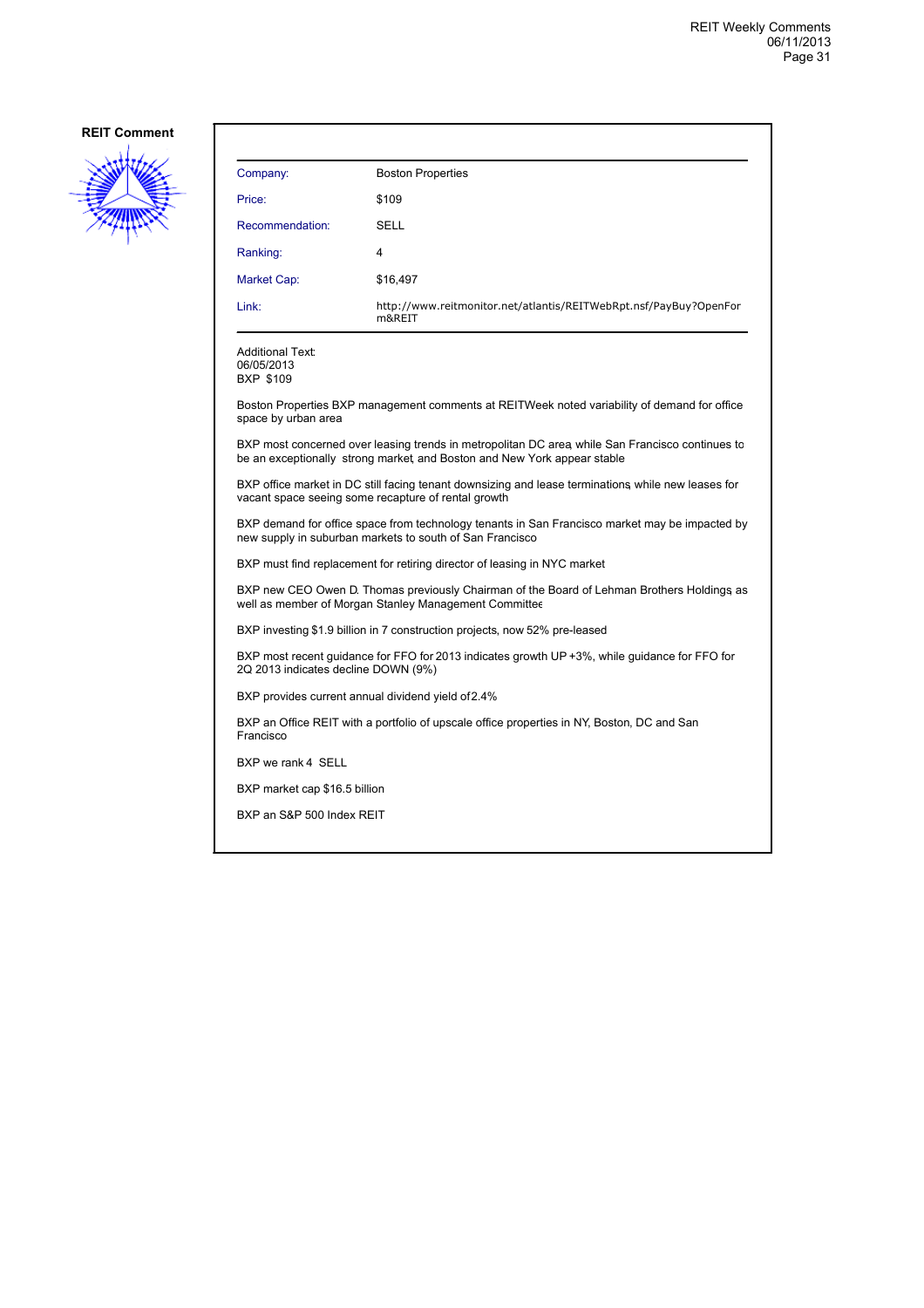

| Company:                                                                                                                                                                    | <b>Boston Properties</b>                                                    |  |
|-----------------------------------------------------------------------------------------------------------------------------------------------------------------------------|-----------------------------------------------------------------------------|--|
| Price:                                                                                                                                                                      | \$109                                                                       |  |
| Recommendation:                                                                                                                                                             | SELL                                                                        |  |
| Ranking:                                                                                                                                                                    | 4                                                                           |  |
| Market Cap:                                                                                                                                                                 | \$16,497                                                                    |  |
| Link:                                                                                                                                                                       | http://www.reitmonitor.net/atlantis/REITWebRpt.nsf/PayBuy?OpenFor<br>m&REIT |  |
| Additional Text:<br>06/05/2013<br><b>BXP \$109</b>                                                                                                                          |                                                                             |  |
| Boston Properties BXP management comments at REITWeek noted variability of demand for office<br>space by urban area                                                         |                                                                             |  |
| BXP most concerned over leasing trends in metropolitan DC area while San Francisco continues to<br>be an exceptionally strong market, and Boston and New York appear stable |                                                                             |  |
| BXP office market in DC still facing tenant downsizing and lease terminations while new leases for<br>vacant space seeing some recapture of rental growth                   |                                                                             |  |
| BXP demand for office space from technology tenants in San Francisco market may be impacted by<br>new supply in suburban markets to south of San Francisco                  |                                                                             |  |
| BXP must find replacement for retiring director of leasing in NYC market                                                                                                    |                                                                             |  |
| BXP new CEO Owen D. Thomas previously Chairman of the Board of Lehman Brothers Holdings as<br>well as member of Morgan Stanley Management Committee                         |                                                                             |  |
| BXP investing \$1.9 billion in 7 construction projects, now 52% pre-leased                                                                                                  |                                                                             |  |
| BXP most recent guidance for FFO for 2013 indicates growth UP +3%, while guidance for FFO for<br>2Q 2013 indicates decline DOWN (9%)                                        |                                                                             |  |
| BXP provides current annual dividend yield of 2.4%                                                                                                                          |                                                                             |  |
| BXP an Office REIT with a portfolio of upscale office properties in NY, Boston, DC and San<br>Francisco                                                                     |                                                                             |  |
| BXP we rank 4 SELL                                                                                                                                                          |                                                                             |  |
| BXP market cap \$16.5 billion                                                                                                                                               |                                                                             |  |
| BXP an S&P 500 Index REIT                                                                                                                                                   |                                                                             |  |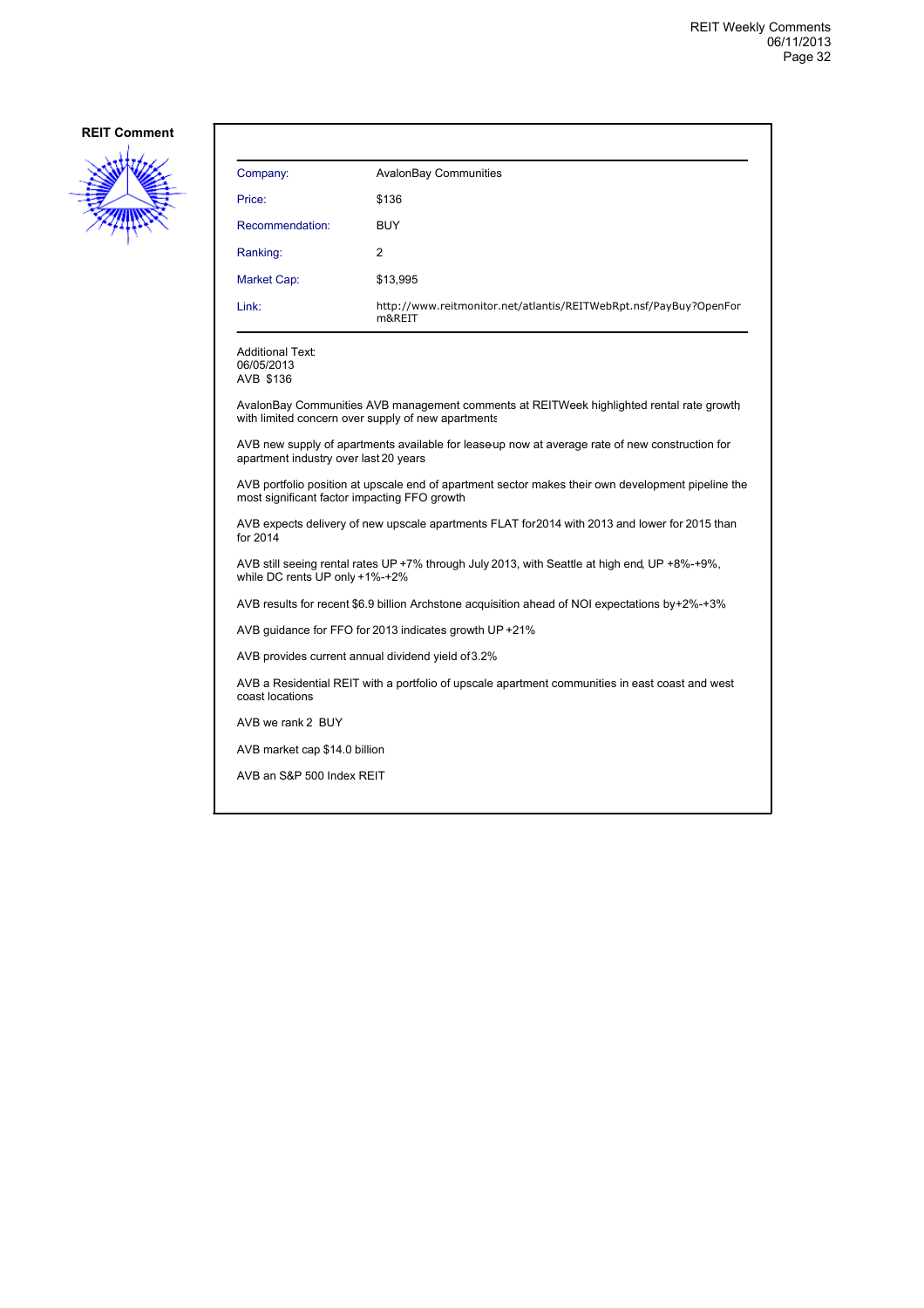

| Company:                                                                                                                                           | <b>AvalonBay Communities</b>                                                |  |
|----------------------------------------------------------------------------------------------------------------------------------------------------|-----------------------------------------------------------------------------|--|
| Price:                                                                                                                                             | \$136                                                                       |  |
| Recommendation:                                                                                                                                    | <b>BUY</b>                                                                  |  |
| Ranking:                                                                                                                                           | 2                                                                           |  |
| Market Cap:                                                                                                                                        | \$13,995                                                                    |  |
| Link:                                                                                                                                              | http://www.reitmonitor.net/atlantis/REITWebRpt.nsf/PayBuy?OpenFor<br>m&REIT |  |
| <b>Additional Text:</b><br>06/05/2013<br>AVB \$136                                                                                                 |                                                                             |  |
| AvalonBay Communities AVB management comments at REITWeek highlighted rental rate growth<br>with limited concern over supply of new apartments     |                                                                             |  |
| AVB new supply of apartments available for leaseup now at average rate of new construction for<br>apartment industry over last 20 years            |                                                                             |  |
| AVB portfolio position at upscale end of apartment sector makes their own development pipeline the<br>most significant factor impacting FFO growth |                                                                             |  |

AVB expects delivery of new upscale apartments FLAT for 2014 with 2013 and lower for 2015 than for 2014

AVB still seeing rental rates UP +7% through July 2013, with Seattle at high end, UP +8%-+9%, while DC rents UP only +1%-+2%

AVB results for recent \$6.9 billion Archstone acquisition ahead of NOI expectations by +2%-+3%

AVB guidance for FFO for 2013 indicates growth UP +21%

AVB provides current annual dividend yield of 3.2%

AVB a Residential REIT with a portfolio of upscale apartment communities in east coast and west coast locations

AVB we rank 2 BUY

AVB market cap \$14.0 billion

AVB an S&P 500 Index REIT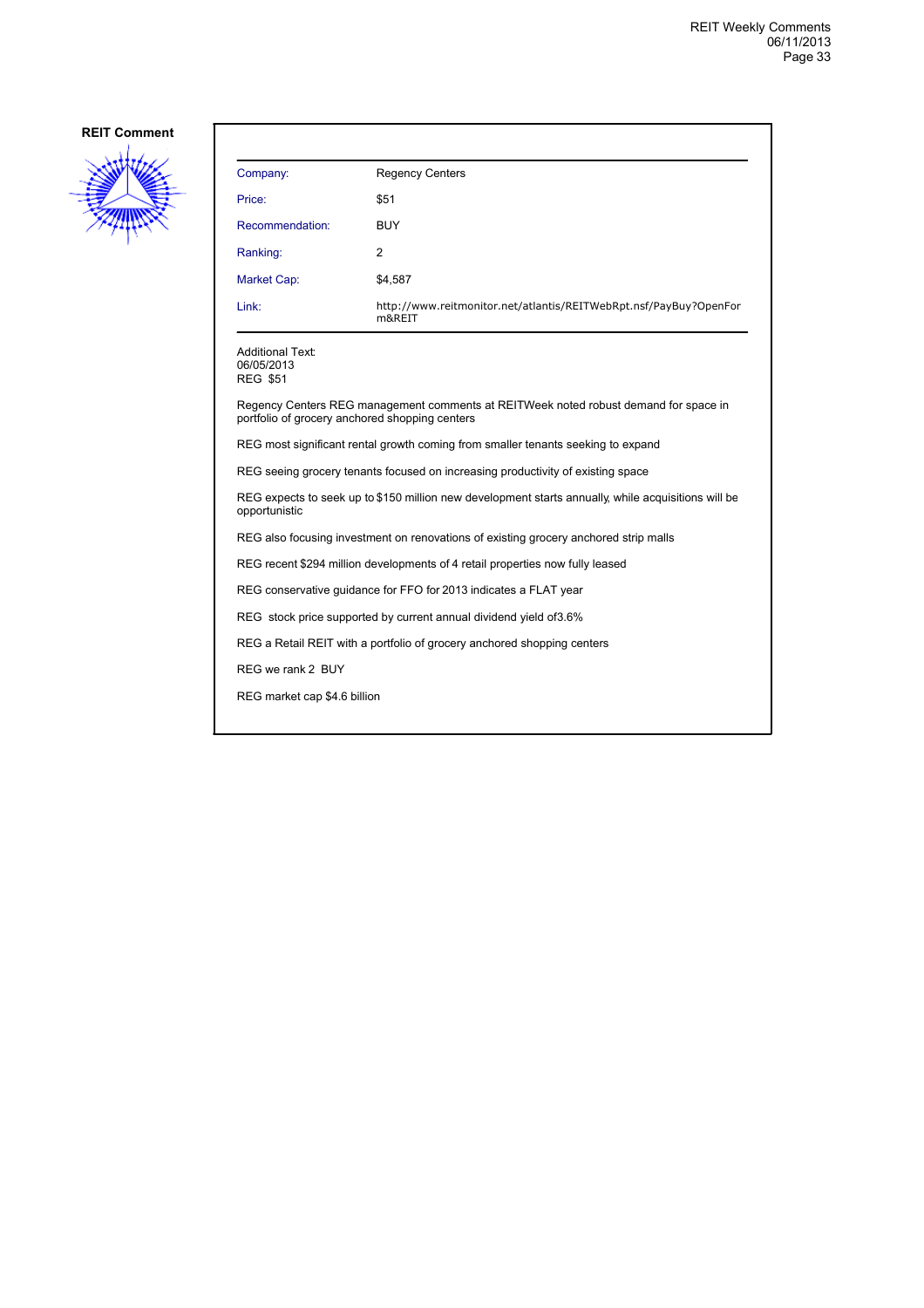

| Company:                                                                                                                               | <b>Regency Centers</b>                                                               |  |
|----------------------------------------------------------------------------------------------------------------------------------------|--------------------------------------------------------------------------------------|--|
| Price:                                                                                                                                 | \$51                                                                                 |  |
| Recommendation:                                                                                                                        | <b>BUY</b>                                                                           |  |
| Ranking:                                                                                                                               | 2                                                                                    |  |
| Market Cap:                                                                                                                            | \$4,587                                                                              |  |
| Link:                                                                                                                                  | http://www.reitmonitor.net/atlantis/REITWebRpt.nsf/PayBuy?OpenFor<br>m&REIT          |  |
| Additional Text:<br>06/05/2013<br><b>REG \$51</b>                                                                                      |                                                                                      |  |
| Regency Centers REG management comments at REITWeek noted robust demand for space in<br>portfolio of grocery anchored shopping centers |                                                                                      |  |
| REG most significant rental growth coming from smaller tenants seeking to expand                                                       |                                                                                      |  |
| REG seeing grocery tenants focused on increasing productivity of existing space                                                        |                                                                                      |  |
| REG expects to seek up to \$150 million new development starts annually, while acquisitions will be<br>opportunistic                   |                                                                                      |  |
|                                                                                                                                        | REG also focusing investment on renovations of existing grocery anchored strip malls |  |
| REG recent \$294 million developments of 4 retail properties now fully leased                                                          |                                                                                      |  |
| REG conservative guidance for FFO for 2013 indicates a FLAT year                                                                       |                                                                                      |  |
| REG stock price supported by current annual dividend yield of 3.6%                                                                     |                                                                                      |  |
| REG a Retail REIT with a portfolio of grocery anchored shopping centers                                                                |                                                                                      |  |
| REG we rank 2 BUY                                                                                                                      |                                                                                      |  |
| REG market cap \$4.6 billion                                                                                                           |                                                                                      |  |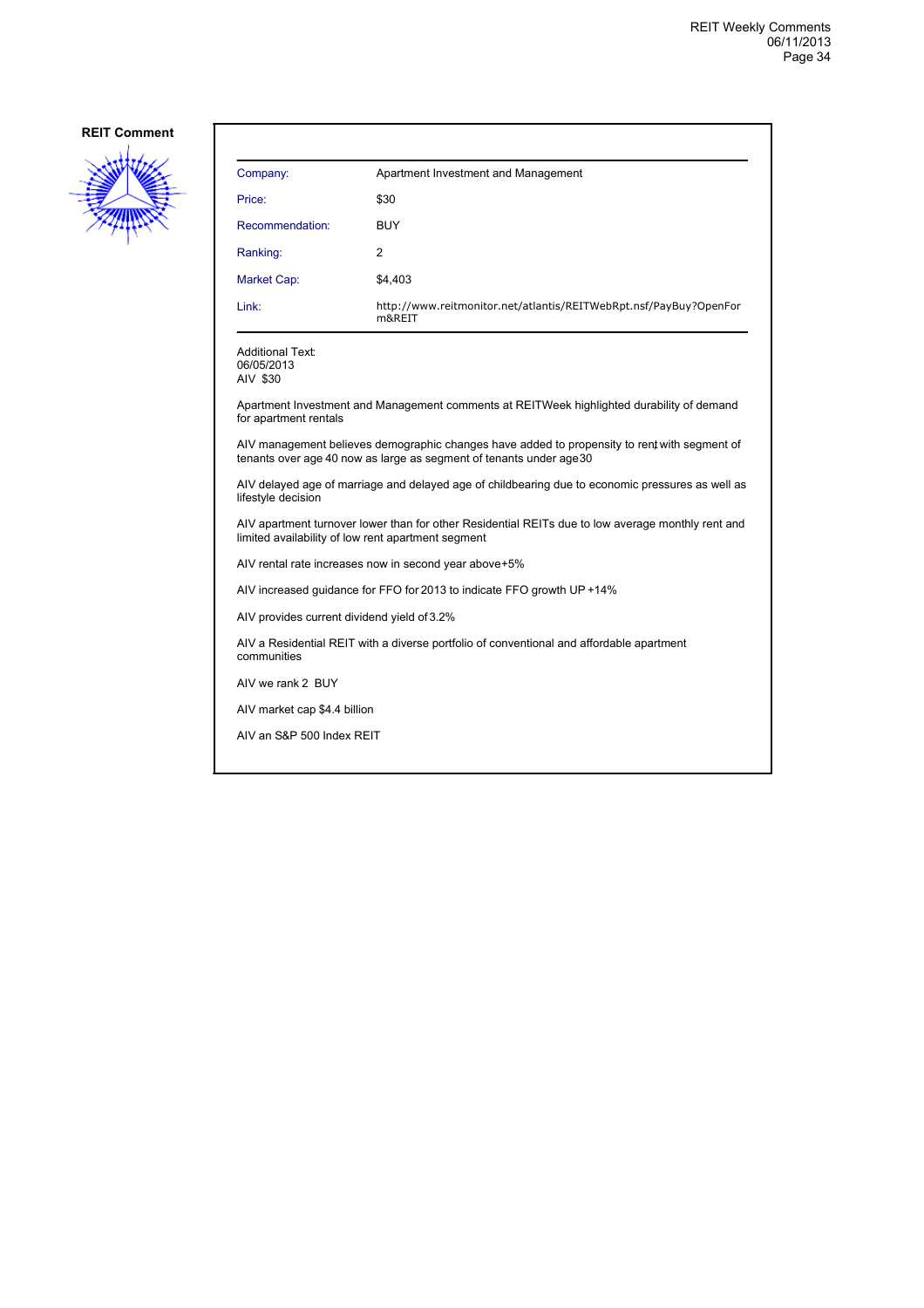

| Company:                                                                                                                                                            | Apartment Investment and Management                                         |  |
|---------------------------------------------------------------------------------------------------------------------------------------------------------------------|-----------------------------------------------------------------------------|--|
| Price:                                                                                                                                                              | \$30                                                                        |  |
| Recommendation:                                                                                                                                                     | <b>BUY</b>                                                                  |  |
| Ranking:                                                                                                                                                            | $\overline{2}$                                                              |  |
| Market Cap:                                                                                                                                                         | \$4,403                                                                     |  |
| Link:                                                                                                                                                               | http://www.reitmonitor.net/atlantis/REITWebRpt.nsf/PayBuy?OpenFor<br>m&REIT |  |
| <b>Additional Text:</b><br>06/05/2013<br>AIV \$30                                                                                                                   |                                                                             |  |
| Apartment Investment and Management comments at REITWeek highlighted durability of demand<br>for apartment rentals                                                  |                                                                             |  |
| AIV management believes demographic changes have added to propensity to rent with segment of<br>tenants over age 40 now as large as segment of tenants under age 30 |                                                                             |  |
| AIV delayed age of marriage and delayed age of childbearing due to economic pressures as well as<br>lifestyle decision                                              |                                                                             |  |
| AIV apartment turnover lower than for other Residential REITs due to low average monthly rent and<br>limited availability of low rent apartment segment             |                                                                             |  |
| AIV rental rate increases now in second year above+5%                                                                                                               |                                                                             |  |
| AIV increased quidance for FFO for 2013 to indicate FFO growth UP +14%                                                                                              |                                                                             |  |
| AIV provides current dividend yield of 3.2%                                                                                                                         |                                                                             |  |

AIV a Residential REIT with a diverse portfolio of conventional and affordable apartment communities

AIV we rank 2 BUY

AIV market cap \$4.4 billion

AIV an S&P 500 Index REIT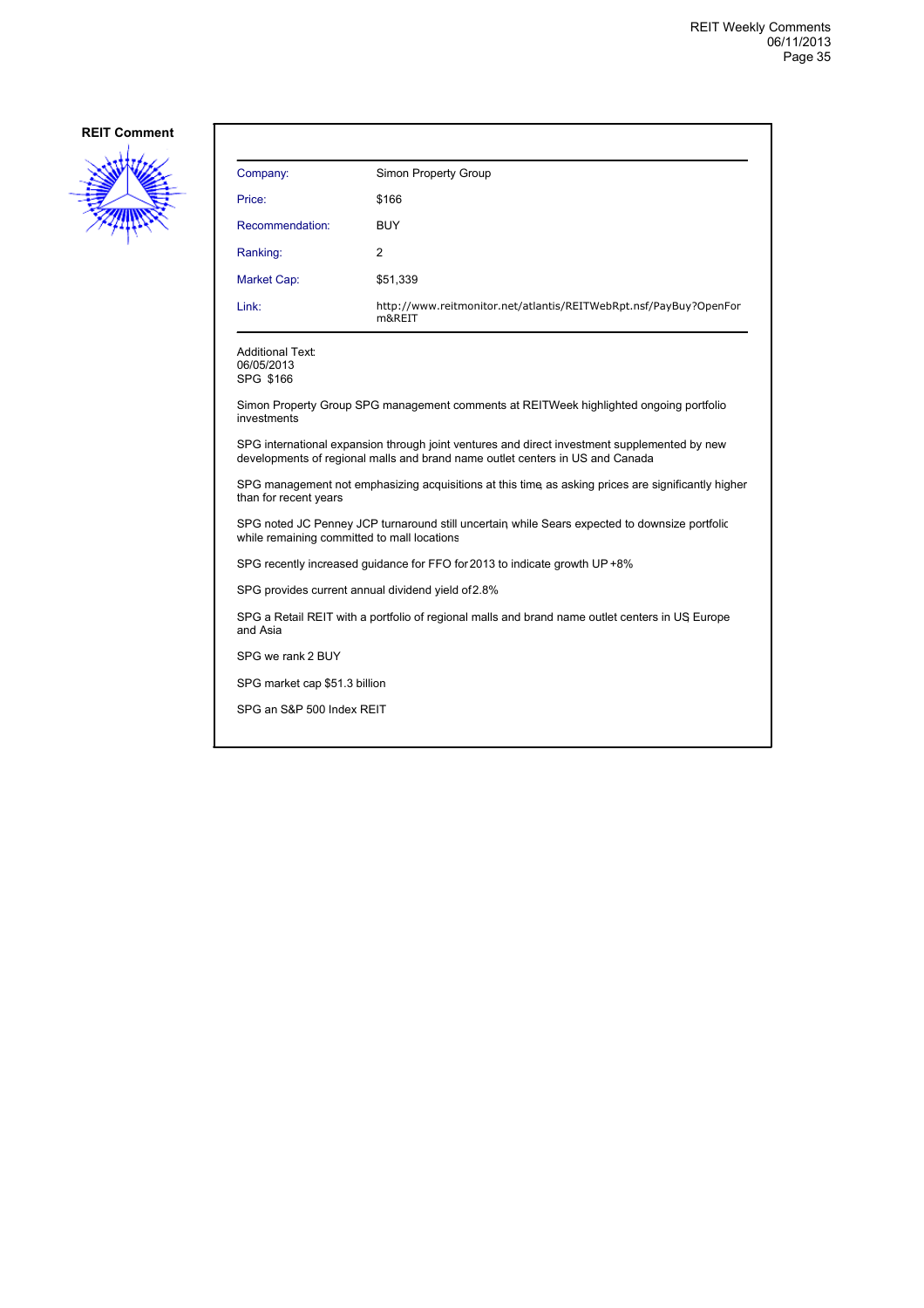

| Company:                                                                                                                                                                      | Simon Property Group                                                        |  |
|-------------------------------------------------------------------------------------------------------------------------------------------------------------------------------|-----------------------------------------------------------------------------|--|
| Price:                                                                                                                                                                        | \$166                                                                       |  |
| Recommendation:                                                                                                                                                               | <b>BUY</b>                                                                  |  |
| Ranking:                                                                                                                                                                      | 2                                                                           |  |
| <b>Market Cap:</b>                                                                                                                                                            | \$51,339                                                                    |  |
| Link:                                                                                                                                                                         | http://www.reitmonitor.net/atlantis/REITWebRpt.nsf/PayBuy?OpenFor<br>m&REIT |  |
| <b>Additional Text:</b><br>06/05/2013<br>SPG \$166                                                                                                                            |                                                                             |  |
| Simon Property Group SPG management comments at REITWeek highlighted ongoing portfolio<br>investments                                                                         |                                                                             |  |
| SPG international expansion through joint ventures and direct investment supplemented by new<br>developments of regional malls and brand name outlet centers in US and Canada |                                                                             |  |
| SPG management not emphasizing acquisitions at this time as asking prices are significantly higher<br>than for recent years                                                   |                                                                             |  |
| SPG noted JC Penney JCP turnaround still uncertain while Sears expected to downsize portfolic<br>while remaining committed to mall locations                                  |                                                                             |  |
| SPG recently increased guidance for FFO for 2013 to indicate growth UP +8%                                                                                                    |                                                                             |  |
| SPG provides current annual dividend yield of 2.8%                                                                                                                            |                                                                             |  |
| SPG a Retail REIT with a portfolio of regional malls and brand name outlet centers in US Europe<br>and Asia                                                                   |                                                                             |  |
| SPG we rank 2 BUY                                                                                                                                                             |                                                                             |  |
| SPG market cap \$51.3 billion                                                                                                                                                 |                                                                             |  |
| SPG an S&P 500 Index REIT                                                                                                                                                     |                                                                             |  |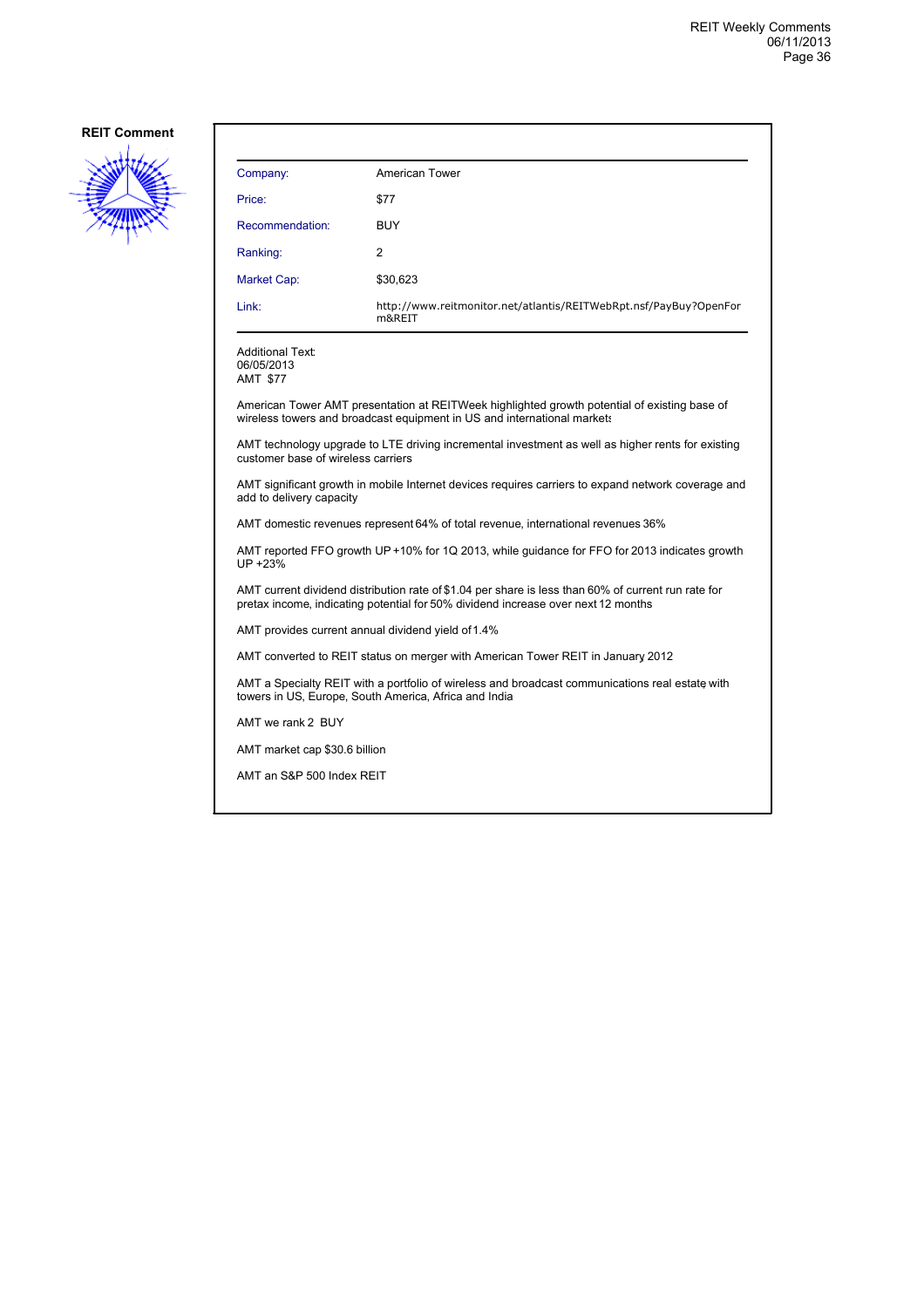

| Company:                                                                                                                                                                                 | <b>American Tower</b>                                                                                                                                                   |  |
|------------------------------------------------------------------------------------------------------------------------------------------------------------------------------------------|-------------------------------------------------------------------------------------------------------------------------------------------------------------------------|--|
| Price:                                                                                                                                                                                   | \$77                                                                                                                                                                    |  |
| Recommendation:                                                                                                                                                                          | <b>BUY</b>                                                                                                                                                              |  |
| Ranking:                                                                                                                                                                                 | 2                                                                                                                                                                       |  |
| Market Cap:                                                                                                                                                                              | \$30,623                                                                                                                                                                |  |
| Link:                                                                                                                                                                                    | http://www.reitmonitor.net/atlantis/REITWebRpt.nsf/PayBuy?OpenFor<br>m&REIT                                                                                             |  |
| <b>Additional Text:</b><br>06/05/2013<br>AMT \$77                                                                                                                                        |                                                                                                                                                                         |  |
|                                                                                                                                                                                          | American Tower AMT presentation at REITWeek highlighted growth potential of existing base of<br>wireless towers and broadcast equipment in US and international markets |  |
| AMT technology upgrade to LTE driving incremental investment as well as higher rents for existing<br>customer base of wireless carriers                                                  |                                                                                                                                                                         |  |
| AMT significant growth in mobile Internet devices requires carriers to expand network coverage and<br>add to delivery capacity                                                           |                                                                                                                                                                         |  |
| AMT domestic revenues represent 64% of total revenue, international revenues 36%                                                                                                         |                                                                                                                                                                         |  |
| AMT reported FFO growth UP +10% for 1Q 2013, while guidance for FFO for 2013 indicates growth<br>UP +23%                                                                                 |                                                                                                                                                                         |  |
| AMT current dividend distribution rate of \$1.04 per share is less than 60% of current run rate for<br>pretax income, indicating potential for 50% dividend increase over next 12 months |                                                                                                                                                                         |  |
| AMT provides current annual dividend yield of 1.4%                                                                                                                                       |                                                                                                                                                                         |  |
| AMT converted to REIT status on merger with American Tower REIT in January 2012                                                                                                          |                                                                                                                                                                         |  |
| AMT a Specialty REIT with a portfolio of wireless and broadcast communications real estate with<br>towers in US, Europe, South America, Africa and India                                 |                                                                                                                                                                         |  |
| AMT we rank 2 BUY                                                                                                                                                                        |                                                                                                                                                                         |  |
| AMT market cap \$30.6 billion                                                                                                                                                            |                                                                                                                                                                         |  |

AMT an S&P 500 Index REIT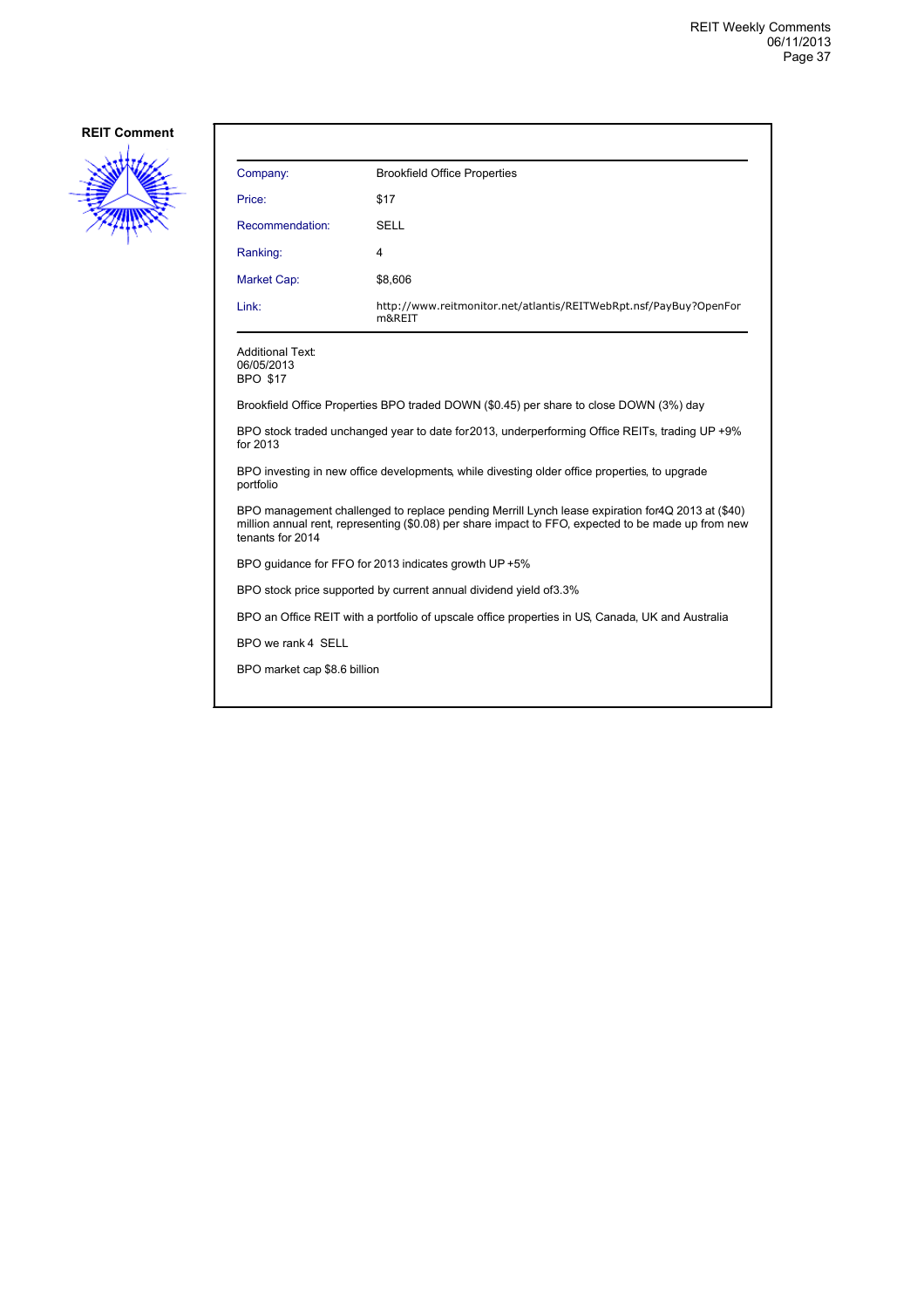

| Company:                                                                                                                                                                                                                     | <b>Brookfield Office Properties</b>                                                    |  |
|------------------------------------------------------------------------------------------------------------------------------------------------------------------------------------------------------------------------------|----------------------------------------------------------------------------------------|--|
| Price:                                                                                                                                                                                                                       | \$17                                                                                   |  |
| Recommendation:                                                                                                                                                                                                              | <b>SELL</b>                                                                            |  |
| Ranking:                                                                                                                                                                                                                     | 4                                                                                      |  |
| Market Cap:                                                                                                                                                                                                                  | \$8,606                                                                                |  |
| Link:                                                                                                                                                                                                                        | http://www.reitmonitor.net/atlantis/REITWebRpt.nsf/PayBuy?OpenFor<br>m&REIT            |  |
| <b>Additional Text:</b><br>06/05/2013<br><b>BPO \$17</b>                                                                                                                                                                     |                                                                                        |  |
|                                                                                                                                                                                                                              | Brookfield Office Properties BPO traded DOWN (\$0.45) per share to close DOWN (3%) day |  |
| BPO stock traded unchanged year to date for 2013, underperforming Office REITs, trading UP +9%<br>for 2013                                                                                                                   |                                                                                        |  |
| BPO investing in new office developments, while divesting older office properties, to upgrade<br>portfolio                                                                                                                   |                                                                                        |  |
| BPO management challenged to replace pending Merrill Lynch lease expiration for 4Q 2013 at (\$40)<br>million annual rent, representing (\$0.08) per share impact to FFO, expected to be made up from new<br>tenants for 2014 |                                                                                        |  |
| BPO guidance for FFO for 2013 indicates growth UP +5%                                                                                                                                                                        |                                                                                        |  |
| BPO stock price supported by current annual dividend yield of 3.3%                                                                                                                                                           |                                                                                        |  |
| BPO an Office REIT with a portfolio of upscale office properties in US, Canada, UK and Australia                                                                                                                             |                                                                                        |  |
| BPO we rank 4 SELL                                                                                                                                                                                                           |                                                                                        |  |
| BPO market cap \$8.6 billion                                                                                                                                                                                                 |                                                                                        |  |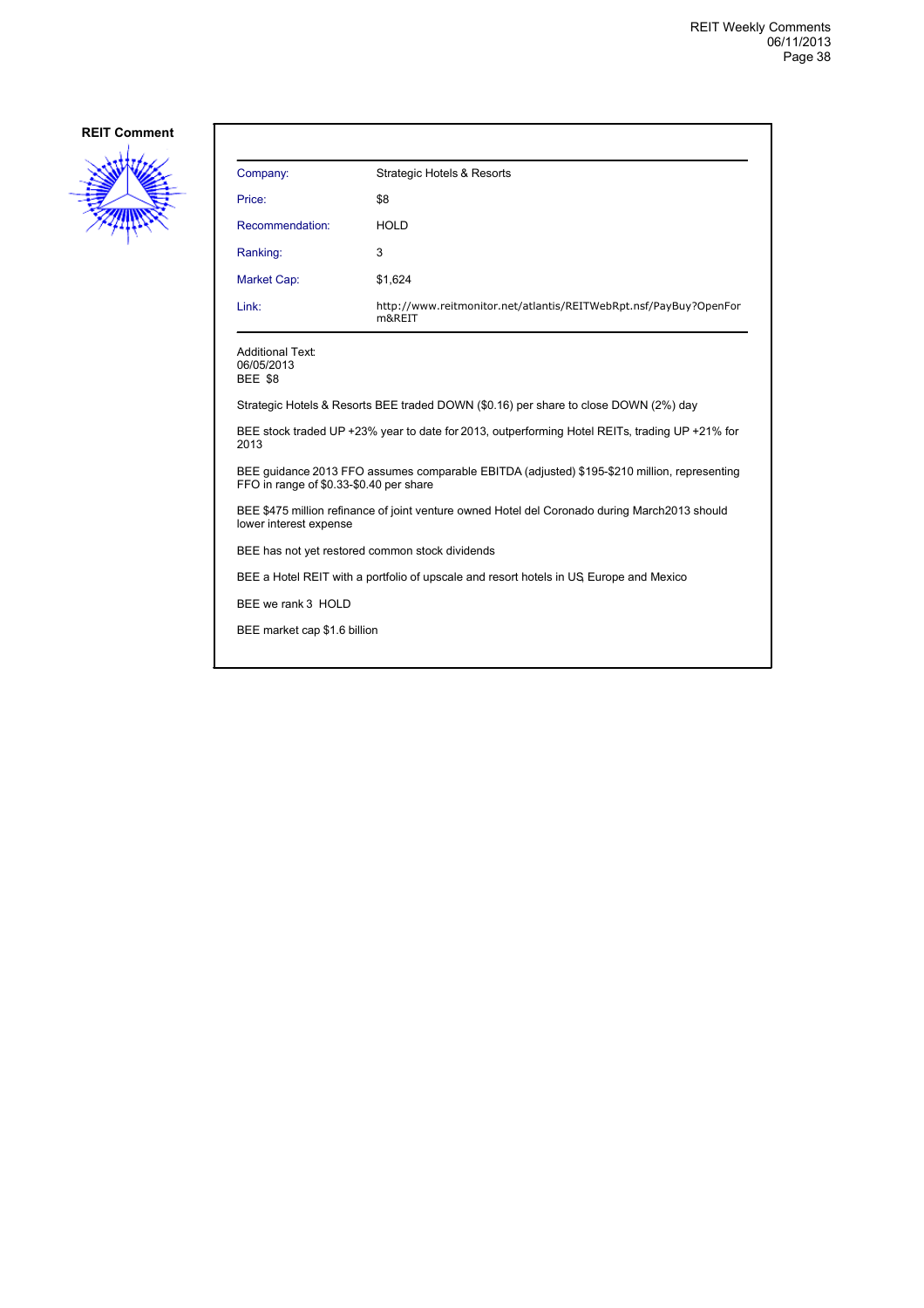

| Company:                                                                                                                                | <b>Strategic Hotels &amp; Resorts</b>                                                |  |
|-----------------------------------------------------------------------------------------------------------------------------------------|--------------------------------------------------------------------------------------|--|
| Price:                                                                                                                                  | \$8                                                                                  |  |
| Recommendation:                                                                                                                         | <b>HOLD</b>                                                                          |  |
| Ranking:                                                                                                                                | 3                                                                                    |  |
| <b>Market Cap:</b>                                                                                                                      | \$1,624                                                                              |  |
| Link:                                                                                                                                   | http://www.reitmonitor.net/atlantis/REITWebRpt.nsf/PayBuy?OpenFor<br>m&REIT          |  |
| <b>Additional Text:</b><br>06/05/2013<br><b>BEE \$8</b>                                                                                 |                                                                                      |  |
|                                                                                                                                         | Strategic Hotels & Resorts BEE traded DOWN (\$0.16) per share to close DOWN (2%) day |  |
| BEE stock traded UP +23% year to date for 2013, outperforming Hotel REITs, trading UP +21% for<br>2013                                  |                                                                                      |  |
| BEE quidance 2013 FFO assumes comparable EBITDA (adjusted) \$195-\$210 million, representing<br>FFO in range of \$0.33-\$0.40 per share |                                                                                      |  |
| BEE \$475 million refinance of joint venture owned Hotel del Coronado during March2013 should<br>lower interest expense                 |                                                                                      |  |
| BEE has not yet restored common stock dividends                                                                                         |                                                                                      |  |
| BEE a Hotel REIT with a portfolio of upscale and resort hotels in US Europe and Mexico                                                  |                                                                                      |  |
| BEE we rank 3 HOLD                                                                                                                      |                                                                                      |  |
| BEE market cap \$1.6 billion                                                                                                            |                                                                                      |  |
|                                                                                                                                         |                                                                                      |  |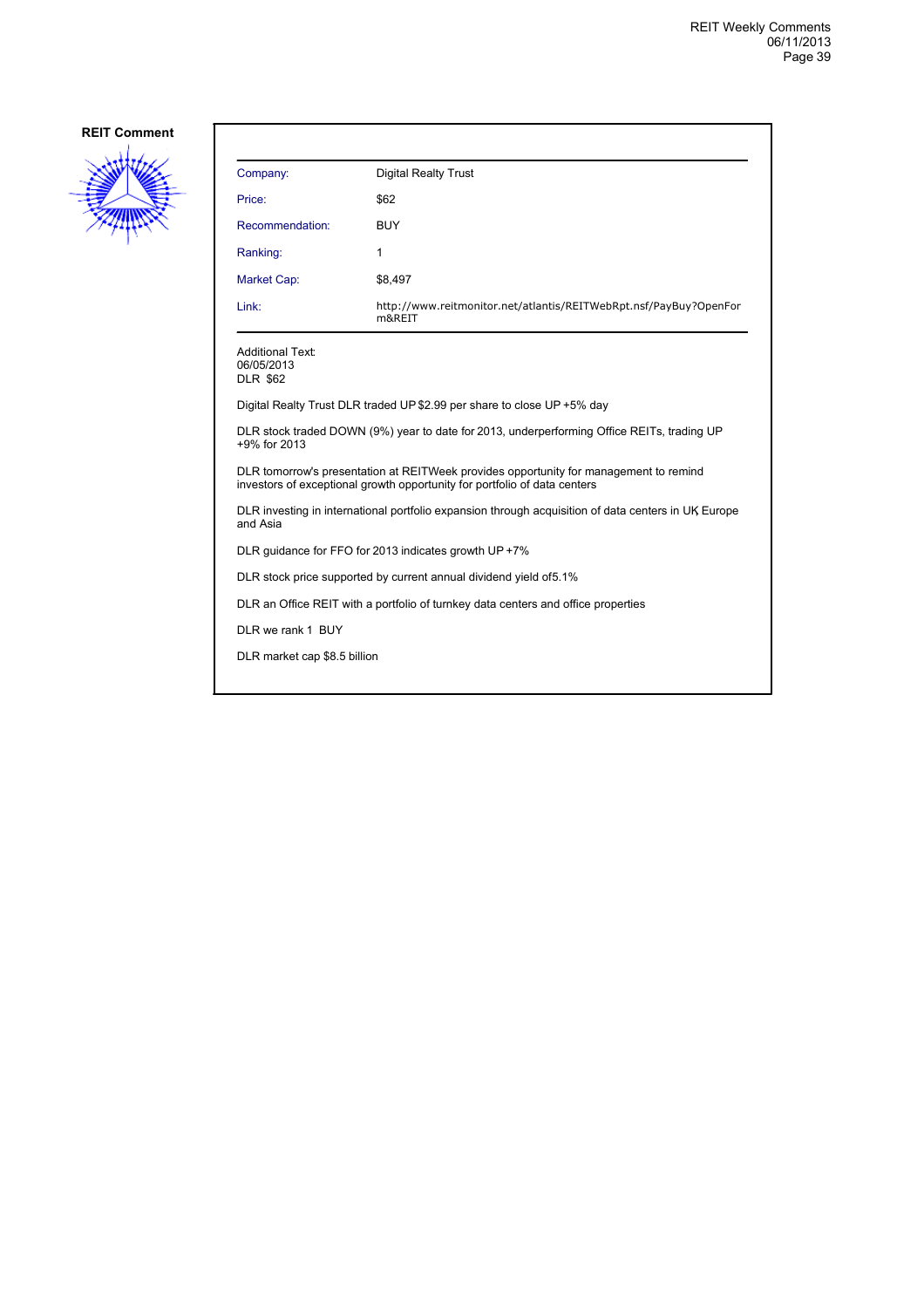

| Company:                                                                                                                                                           | <b>Digital Realty Trust</b>                                                 |  |
|--------------------------------------------------------------------------------------------------------------------------------------------------------------------|-----------------------------------------------------------------------------|--|
| Price:                                                                                                                                                             | \$62                                                                        |  |
| Recommendation:                                                                                                                                                    | BUY                                                                         |  |
| Ranking:                                                                                                                                                           | 1                                                                           |  |
| Market Cap:                                                                                                                                                        | \$8,497                                                                     |  |
| Link:                                                                                                                                                              | http://www.reitmonitor.net/atlantis/REITWebRpt.nsf/PayBuy?OpenFor<br>m&REIT |  |
| <b>Additional Text:</b><br>06/05/2013<br><b>DLR \$62</b>                                                                                                           |                                                                             |  |
| Digital Realty Trust DLR traded UP \$2.99 per share to close UP +5% day                                                                                            |                                                                             |  |
| DLR stock traded DOWN (9%) year to date for 2013, underperforming Office REITs, trading UP<br>+9% for 2013                                                         |                                                                             |  |
| DLR tomorrow's presentation at REITWeek provides opportunity for management to remind<br>investors of exceptional growth opportunity for portfolio of data centers |                                                                             |  |
| DLR investing in international portfolio expansion through acquisition of data centers in UK Europe<br>and Asia                                                    |                                                                             |  |
| DLR quidance for FFO for 2013 indicates growth UP +7%                                                                                                              |                                                                             |  |
| DLR stock price supported by current annual dividend yield of 5.1%                                                                                                 |                                                                             |  |
| DLR an Office REIT with a portfolio of turnkey data centers and office properties                                                                                  |                                                                             |  |
| DLR we rank 1 BUY                                                                                                                                                  |                                                                             |  |
| DLR market cap \$8.5 billion                                                                                                                                       |                                                                             |  |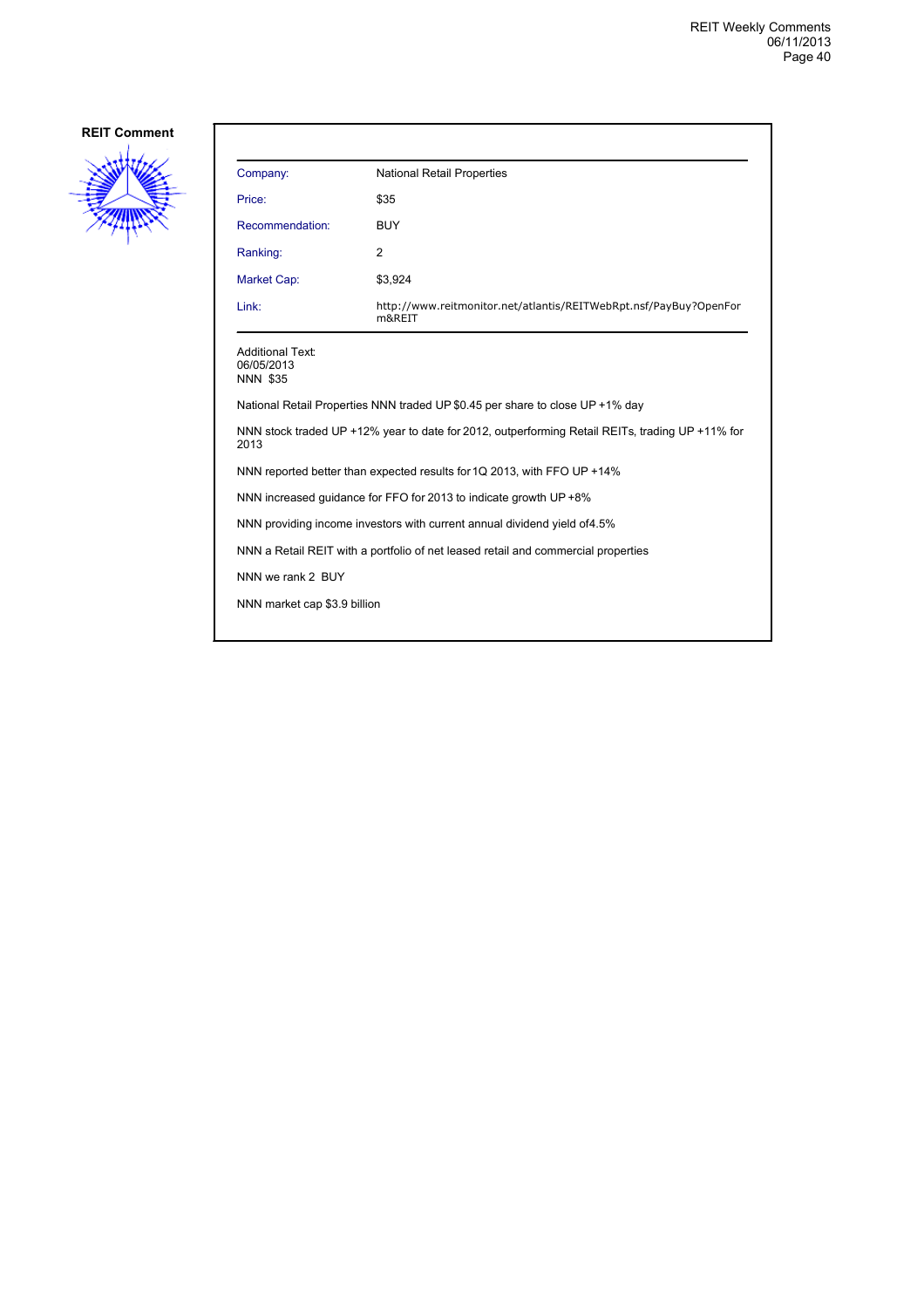

| Company:                                                                                                | <b>National Retail Properties</b>                                           |  |
|---------------------------------------------------------------------------------------------------------|-----------------------------------------------------------------------------|--|
| Price:                                                                                                  | \$35                                                                        |  |
| Recommendation:                                                                                         | <b>BUY</b>                                                                  |  |
| Ranking:                                                                                                | 2                                                                           |  |
| Market Cap:                                                                                             | \$3,924                                                                     |  |
| Link:                                                                                                   | http://www.reitmonitor.net/atlantis/REITWebRpt.nsf/PayBuy?OpenFor<br>m&REIT |  |
| <b>Additional Text:</b><br>06/05/2013<br><b>NNN \$35</b>                                                |                                                                             |  |
| National Retail Properties NNN traded UP \$0.45 per share to close UP +1% day                           |                                                                             |  |
| NNN stock traded UP +12% year to date for 2012, outperforming Retail REITs, trading UP +11% for<br>2013 |                                                                             |  |
| NNN reported better than expected results for 1Q 2013, with FFO UP +14%                                 |                                                                             |  |
| NNN increased quidance for FFO for 2013 to indicate growth UP +8%                                       |                                                                             |  |
| NNN providing income investors with current annual dividend yield of 4.5%                               |                                                                             |  |
| NNN a Retail REIT with a portfolio of net leased retail and commercial properties                       |                                                                             |  |
| NNN we rank 2 BUY                                                                                       |                                                                             |  |
| NNN market cap \$3.9 billion                                                                            |                                                                             |  |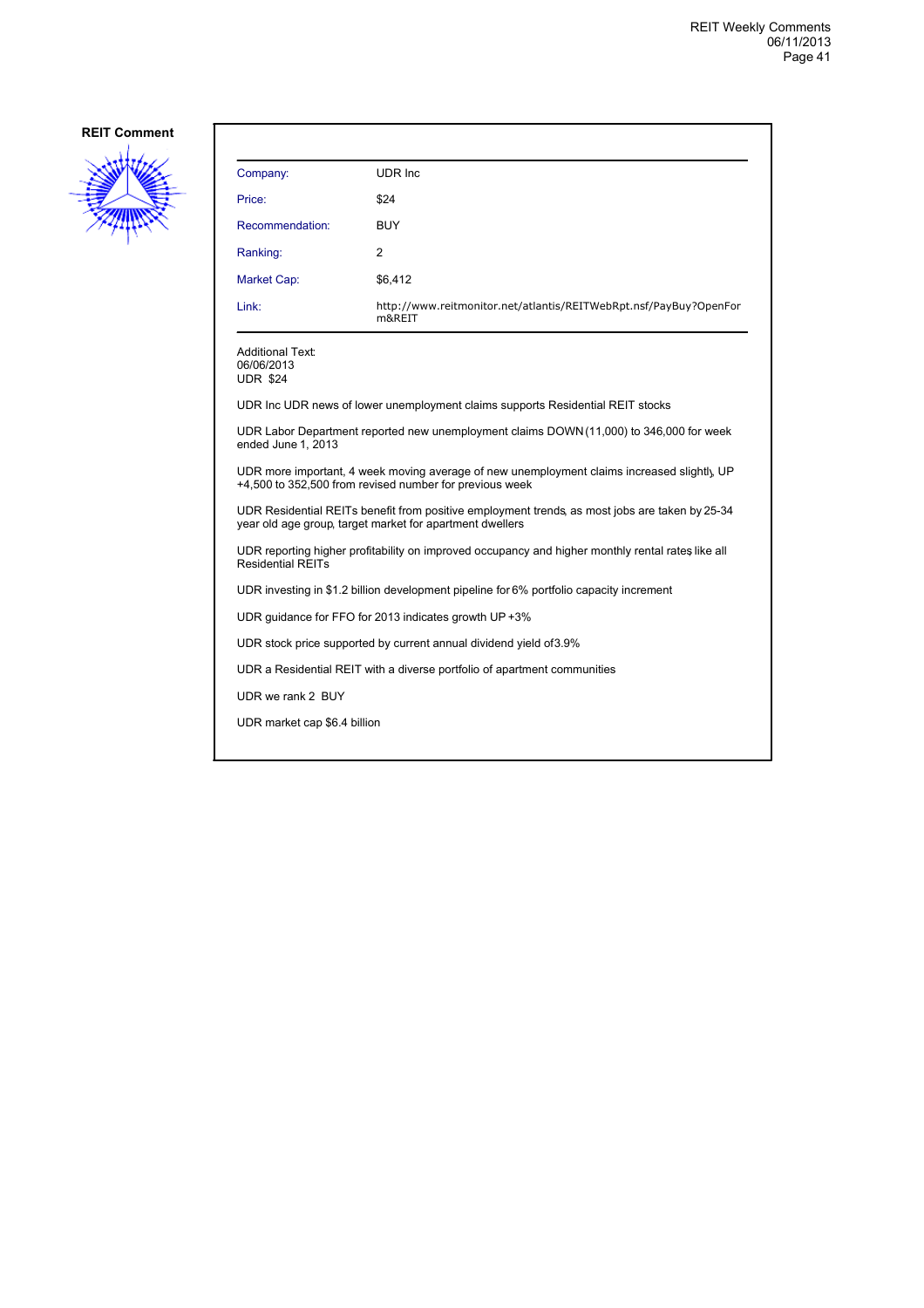

| Company:                                                                                                                                                   | UDR Inc.                                                                       |  |
|------------------------------------------------------------------------------------------------------------------------------------------------------------|--------------------------------------------------------------------------------|--|
| Price:                                                                                                                                                     | \$24                                                                           |  |
| Recommendation:                                                                                                                                            | <b>BUY</b>                                                                     |  |
| Ranking:                                                                                                                                                   | $\overline{2}$                                                                 |  |
| Market Cap:                                                                                                                                                | \$6,412                                                                        |  |
| Link:                                                                                                                                                      | http://www.reitmonitor.net/atlantis/REITWebRpt.nsf/PayBuy?OpenFor<br>m&REIT    |  |
| <b>Additional Text:</b><br>06/06/2013<br><b>UDR \$24</b>                                                                                                   |                                                                                |  |
|                                                                                                                                                            | UDR Inc UDR news of lower unemployment claims supports Residential REIT stocks |  |
| UDR Labor Department reported new unemployment claims DOWN (11,000) to 346,000 for week<br>ended June 1, 2013                                              |                                                                                |  |
| UDR more important, 4 week moving average of new unemployment claims increased slightly, UP<br>+4,500 to 352,500 from revised number for previous week     |                                                                                |  |
| UDR Residential REITs benefit from positive employment trends, as most jobs are taken by 25-34<br>year old age group, target market for apartment dwellers |                                                                                |  |
| UDR reporting higher profitability on improved occupancy and higher monthly rental rates like all<br><b>Residential REITs</b>                              |                                                                                |  |
| UDR investing in \$1.2 billion development pipeline for 6% portfolio capacity increment                                                                    |                                                                                |  |
| UDR guidance for FFO for 2013 indicates growth UP +3%                                                                                                      |                                                                                |  |
| UDR stock price supported by current annual dividend yield of 3.9%                                                                                         |                                                                                |  |
| UDR a Residential REIT with a diverse portfolio of apartment communities                                                                                   |                                                                                |  |
| UDR we rank 2 BUY                                                                                                                                          |                                                                                |  |
| UDR market cap \$6.4 billion                                                                                                                               |                                                                                |  |
|                                                                                                                                                            |                                                                                |  |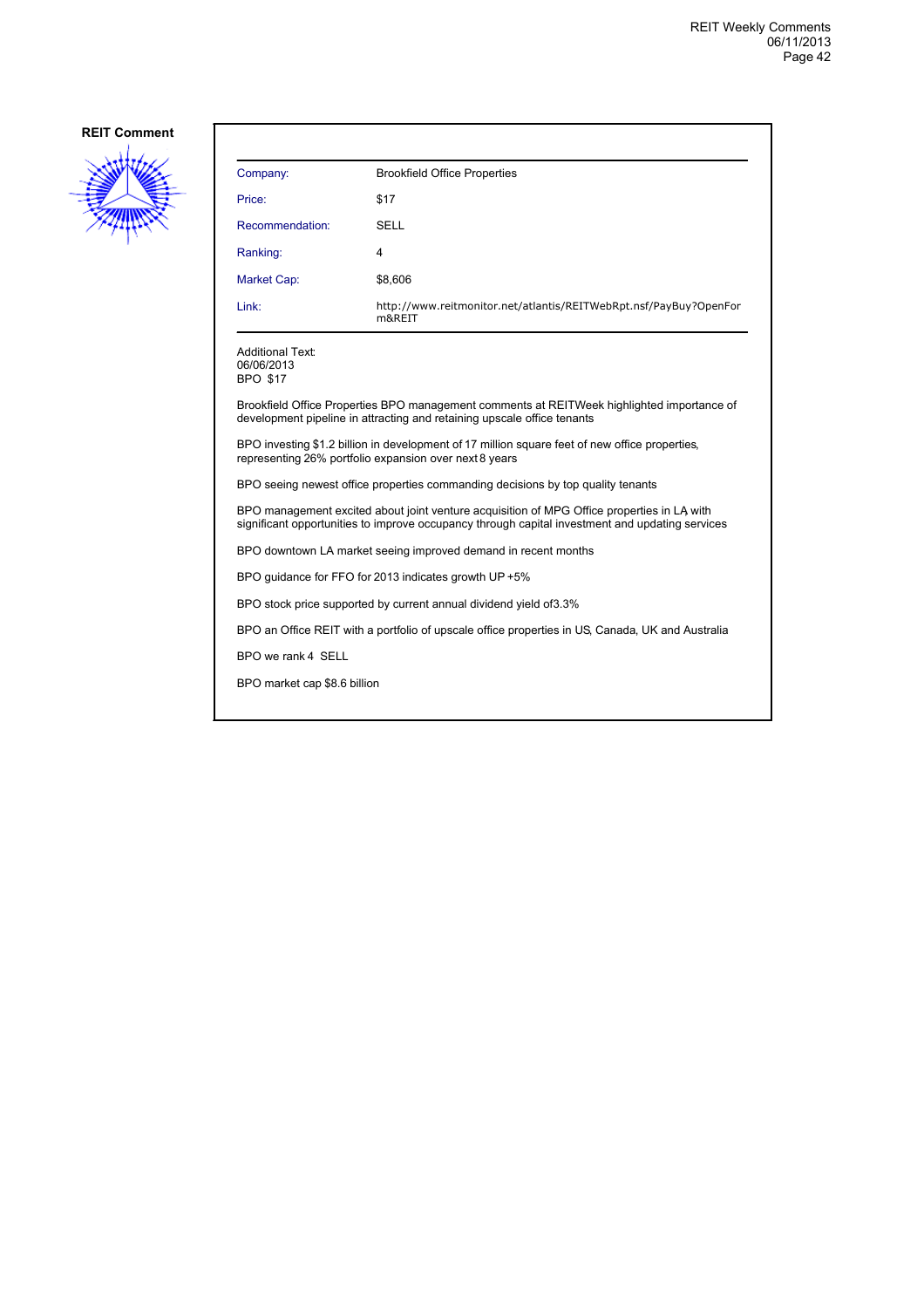

| Company:        | <b>Brookfield Office Properties</b>                                         |
|-----------------|-----------------------------------------------------------------------------|
| Price:          | \$17                                                                        |
| Recommendation: | <b>SELL</b>                                                                 |
| Ranking:        | 4                                                                           |
| Market Cap:     | \$8,606                                                                     |
| Link:           | http://www.reitmonitor.net/atlantis/REITWebRpt.nsf/PayBuy?OpenFor<br>m&REIT |

Additional Text: 06/06/2013 BPO \$17

Brookfield Office Properties BPO management comments at REITWeek highlighted importance of development pipeline in attracting and retaining upscale office tenants

BPO investing \$1.2 billion in development of 17 million square feet of new office properties, representing 26% portfolio expansion over next 8 years

BPO seeing newest office properties commanding decisions by top quality tenants

BPO management excited about joint venture acquisition of MPG Office properties in LA, with significant opportunities to improve occupancy through capital investment and updating services

BPO downtown LA market seeing improved demand in recent months

BPO guidance for FFO for 2013 indicates growth UP +5%

BPO stock price supported by current annual dividend yield of 3.3%

BPO an Office REIT with a portfolio of upscale office properties in US, Canada, UK and Australia

BPO we rank 4 SELL

BPO market cap \$8.6 billion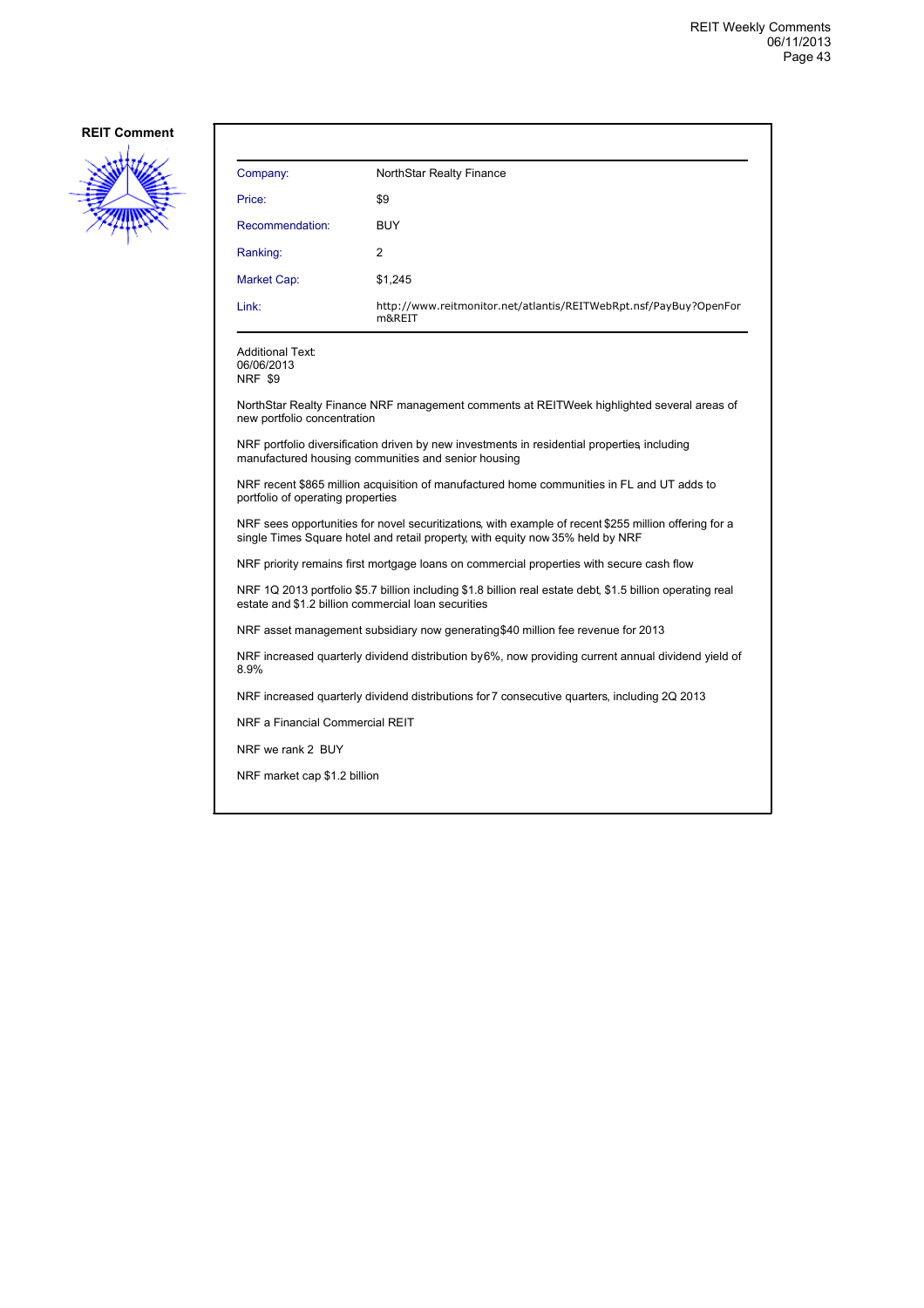

| Company:                                                                                                                                                                                | NorthStar Realty Finance                                                                  |  |
|-----------------------------------------------------------------------------------------------------------------------------------------------------------------------------------------|-------------------------------------------------------------------------------------------|--|
| Price:                                                                                                                                                                                  | \$9                                                                                       |  |
| Recommendation:                                                                                                                                                                         | BUY                                                                                       |  |
| Ranking:                                                                                                                                                                                | 2                                                                                         |  |
| Market Cap:                                                                                                                                                                             | \$1,245                                                                                   |  |
| Link:                                                                                                                                                                                   | http://www.reitmonitor.net/atlantis/REITWebRpt.nsf/PayBuy?OpenFor<br>m&REIT               |  |
| Additional Text:<br>06/06/2013<br><b>NRF \$9</b>                                                                                                                                        |                                                                                           |  |
| new portfolio concentration                                                                                                                                                             | NorthStar Realty Finance NRF management comments at REITWeek highlighted several areas of |  |
| NRF portfolio diversification driven by new investments in residential properties including<br>manufactured housing communities and senior housing                                      |                                                                                           |  |
| NRF recent \$865 million acquisition of manufactured home communities in FL and UT adds to<br>portfolio of operating properties                                                         |                                                                                           |  |
| NRF sees opportunities for novel securitizations, with example of recent \$255 million offering for a<br>single Times Square hotel and retail property, with equity now 35% held by NRF |                                                                                           |  |
| NRF priority remains first mortgage loans on commercial properties with secure cash flow                                                                                                |                                                                                           |  |
| NRF 1Q 2013 portfolio \$5.7 billion including \$1.8 billion real estate debt, \$1.5 billion operating real<br>estate and \$1.2 billion commercial loan securities                       |                                                                                           |  |
|                                                                                                                                                                                         | NRF asset management subsidiary now generating \$40 million fee revenue for 2013          |  |
| NRF increased quarterly dividend distribution by 6%, now providing current annual dividend yield of<br>8.9%                                                                             |                                                                                           |  |
| NRF increased quarterly dividend distributions for 7 consecutive quarters, including 2Q 2013                                                                                            |                                                                                           |  |
|                                                                                                                                                                                         | NRF a Financial Commercial REIT                                                           |  |
| NRF we rank 2 BUY                                                                                                                                                                       |                                                                                           |  |
| NRF market cap \$1.2 billion                                                                                                                                                            |                                                                                           |  |
|                                                                                                                                                                                         |                                                                                           |  |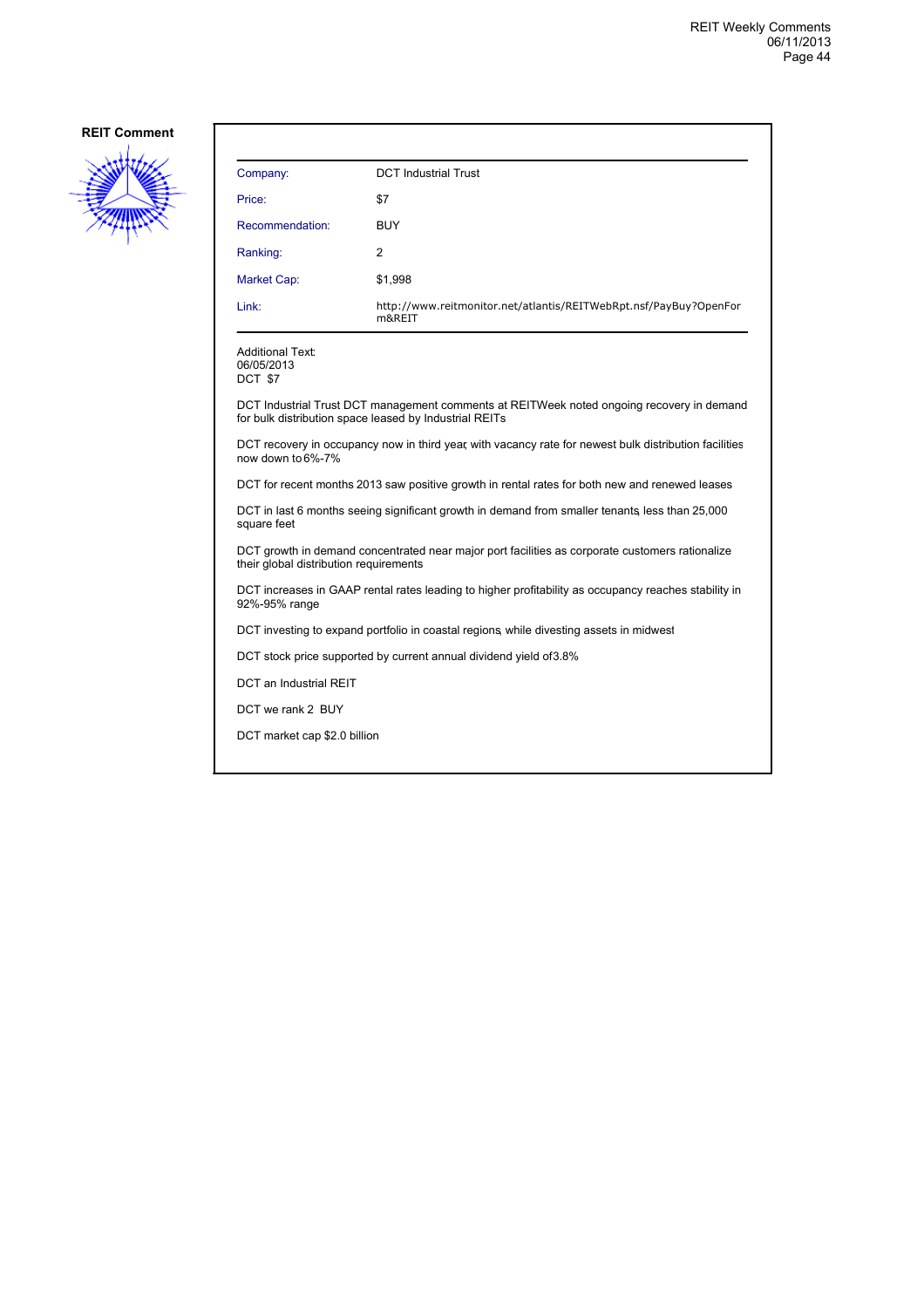

| Company:           | <b>DCT</b> Industrial Trust                                                 |
|--------------------|-----------------------------------------------------------------------------|
| Price:             | \$7                                                                         |
| Recommendation:    | <b>BUY</b>                                                                  |
| Ranking:           | 2                                                                           |
| <b>Market Cap:</b> | \$1,998                                                                     |
| Link:              | http://www.reitmonitor.net/atlantis/REITWebRpt.nsf/PayBuy?OpenFor<br>m&REIT |

06/05/2013

DCT \$7

DCT Industrial Trust DCT management comments at REITWeek noted ongoing recovery in demand for bulk distribution space leased by Industrial REITs

DCT recovery in occupancy now in third year, with vacancy rate for newest bulk distribution facilities now down to 6%-7%

DCT for recent months 2013 saw positive growth in rental rates for both new and renewed leases

DCT in last 6 months seeing significant growth in demand from smaller tenants, less than 25,000 square feet

DCT growth in demand concentrated near major port facilities as corporate customers rationalize their global distribution requirements

DCT increases in GAAP rental rates leading to higher profitability as occupancy reaches stability in 92%-95% range

DCT investing to expand portfolio in coastal regions, while divesting assets in midwest

DCT stock price supported by current annual dividend yield of 3.8%

DCT an Industrial REIT

DCT we rank 2 BUY

DCT market cap \$2.0 billion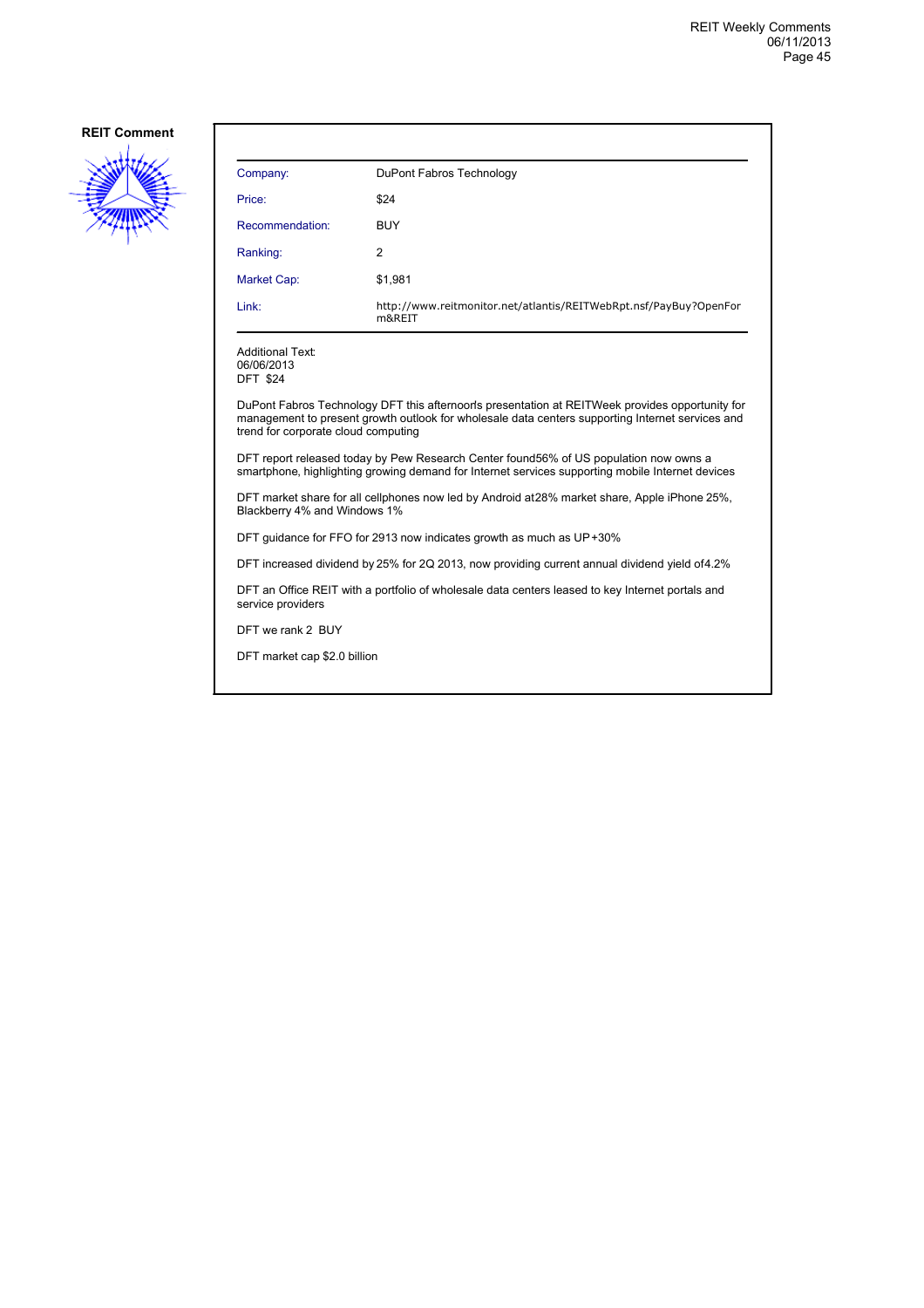

| Company:        | DuPont Fabros Technology                                                    |
|-----------------|-----------------------------------------------------------------------------|
| Price:          | \$24                                                                        |
| Recommendation: | <b>BUY</b>                                                                  |
| Ranking:        | 2                                                                           |
| Market Cap:     | \$1,981                                                                     |
| Link:           | http://www.reitmonitor.net/atlantis/REITWebRpt.nsf/PayBuy?OpenFor<br>m&REIT |

Additional Text: 06/06/2013 DFT \$24

DuPont Fabros Technology DFT this afternoon's presentation at REITWeek provides opportunity for management to present growth outlook for wholesale data centers supporting Internet services and trend for corporate cloud computing

DFT report released today by Pew Research Center found 56% of US population now owns a smartphone, highlighting growing demand for Internet services supporting mobile Internet devices

DFT market share for all cellphones now led by Android at 28% market share, Apple iPhone 25%, Blackberry 4% and Windows 1%

DFT guidance for FFO for 2913 now indicates growth as much as UP +30%

DFT increased dividend by 25% for 2Q 2013, now providing current annual dividend yield of 4.2%

DFT an Office REIT with a portfolio of wholesale data centers leased to key Internet portals and service providers

DFT we rank 2 BUY

DFT market cap \$2.0 billion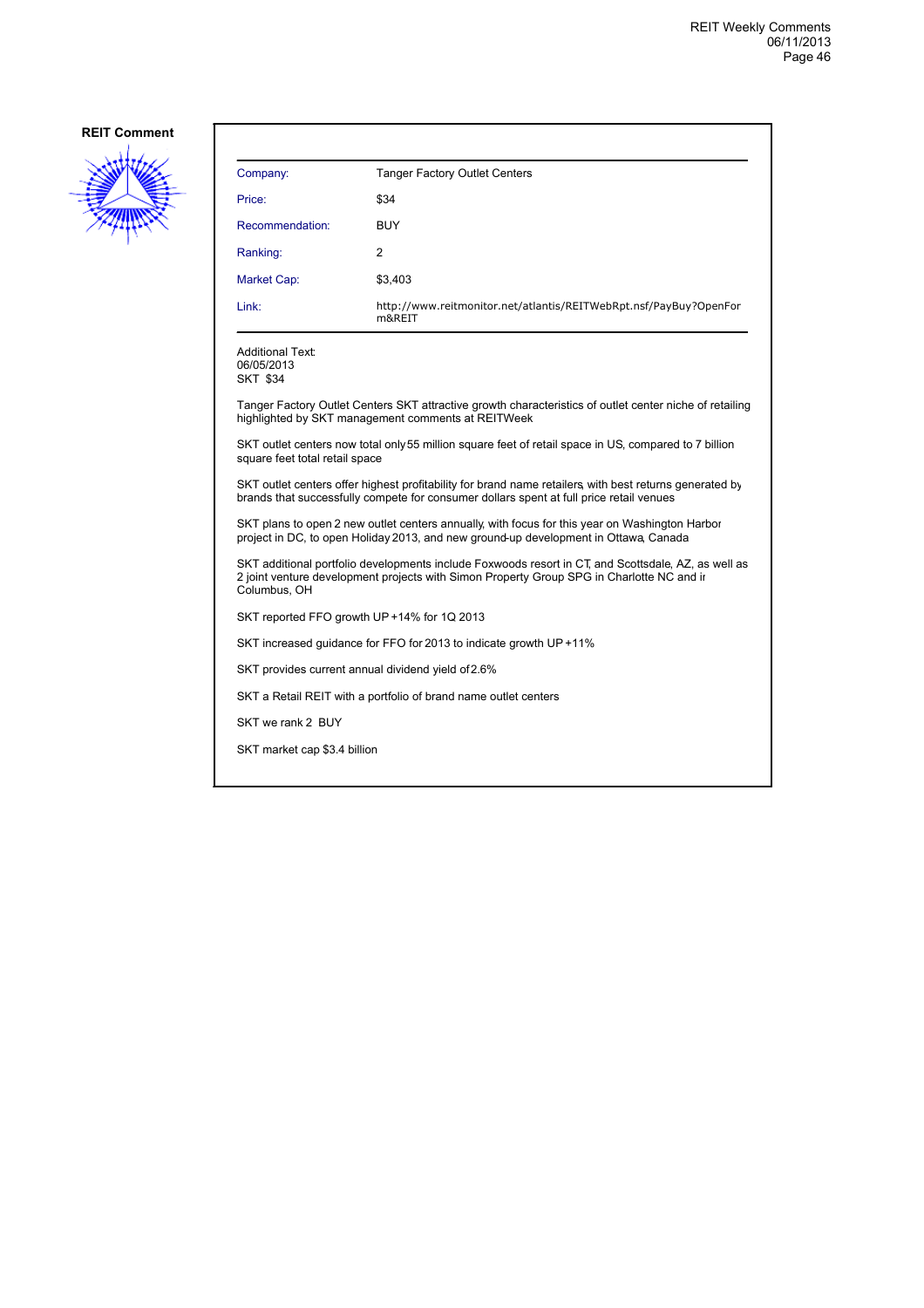

| Company:        | <b>Tanger Factory Outlet Centers</b>                                        |
|-----------------|-----------------------------------------------------------------------------|
| Price:          | \$34                                                                        |
| Recommendation: | <b>BUY</b>                                                                  |
| Ranking:        | 2                                                                           |
| Market Cap:     | \$3,403                                                                     |
| Link:           | http://www.reitmonitor.net/atlantis/REITWebRpt.nsf/PayBuy?OpenFor<br>m&REIT |

Additional Text: 06/05/2013 SKT \$34

Tanger Factory Outlet Centers SKT attractive growth characteristics of outlet center niche of retailing highlighted by SKT management comments at REITWeek

SKT outlet centers now total only 55 million square feet of retail space in US, compared to 7 billion square feet total retail space

SKT outlet centers offer highest profitability for brand name retailers, with best returns generated by brands that successfully compete for consumer dollars spent at full price retail venues

SKT plans to open 2 new outlet centers annually, with focus for this year on Washington Harbor project in DC, to open Holiday 2013, and new ground-up development in Ottawa, Canada

SKT additional portfolio developments include Foxwoods resort in CT, and Scottsdale, AZ, as well as 2 joint venture development projects with Simon Property Group SPG in Charlotte NC and in Columbus, OH

SKT reported FFO growth UP +14% for 1Q 2013

SKT increased guidance for FFO for 2013 to indicate growth UP +11%

SKT provides current annual dividend yield of 2.6%

SKT a Retail REIT with a portfolio of brand name outlet centers

SKT we rank 2 BUY

SKT market cap \$3.4 billion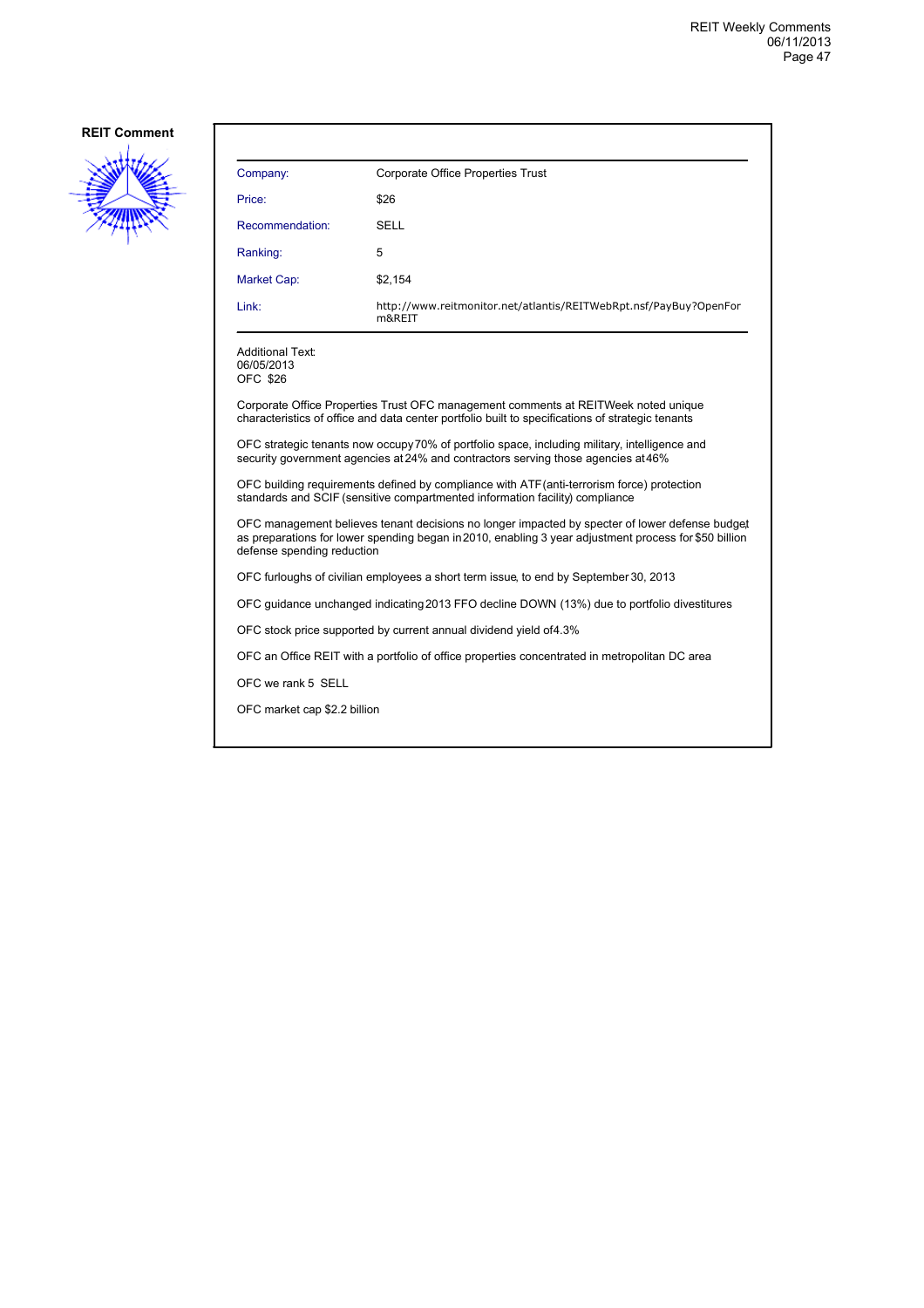

| Company:                                                                                                                                                                                                                              | Corporate Office Properties Trust                                                                                                                                                      |  |
|---------------------------------------------------------------------------------------------------------------------------------------------------------------------------------------------------------------------------------------|----------------------------------------------------------------------------------------------------------------------------------------------------------------------------------------|--|
| Price:                                                                                                                                                                                                                                | \$26                                                                                                                                                                                   |  |
| Recommendation:                                                                                                                                                                                                                       | SELL                                                                                                                                                                                   |  |
| Ranking:                                                                                                                                                                                                                              | 5                                                                                                                                                                                      |  |
| Market Cap:                                                                                                                                                                                                                           | \$2,154                                                                                                                                                                                |  |
| Link:                                                                                                                                                                                                                                 | http://www.reitmonitor.net/atlantis/REITWebRpt.nsf/PayBuy?OpenFor<br>m&REIT                                                                                                            |  |
| Additional Text:<br>06/05/2013<br>OFC \$26                                                                                                                                                                                            |                                                                                                                                                                                        |  |
|                                                                                                                                                                                                                                       | Corporate Office Properties Trust OFC management comments at REITWeek noted unique<br>characteristics of office and data center portfolio built to specifications of strategic tenants |  |
| OFC strategic tenants now occupy 70% of portfolio space, including military, intelligence and<br>security government agencies at 24% and contractors serving those agencies at 46%                                                    |                                                                                                                                                                                        |  |
| OFC building requirements defined by compliance with ATF (anti-terrorism force) protection<br>standards and SCIF (sensitive compartmented information facility) compliance                                                            |                                                                                                                                                                                        |  |
| OFC management believes tenant decisions no longer impacted by specter of lower defense budget<br>as preparations for lower spending began in 2010, enabling 3 year adjustment process for \$50 billion<br>defense spending reduction |                                                                                                                                                                                        |  |
| OFC furloughs of civilian employees a short term issue, to end by September 30, 2013                                                                                                                                                  |                                                                                                                                                                                        |  |
|                                                                                                                                                                                                                                       | OFC guidance unchanged indicating 2013 FFO decline DOWN (13%) due to portfolio divestitures                                                                                            |  |
| OFC stock price supported by current annual dividend yield of4.3%                                                                                                                                                                     |                                                                                                                                                                                        |  |
|                                                                                                                                                                                                                                       | OFC an Office REIT with a portfolio of office properties concentrated in metropolitan DC area                                                                                          |  |
| OFC we rank 5 SELL                                                                                                                                                                                                                    |                                                                                                                                                                                        |  |
| OFC market cap \$2.2 billion                                                                                                                                                                                                          |                                                                                                                                                                                        |  |
|                                                                                                                                                                                                                                       |                                                                                                                                                                                        |  |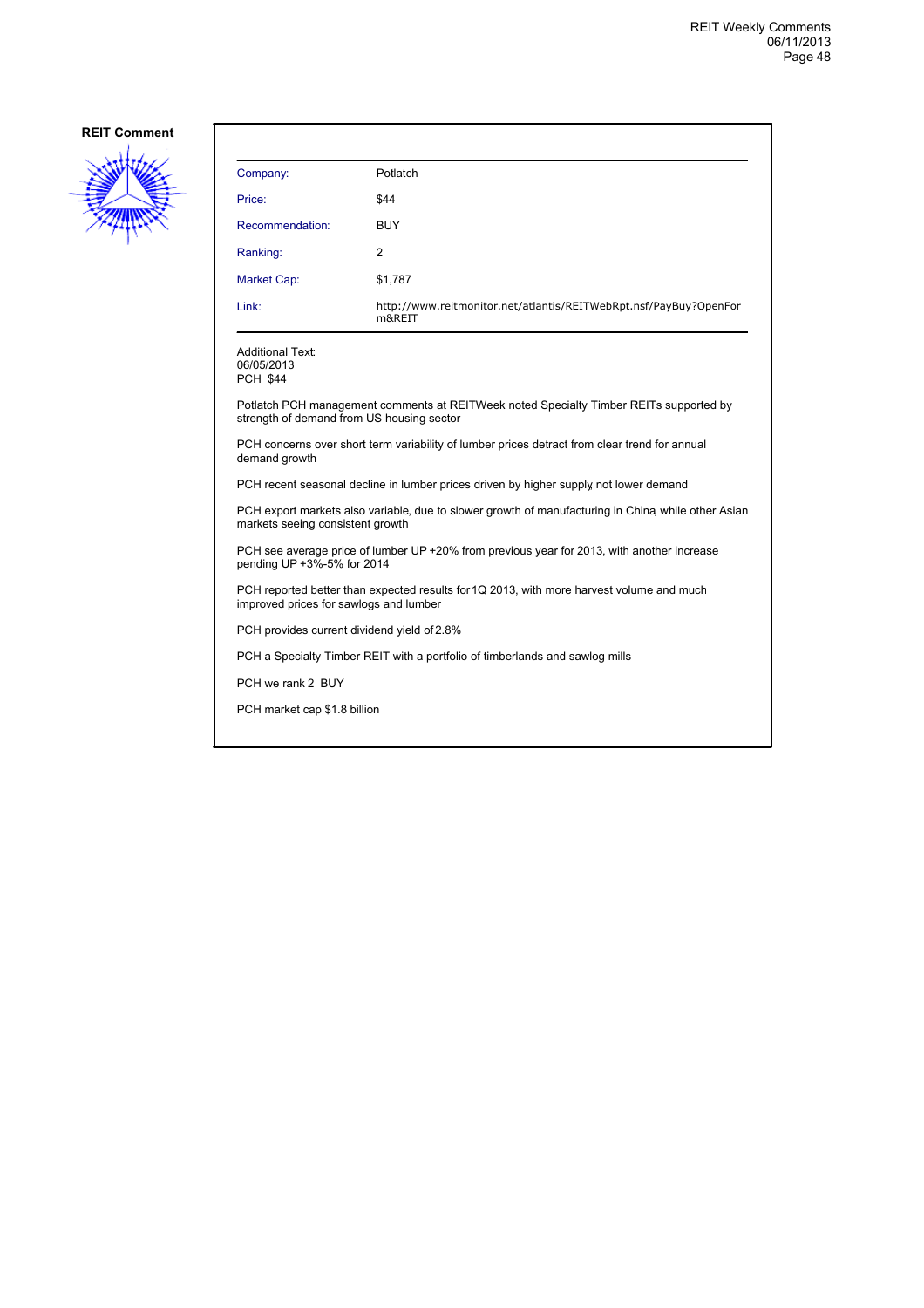

| Company:                                                                                                                               | Potlatch                                                                              |  |
|----------------------------------------------------------------------------------------------------------------------------------------|---------------------------------------------------------------------------------------|--|
| Price:                                                                                                                                 | \$44                                                                                  |  |
| Recommendation:                                                                                                                        | <b>BUY</b>                                                                            |  |
| Ranking:                                                                                                                               | 2                                                                                     |  |
| Market Cap:                                                                                                                            | \$1,787                                                                               |  |
| Link:                                                                                                                                  | http://www.reitmonitor.net/atlantis/REITWebRpt.nsf/PayBuy?OpenFor<br>m&REIT           |  |
| <b>Additional Text:</b><br>06/05/2013<br><b>PCH \$44</b>                                                                               |                                                                                       |  |
| Potlatch PCH management comments at REITWeek noted Specialty Timber REITs supported by<br>strength of demand from US housing sector    |                                                                                       |  |
| PCH concerns over short term variability of lumber prices detract from clear trend for annual<br>demand growth                         |                                                                                       |  |
|                                                                                                                                        | PCH recent seasonal decline in lumber prices driven by higher supply not lower demand |  |
| PCH export markets also variable, due to slower growth of manufacturing in China while other Asian<br>markets seeing consistent growth |                                                                                       |  |
| PCH see average price of lumber UP +20% from previous year for 2013, with another increase<br>pending UP +3%-5% for 2014               |                                                                                       |  |
| PCH reported better than expected results for 1Q 2013, with more harvest volume and much<br>improved prices for sawlogs and lumber     |                                                                                       |  |
| PCH provides current dividend yield of 2.8%                                                                                            |                                                                                       |  |
|                                                                                                                                        | PCH a Specialty Timber REIT with a portfolio of timberlands and sawlog mills          |  |
| PCH we rank 2 BUY                                                                                                                      |                                                                                       |  |
| PCH market cap \$1.8 billion                                                                                                           |                                                                                       |  |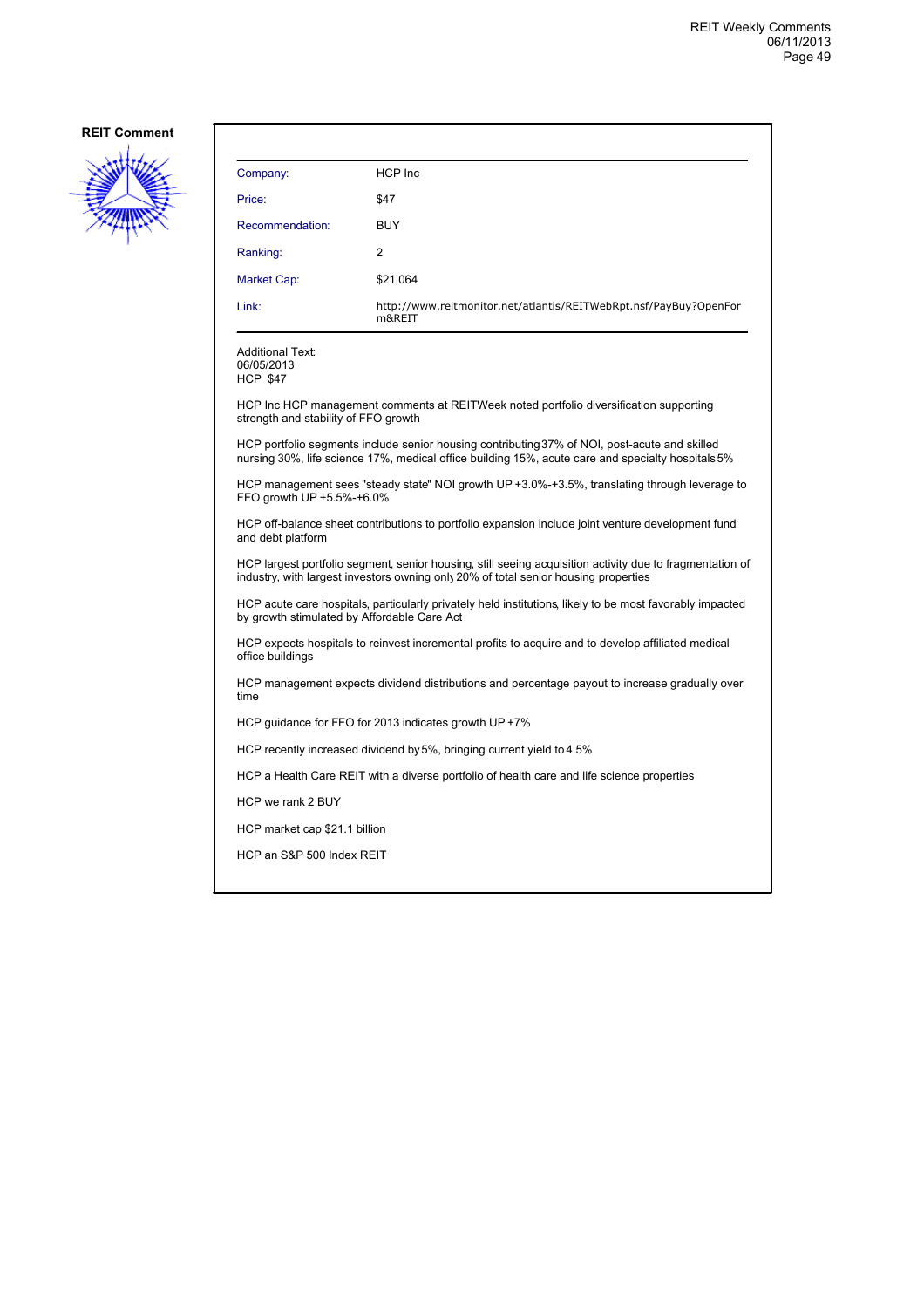

| Company:                                                                                                                                                                                        | HCP Inc                                                                                                                                                                                            |  |
|-------------------------------------------------------------------------------------------------------------------------------------------------------------------------------------------------|----------------------------------------------------------------------------------------------------------------------------------------------------------------------------------------------------|--|
| Price:                                                                                                                                                                                          | \$47                                                                                                                                                                                               |  |
| Recommendation:                                                                                                                                                                                 | <b>BUY</b>                                                                                                                                                                                         |  |
| Ranking:                                                                                                                                                                                        | 2                                                                                                                                                                                                  |  |
| <b>Market Cap:</b>                                                                                                                                                                              | \$21,064                                                                                                                                                                                           |  |
| Link:                                                                                                                                                                                           | http://www.reitmonitor.net/atlantis/REITWebRpt.nsf/PayBuy?OpenFor<br>m&REIT                                                                                                                        |  |
| Additional Text:<br>06/05/2013<br><b>HCP \$47</b>                                                                                                                                               |                                                                                                                                                                                                    |  |
| strength and stability of FFO growth                                                                                                                                                            | HCP Inc HCP management comments at REITWeek noted portfolio diversification supporting                                                                                                             |  |
|                                                                                                                                                                                                 | HCP portfolio segments include senior housing contributing 37% of NOI, post-acute and skilled<br>nursing 30%, life science 17%, medical office building 15%, acute care and specialty hospitals 5% |  |
| HCP management sees "steady state" NOI growth UP +3.0%-+3.5%, translating through leverage to<br>FFO growth UP +5.5%-+6.0%                                                                      |                                                                                                                                                                                                    |  |
| HCP off-balance sheet contributions to portfolio expansion include joint venture development fund<br>and debt platform                                                                          |                                                                                                                                                                                                    |  |
| HCP largest portfolio segment, senior housing, still seeing acquisition activity due to fragmentation of<br>industry, with largest investors owning only 20% of total senior housing properties |                                                                                                                                                                                                    |  |
| HCP acute care hospitals, particularly privately held institutions, likely to be most favorably impacted<br>by growth stimulated by Affordable Care Act                                         |                                                                                                                                                                                                    |  |
| HCP expects hospitals to reinvest incremental profits to acquire and to develop affiliated medical<br>office buildings                                                                          |                                                                                                                                                                                                    |  |
| HCP management expects dividend distributions and percentage payout to increase gradually over<br>time                                                                                          |                                                                                                                                                                                                    |  |
| HCP quidance for FFO for 2013 indicates growth UP +7%                                                                                                                                           |                                                                                                                                                                                                    |  |
| HCP recently increased dividend by 5%, bringing current yield to 4.5%                                                                                                                           |                                                                                                                                                                                                    |  |
|                                                                                                                                                                                                 | HCP a Health Care REIT with a diverse portfolio of health care and life science properties                                                                                                         |  |
| HCP we rank 2 BUY                                                                                                                                                                               |                                                                                                                                                                                                    |  |
| HCP market cap \$21.1 billion                                                                                                                                                                   |                                                                                                                                                                                                    |  |
|                                                                                                                                                                                                 | HCP an S&P 500 Index REIT                                                                                                                                                                          |  |
|                                                                                                                                                                                                 |                                                                                                                                                                                                    |  |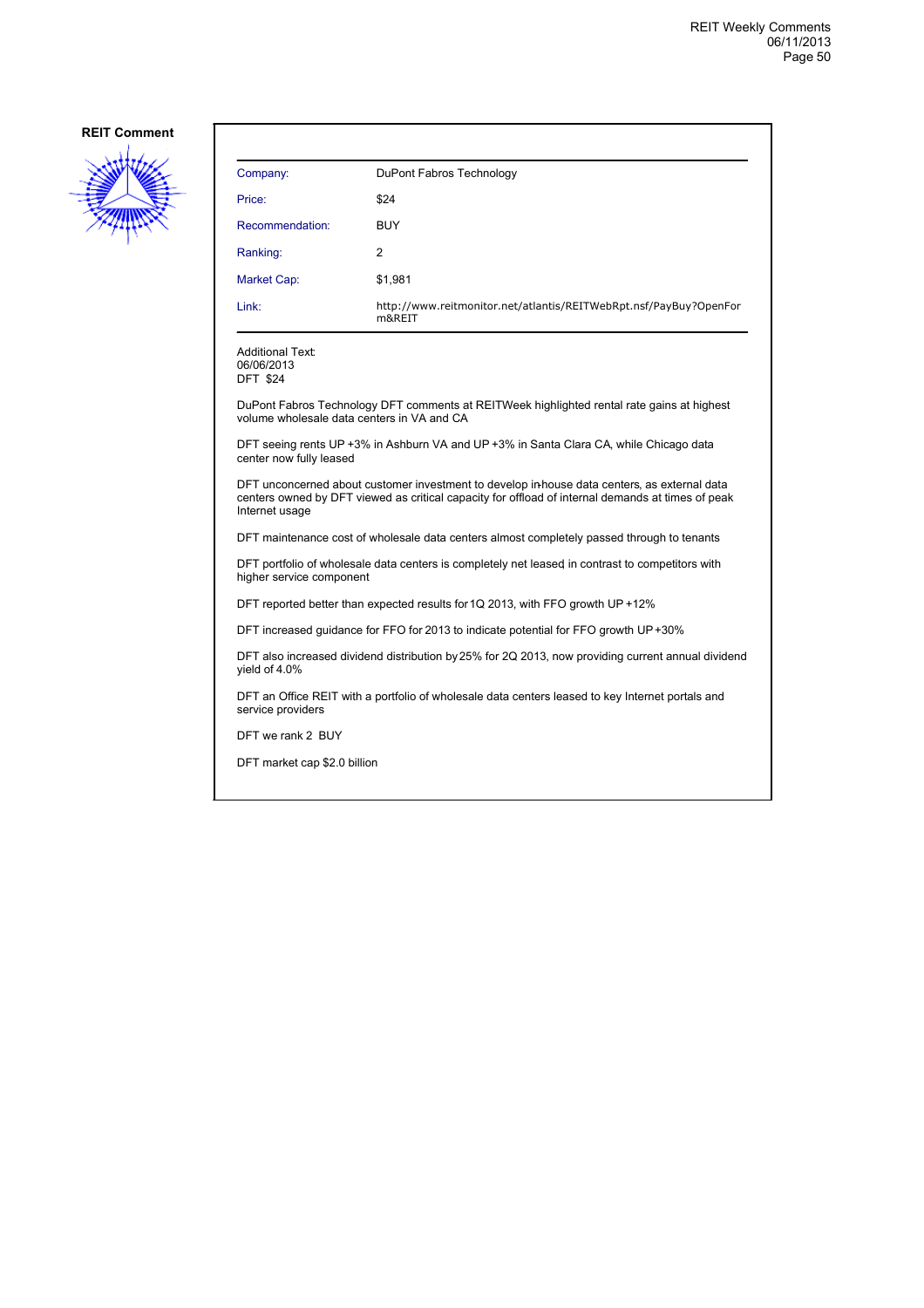

| Company:                                                                                                                                                                                                            | DuPont Fabros Technology                                                                           |  |
|---------------------------------------------------------------------------------------------------------------------------------------------------------------------------------------------------------------------|----------------------------------------------------------------------------------------------------|--|
| Price:                                                                                                                                                                                                              | \$24                                                                                               |  |
| Recommendation:                                                                                                                                                                                                     | <b>BUY</b>                                                                                         |  |
| Ranking:                                                                                                                                                                                                            | 2                                                                                                  |  |
| Market Cap:                                                                                                                                                                                                         | \$1,981                                                                                            |  |
| Link:                                                                                                                                                                                                               | http://www.reitmonitor.net/atlantis/REITWebRpt.nsf/PayBuy?OpenFor<br>m&REIT                        |  |
| <b>Additional Text:</b><br>06/06/2013<br><b>DFT \$24</b>                                                                                                                                                            |                                                                                                    |  |
| DuPont Fabros Technology DFT comments at REITWeek highlighted rental rate gains at highest<br>volume wholesale data centers in VA and CA                                                                            |                                                                                                    |  |
| DFT seeing rents UP +3% in Ashburn VA and UP +3% in Santa Clara CA, while Chicago data<br>center now fully leased                                                                                                   |                                                                                                    |  |
| DFT unconcerned about customer investment to develop in-house data centers, as external data<br>centers owned by DFT viewed as critical capacity for offload of internal demands at times of peak<br>Internet usage |                                                                                                    |  |
| DFT maintenance cost of wholesale data centers almost completely passed through to tenants                                                                                                                          |                                                                                                    |  |
| DFT portfolio of wholesale data centers is completely net leased in contrast to competitors with<br>higher service component                                                                                        |                                                                                                    |  |
| DFT reported better than expected results for 1Q 2013, with FFO growth UP +12%                                                                                                                                      |                                                                                                    |  |
| DFT increased guidance for FFO for 2013 to indicate potential for FFO growth UP+30%                                                                                                                                 |                                                                                                    |  |
| yield of 4.0%                                                                                                                                                                                                       | DFT also increased dividend distribution by 25% for 2Q 2013, now providing current annual dividend |  |
| DFT an Office REIT with a portfolio of wholesale data centers leased to key Internet portals and<br>service providers                                                                                               |                                                                                                    |  |

DFT we rank 2 BUY

DFT market cap \$2.0 billion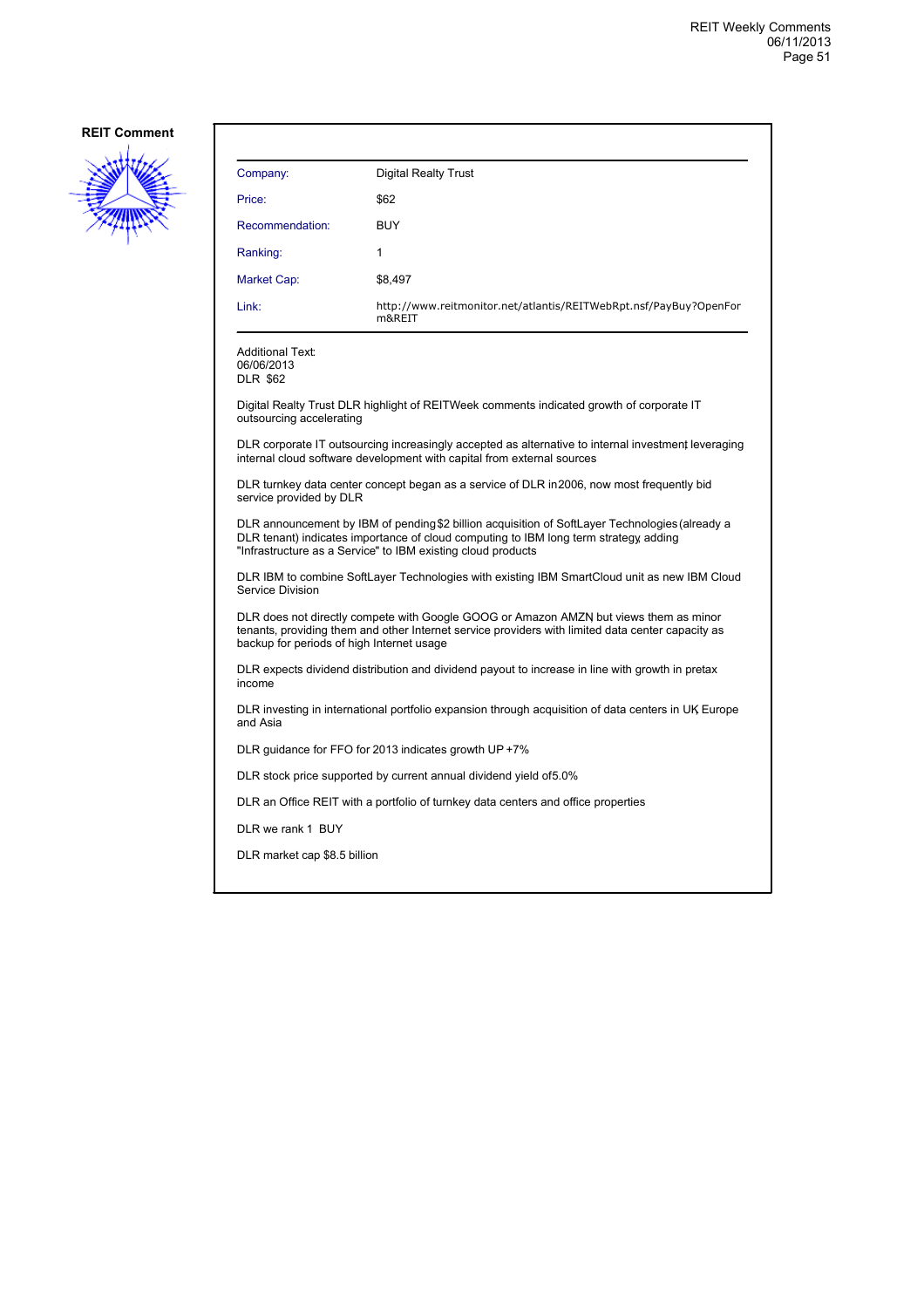

| Company:                                                                                                                                                                                                                                                | <b>Digital Realty Trust</b>                                                              |  |
|---------------------------------------------------------------------------------------------------------------------------------------------------------------------------------------------------------------------------------------------------------|------------------------------------------------------------------------------------------|--|
| Price:                                                                                                                                                                                                                                                  | \$62                                                                                     |  |
| Recommendation:                                                                                                                                                                                                                                         | <b>BUY</b>                                                                               |  |
| Ranking:                                                                                                                                                                                                                                                | 1                                                                                        |  |
| Market Cap:                                                                                                                                                                                                                                             | \$8,497                                                                                  |  |
| Link:                                                                                                                                                                                                                                                   | http://www.reitmonitor.net/atlantis/REITWebRpt.nsf/PayBuy?OpenFor<br>m&REIT              |  |
| Additional Text:<br>06/06/2013<br><b>DLR \$62</b>                                                                                                                                                                                                       |                                                                                          |  |
| outsourcing accelerating                                                                                                                                                                                                                                | Digital Realty Trust DLR highlight of REITWeek comments indicated growth of corporate IT |  |
| DLR corporate IT outsourcing increasingly accepted as alternative to internal investment leveraging<br>internal cloud software development with capital from external sources                                                                           |                                                                                          |  |
| DLR turnkey data center concept began as a service of DLR in 2006, now most frequently bid<br>service provided by DLR                                                                                                                                   |                                                                                          |  |
| DLR announcement by IBM of pending \$2 billion acquisition of SoftLayer Technologies (already a<br>DLR tenant) indicates importance of cloud computing to IBM long term strategy adding<br>"Infrastructure as a Service" to IBM existing cloud products |                                                                                          |  |
| DLR IBM to combine SoftLayer Technologies with existing IBM SmartCloud unit as new IBM Cloud<br>Service Division                                                                                                                                        |                                                                                          |  |
| DLR does not directly compete with Google GOOG or Amazon AMZN but views them as minor<br>tenants, providing them and other Internet service providers with limited data center capacity as<br>backup for periods of high Internet usage                 |                                                                                          |  |
| DLR expects dividend distribution and dividend payout to increase in line with growth in pretax<br>income                                                                                                                                               |                                                                                          |  |
| DLR investing in international portfolio expansion through acquisition of data centers in UK Europe<br>and Asia                                                                                                                                         |                                                                                          |  |
| DLR guidance for FFO for 2013 indicates growth UP $+7\%$                                                                                                                                                                                                |                                                                                          |  |
|                                                                                                                                                                                                                                                         | DLR stock price supported by current annual dividend yield of 5.0%                       |  |
|                                                                                                                                                                                                                                                         | DLR an Office REIT with a portfolio of turnkey data centers and office properties        |  |
| DLR we rank 1 BUY                                                                                                                                                                                                                                       |                                                                                          |  |
| DLR market cap \$8.5 billion                                                                                                                                                                                                                            |                                                                                          |  |
|                                                                                                                                                                                                                                                         |                                                                                          |  |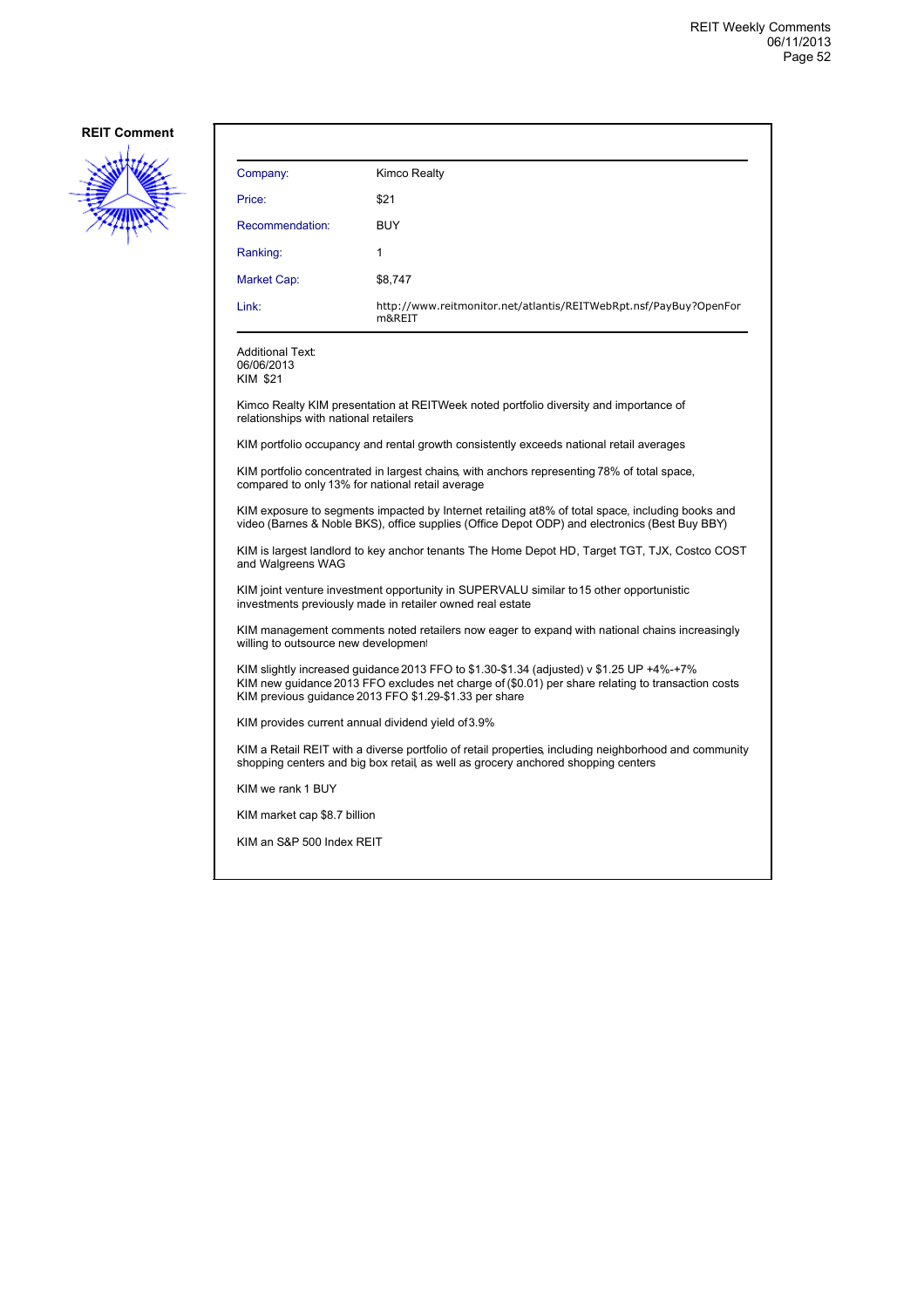

| Company:                                                                                                                                                                                                                                                | Kimco Realty                                                                                |  |
|---------------------------------------------------------------------------------------------------------------------------------------------------------------------------------------------------------------------------------------------------------|---------------------------------------------------------------------------------------------|--|
| Price:                                                                                                                                                                                                                                                  | \$21                                                                                        |  |
| Recommendation:                                                                                                                                                                                                                                         | <b>BUY</b>                                                                                  |  |
| Ranking:                                                                                                                                                                                                                                                | 1                                                                                           |  |
| Market Cap:                                                                                                                                                                                                                                             | \$8,747                                                                                     |  |
| Link:                                                                                                                                                                                                                                                   | http://www.reitmonitor.net/atlantis/REITWebRpt.nsf/PayBuy?OpenFor<br>m&REIT                 |  |
| <b>Additional Text:</b><br>06/06/2013<br><b>KIM \$21</b>                                                                                                                                                                                                |                                                                                             |  |
| relationships with national retailers                                                                                                                                                                                                                   | Kimco Realty KIM presentation at REITWeek noted portfolio diversity and importance of       |  |
|                                                                                                                                                                                                                                                         | KIM portfolio occupancy and rental growth consistently exceeds national retail averages     |  |
| compared to only 13% for national retail average                                                                                                                                                                                                        | KIM portfolio concentrated in largest chains, with anchors representing 78% of total space, |  |
| KIM exposure to segments impacted by Internet retailing at8% of total space, including books and<br>video (Barnes & Noble BKS), office supplies (Office Depot ODP) and electronics (Best Buy BBY)                                                       |                                                                                             |  |
| KIM is largest landlord to key anchor tenants The Home Depot HD, Target TGT, TJX, Costco COST<br>and Walgreens WAG                                                                                                                                      |                                                                                             |  |
| KIM joint venture investment opportunity in SUPERVALU similar to 15 other opportunistic<br>investments previously made in retailer owned real estate                                                                                                    |                                                                                             |  |
| KIM management comments noted retailers now eager to expand with national chains increasingly<br>willing to outsource new development                                                                                                                   |                                                                                             |  |
| KIM slightly increased guidance 2013 FFO to \$1.30-\$1.34 (adjusted) v \$1.25 UP +4%-+7%<br>KIM new guidance 2013 FFO excludes net charge of (\$0.01) per share relating to transaction costs<br>KIM previous guidance 2013 FFO \$1.29-\$1.33 per share |                                                                                             |  |
| KIM provides current annual dividend yield of 3.9%                                                                                                                                                                                                      |                                                                                             |  |
| KIM a Retail REIT with a diverse portfolio of retail properties, including neighborhood and community<br>shopping centers and big box retail, as well as grocery anchored shopping centers                                                              |                                                                                             |  |
| KIM we rank 1 BUY                                                                                                                                                                                                                                       |                                                                                             |  |
| KIM market cap \$8.7 billion                                                                                                                                                                                                                            |                                                                                             |  |
| KIM an S&P 500 Index REIT                                                                                                                                                                                                                               |                                                                                             |  |
|                                                                                                                                                                                                                                                         |                                                                                             |  |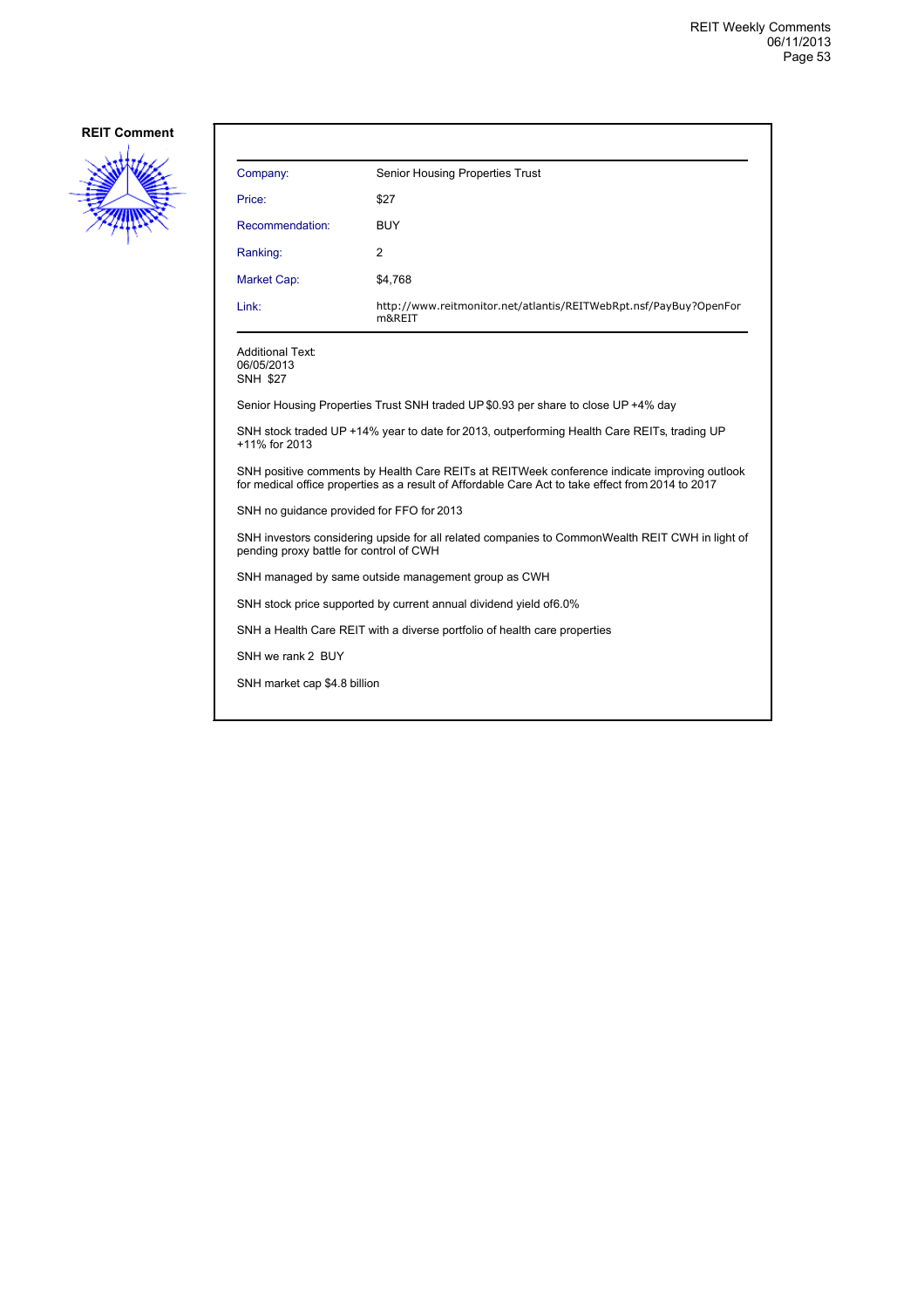

| Company:                                                                                                                                                                                          | <b>Senior Housing Properties Trust</b>                                             |  |
|---------------------------------------------------------------------------------------------------------------------------------------------------------------------------------------------------|------------------------------------------------------------------------------------|--|
| Price:                                                                                                                                                                                            | \$27                                                                               |  |
| Recommendation:                                                                                                                                                                                   | <b>BUY</b>                                                                         |  |
| Ranking:                                                                                                                                                                                          | 2                                                                                  |  |
| Market Cap:                                                                                                                                                                                       | \$4,768                                                                            |  |
| Link:                                                                                                                                                                                             | http://www.reitmonitor.net/atlantis/REITWebRpt.nsf/PayBuy?OpenFor<br>m&REIT        |  |
| <b>Additional Text:</b><br>06/05/2013<br><b>SNH \$27</b>                                                                                                                                          |                                                                                    |  |
|                                                                                                                                                                                                   | Senior Housing Properties Trust SNH traded UP \$0.93 per share to close UP +4% day |  |
| SNH stock traded UP +14% year to date for 2013, outperforming Health Care REITs, trading UP<br>+11% for 2013                                                                                      |                                                                                    |  |
| SNH positive comments by Health Care REITs at REITWeek conference indicate improving outlook<br>for medical office properties as a result of Affordable Care Act to take effect from 2014 to 2017 |                                                                                    |  |
| SNH no quidance provided for FFO for 2013                                                                                                                                                         |                                                                                    |  |
| SNH investors considering upside for all related companies to CommonWealth REIT CWH in light of<br>pending proxy battle for control of CWH                                                        |                                                                                    |  |
| SNH managed by same outside management group as CWH                                                                                                                                               |                                                                                    |  |
| SNH stock price supported by current annual dividend yield of 6.0%                                                                                                                                |                                                                                    |  |
| SNH a Health Care REIT with a diverse portfolio of health care properties                                                                                                                         |                                                                                    |  |
| SNH we rank 2 BUY                                                                                                                                                                                 |                                                                                    |  |
| SNH market cap \$4.8 billion                                                                                                                                                                      |                                                                                    |  |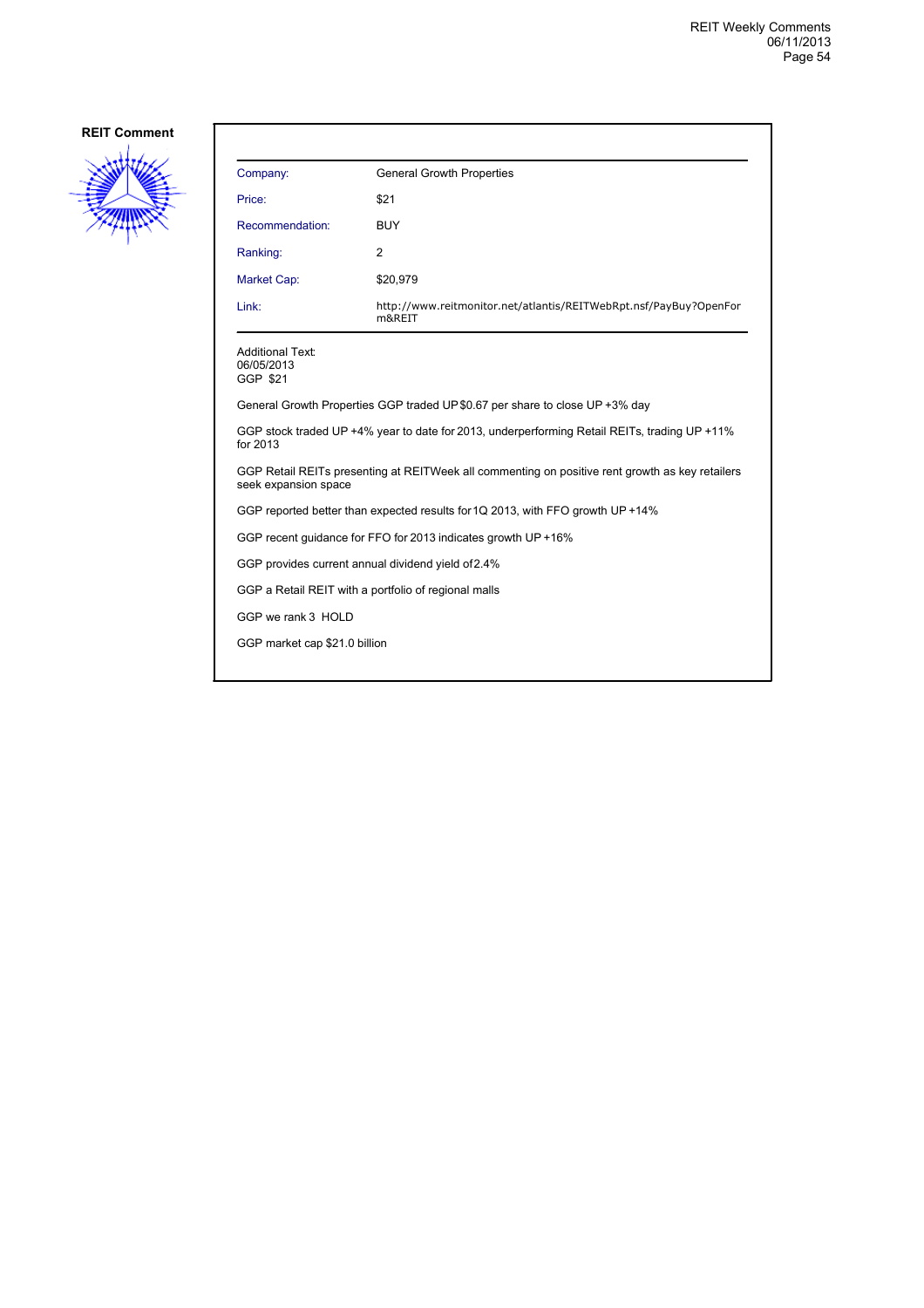

| Company:                                                                                                                | <b>General Growth Properties</b>                                            |  |
|-------------------------------------------------------------------------------------------------------------------------|-----------------------------------------------------------------------------|--|
| Price:                                                                                                                  | \$21                                                                        |  |
| Recommendation:                                                                                                         | <b>BUY</b>                                                                  |  |
| Ranking:                                                                                                                | 2                                                                           |  |
| Market Cap:                                                                                                             | \$20,979                                                                    |  |
| Link:                                                                                                                   | http://www.reitmonitor.net/atlantis/REITWebRpt.nsf/PayBuy?OpenFor<br>m&REIT |  |
| <b>Additional Text:</b><br>06/05/2013<br>GGP \$21                                                                       |                                                                             |  |
| General Growth Properties GGP traded UP \$0.67 per share to close UP +3% day                                            |                                                                             |  |
| GGP stock traded UP +4% year to date for 2013, underperforming Retail REITs, trading UP +11%<br>for 2013                |                                                                             |  |
| GGP Retail REITs presenting at REITWeek all commenting on positive rent growth as key retailers<br>seek expansion space |                                                                             |  |
| GGP reported better than expected results for 1Q 2013, with FFO growth UP +14%                                          |                                                                             |  |
| GGP recent guidance for FFO for 2013 indicates growth UP +16%                                                           |                                                                             |  |
| GGP provides current annual dividend yield of 2.4%                                                                      |                                                                             |  |
| GGP a Retail REIT with a portfolio of regional malls                                                                    |                                                                             |  |
| GGP we rank 3 HOLD                                                                                                      |                                                                             |  |
| GGP market cap \$21.0 billion                                                                                           |                                                                             |  |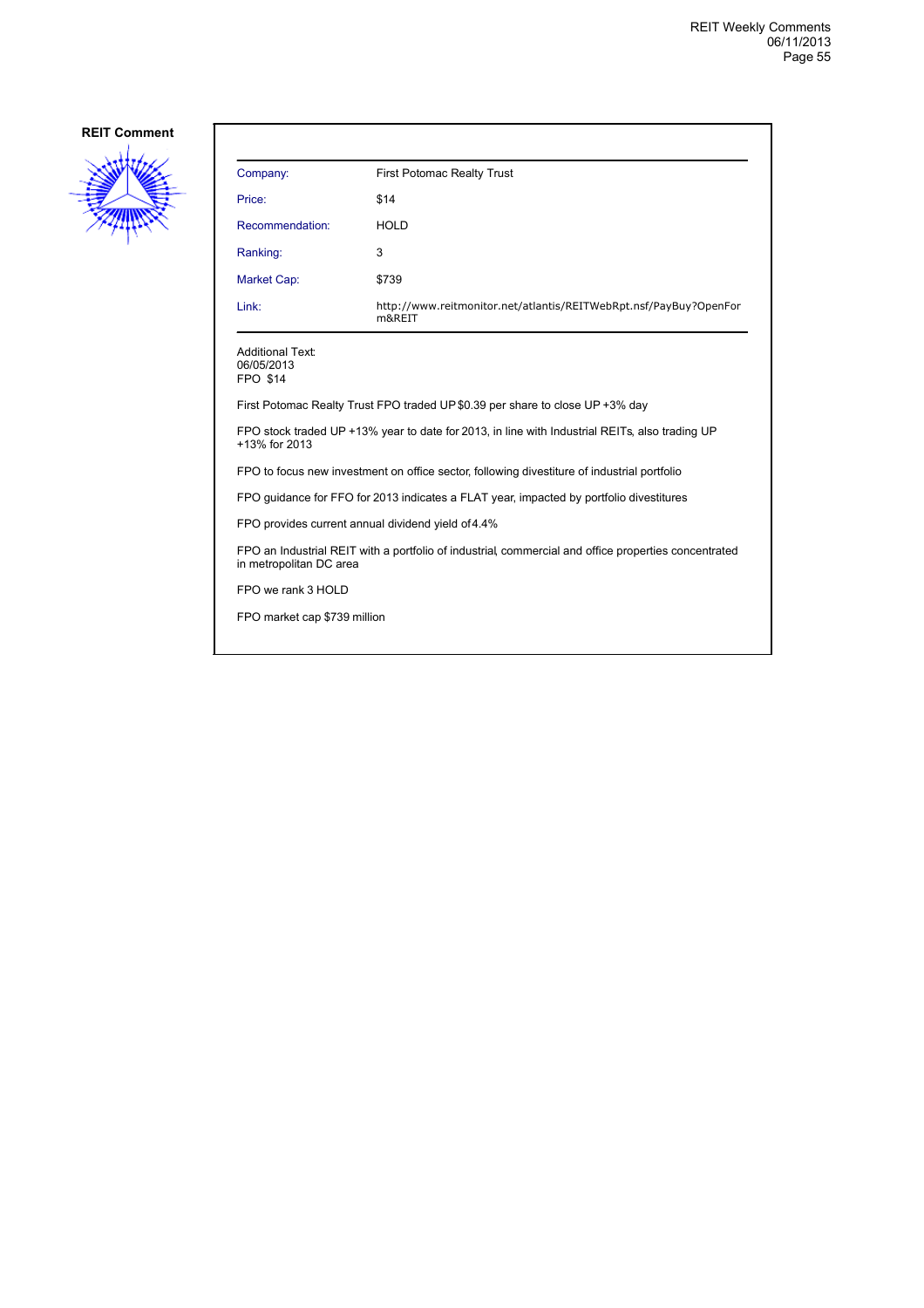

| Company:                                                                                                                        | <b>First Potomac Realty Trust</b>                                           |  |
|---------------------------------------------------------------------------------------------------------------------------------|-----------------------------------------------------------------------------|--|
| Price:                                                                                                                          | \$14                                                                        |  |
| Recommendation:                                                                                                                 | <b>HOLD</b>                                                                 |  |
| Ranking:                                                                                                                        | 3                                                                           |  |
| <b>Market Cap:</b>                                                                                                              | \$739                                                                       |  |
| Link:                                                                                                                           | http://www.reitmonitor.net/atlantis/REITWebRpt.nsf/PayBuy?OpenFor<br>m&REIT |  |
| <b>Additional Text:</b><br>06/05/2013<br><b>FPO \$14</b>                                                                        |                                                                             |  |
| First Potomac Realty Trust FPO traded UP \$0.39 per share to close UP +3% day                                                   |                                                                             |  |
| FPO stock traded UP +13% year to date for 2013, in line with Industrial REITs, also trading UP<br>+13% for 2013                 |                                                                             |  |
| FPO to focus new investment on office sector, following divestiture of industrial portfolio                                     |                                                                             |  |
| FPO guidance for FFO for 2013 indicates a FLAT year, impacted by portfolio divestitures                                         |                                                                             |  |
| FPO provides current annual dividend yield of 4.4%                                                                              |                                                                             |  |
| FPO an Industrial REIT with a portfolio of industrial, commercial and office properties concentrated<br>in metropolitan DC area |                                                                             |  |
| FPO we rank 3 HOLD                                                                                                              |                                                                             |  |
| FPO market cap \$739 million                                                                                                    |                                                                             |  |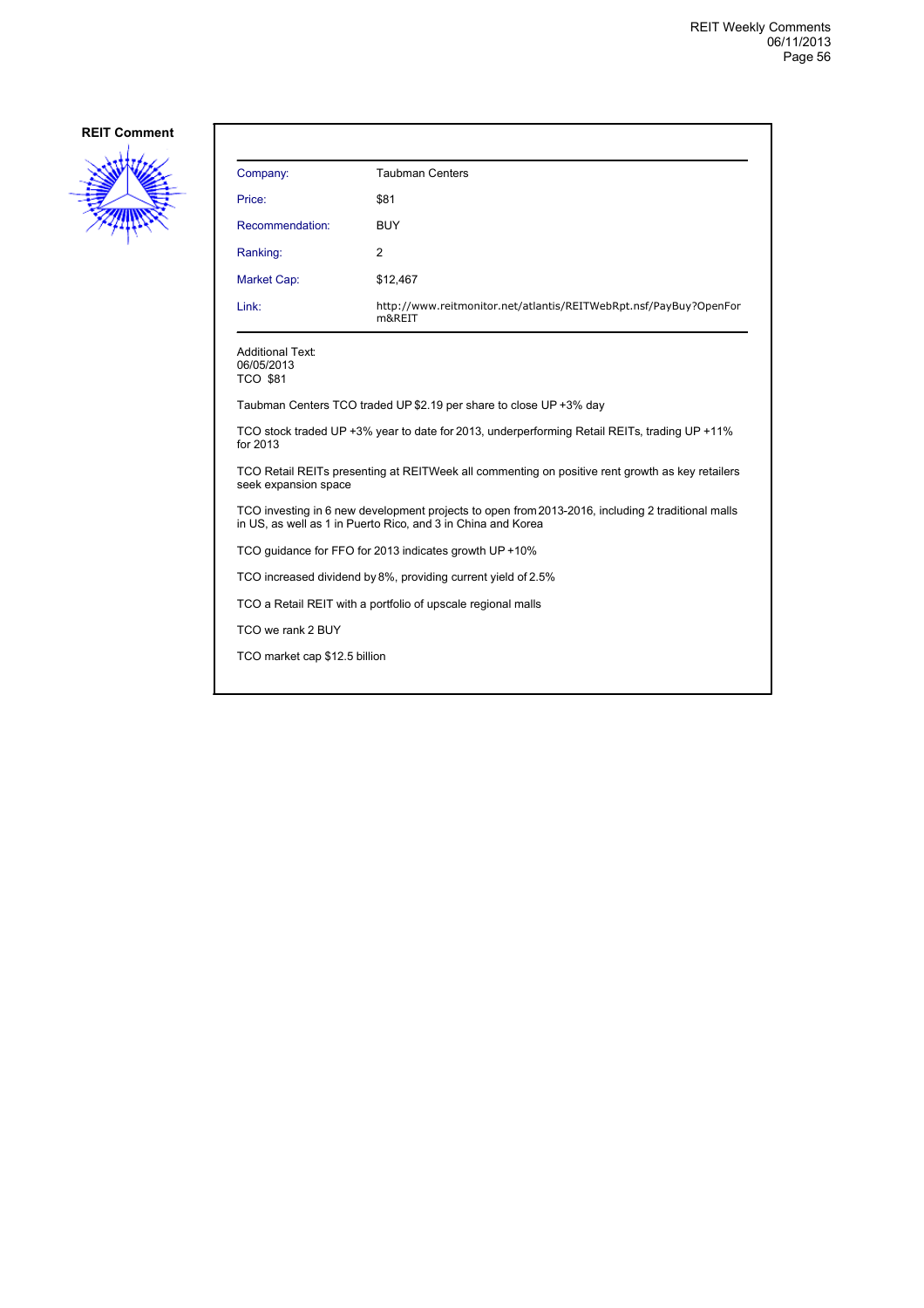

| Company:                                                                                                                                                          | <b>Taubman Centers</b>                                                      |  |
|-------------------------------------------------------------------------------------------------------------------------------------------------------------------|-----------------------------------------------------------------------------|--|
| Price:                                                                                                                                                            | \$81                                                                        |  |
| Recommendation:                                                                                                                                                   | <b>BUY</b>                                                                  |  |
| Ranking:                                                                                                                                                          | 2                                                                           |  |
| Market Cap:                                                                                                                                                       | \$12,467                                                                    |  |
| Link:                                                                                                                                                             | http://www.reitmonitor.net/atlantis/REITWebRpt.nsf/PayBuy?OpenFor<br>m&REIT |  |
| <b>Additional Text:</b><br>06/05/2013<br><b>TCO \$81</b>                                                                                                          |                                                                             |  |
|                                                                                                                                                                   | Taubman Centers TCO traded UP \$2.19 per share to close UP +3% day          |  |
| TCO stock traded UP +3% year to date for 2013, underperforming Retail REITs, trading UP +11%<br>for 2013                                                          |                                                                             |  |
| TCO Retail REITs presenting at REITWeek all commenting on positive rent growth as key retailers<br>seek expansion space                                           |                                                                             |  |
| TCO investing in 6 new development projects to open from 2013-2016, including 2 traditional malls<br>in US, as well as 1 in Puerto Rico, and 3 in China and Korea |                                                                             |  |
| TCO quidance for FFO for 2013 indicates growth UP +10%                                                                                                            |                                                                             |  |
| TCO increased dividend by 8%, providing current yield of 2.5%                                                                                                     |                                                                             |  |
| TCO a Retail REIT with a portfolio of upscale regional malls                                                                                                      |                                                                             |  |
| TCO we rank 2 BUY                                                                                                                                                 |                                                                             |  |
| TCO market cap \$12.5 billion                                                                                                                                     |                                                                             |  |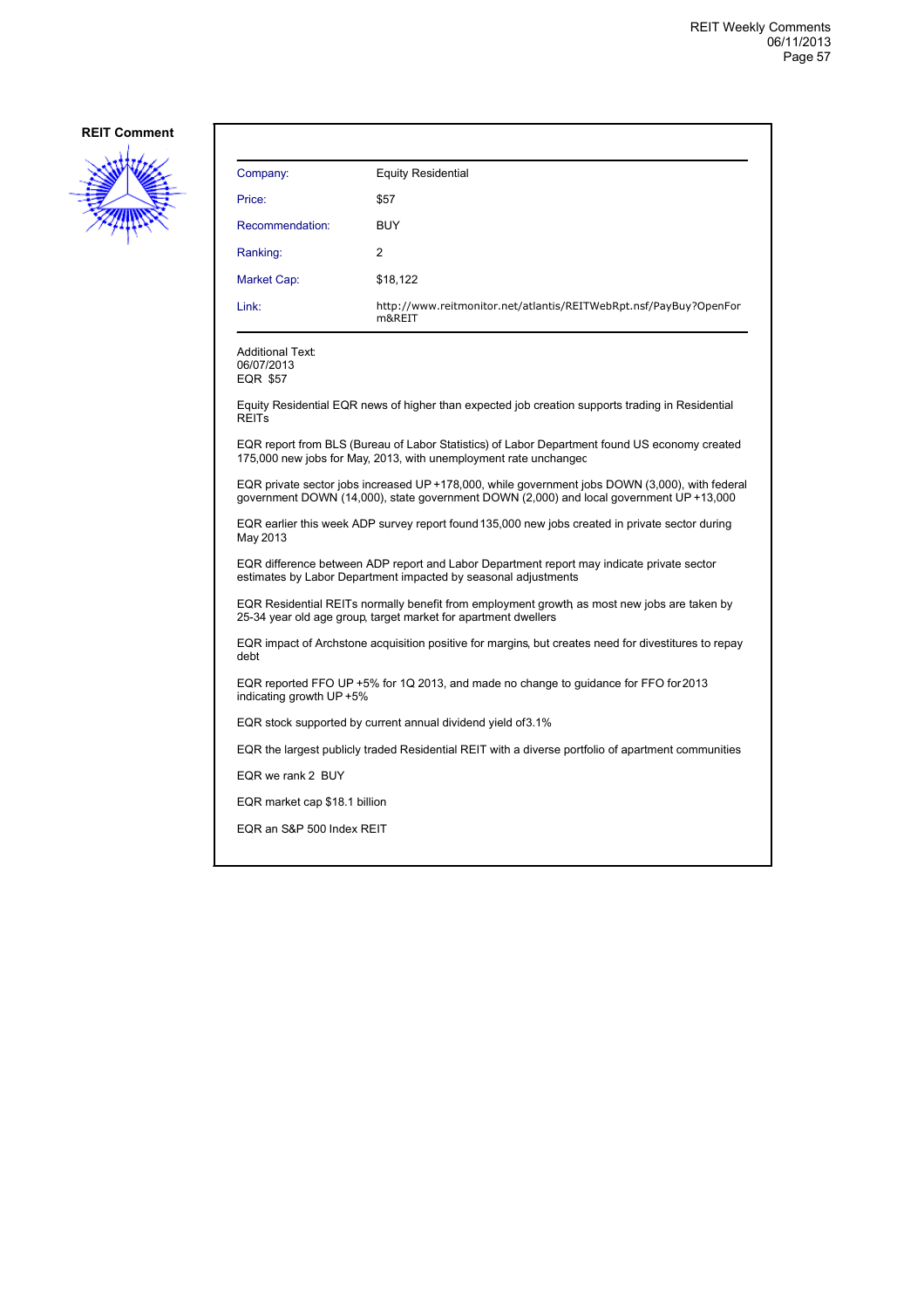

| Company:                                                                                                                                                                                   | <b>Equity Residential</b>                                                                                                                                         |  |
|--------------------------------------------------------------------------------------------------------------------------------------------------------------------------------------------|-------------------------------------------------------------------------------------------------------------------------------------------------------------------|--|
| Price:                                                                                                                                                                                     | \$57                                                                                                                                                              |  |
| Recommendation:                                                                                                                                                                            | <b>BUY</b>                                                                                                                                                        |  |
| Ranking:                                                                                                                                                                                   | 2                                                                                                                                                                 |  |
| Market Cap:                                                                                                                                                                                | \$18,122                                                                                                                                                          |  |
| Link:                                                                                                                                                                                      | http://www.reitmonitor.net/atlantis/REITWebRpt.nsf/PayBuy?OpenFor<br>m&REIT                                                                                       |  |
| <b>Additional Text:</b><br>06/07/2013<br>EQR \$57                                                                                                                                          |                                                                                                                                                                   |  |
| <b>REITS</b>                                                                                                                                                                               | Equity Residential EQR news of higher than expected job creation supports trading in Residential                                                                  |  |
|                                                                                                                                                                                            | EQR report from BLS (Bureau of Labor Statistics) of Labor Department found US economy created<br>175,000 new jobs for May, 2013, with unemployment rate unchanged |  |
| EQR private sector jobs increased UP +178,000, while government jobs DOWN (3,000), with federal<br>government DOWN (14,000), state government DOWN (2,000) and local government UP +13,000 |                                                                                                                                                                   |  |
| EQR earlier this week ADP survey report found 135,000 new jobs created in private sector during<br>May 2013                                                                                |                                                                                                                                                                   |  |
| EQR difference between ADP report and Labor Department report may indicate private sector<br>estimates by Labor Department impacted by seasonal adjustments                                |                                                                                                                                                                   |  |
| EQR Residential REITs normally benefit from employment growth as most new jobs are taken by<br>25-34 year old age group, target market for apartment dwellers                              |                                                                                                                                                                   |  |
| EQR impact of Archstone acquisition positive for margins, but creates need for divestitures to repay<br>debt                                                                               |                                                                                                                                                                   |  |
| EQR reported FFO UP +5% for 1Q 2013, and made no change to guidance for FFO for 2013<br>indicating growth UP +5%                                                                           |                                                                                                                                                                   |  |
| EQR stock supported by current annual dividend yield of 3.1%                                                                                                                               |                                                                                                                                                                   |  |
| EQR the largest publicly traded Residential REIT with a diverse portfolio of apartment communities                                                                                         |                                                                                                                                                                   |  |
| EQR we rank 2 BUY                                                                                                                                                                          |                                                                                                                                                                   |  |
| EQR market cap \$18.1 billion                                                                                                                                                              |                                                                                                                                                                   |  |
| EQR an S&P 500 Index REIT                                                                                                                                                                  |                                                                                                                                                                   |  |
|                                                                                                                                                                                            |                                                                                                                                                                   |  |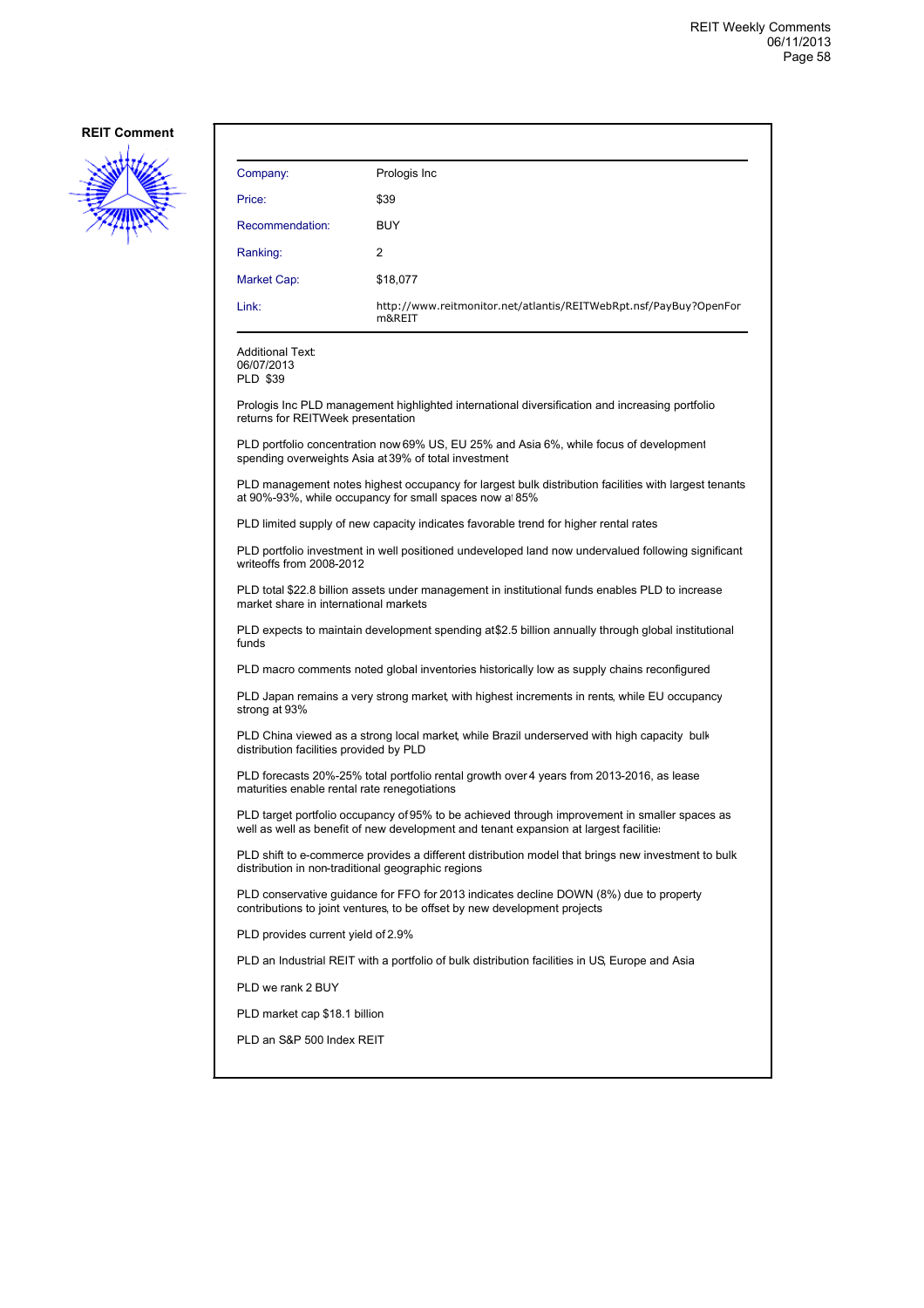

| Company:           | Prologis Inc                                                                |
|--------------------|-----------------------------------------------------------------------------|
| Price:             | \$39                                                                        |
| Recommendation:    | <b>BUY</b>                                                                  |
| Ranking:           | 2                                                                           |
| <b>Market Cap:</b> | \$18,077                                                                    |
| Link:              | http://www.reitmonitor.net/atlantis/REITWebRpt.nsf/PayBuy?OpenFor<br>m&REIT |

Additional Text: 06/07/2013

PLD \$39

Prologis Inc PLD management highlighted international diversification and increasing portfolio returns for REITWeek presentation

PLD portfolio concentration now 69% US, EU 25% and Asia 6%, while focus of development spending overweights Asia at 39% of total investment

PLD management notes highest occupancy for largest bulk distribution facilities with largest tenants at 90%-93%, while occupancy for small spaces now at85%

PLD limited supply of new capacity indicates favorable trend for higher rental rates

PLD portfolio investment in well positioned undeveloped land now undervalued following significant writeoffs from 2008-2012

PLD total \$22.8 billion assets under management in institutional funds enables PLD to increase market share in international markets

PLD expects to maintain development spending at \$2.5 billion annually through global institutional funds

PLD macro comments noted global inventories historically low as supply chains reconfigured

PLD Japan remains a very strong market, with highest increments in rents, while EU occupancy strong at 93%

PLD China viewed as a strong local market, while Brazil underserved with high capacity bulk distribution facilities provided by PLD

PLD forecasts 20%-25% total portfolio rental growth over 4 years from 2013-2016, as lease maturities enable rental rate renegotiations

PLD target portfolio occupancy of 95% to be achieved through improvement in smaller spaces as well as well as benefit of new development and tenant expansion at largest facilities

PLD shift to e-commerce provides a different distribution model that brings new investment to bulk distribution in non-traditional geographic regions

PLD conservative guidance for FFO for 2013 indicates decline DOWN (8%) due to property contributions to joint ventures, to be offset by new development projects

PLD provides current yield of 2.9%

PLD an Industrial REIT with a portfolio of bulk distribution facilities in US, Europe and Asia

PLD we rank 2 BUY

PLD market cap \$18.1 billion

PLD an S&P 500 Index REIT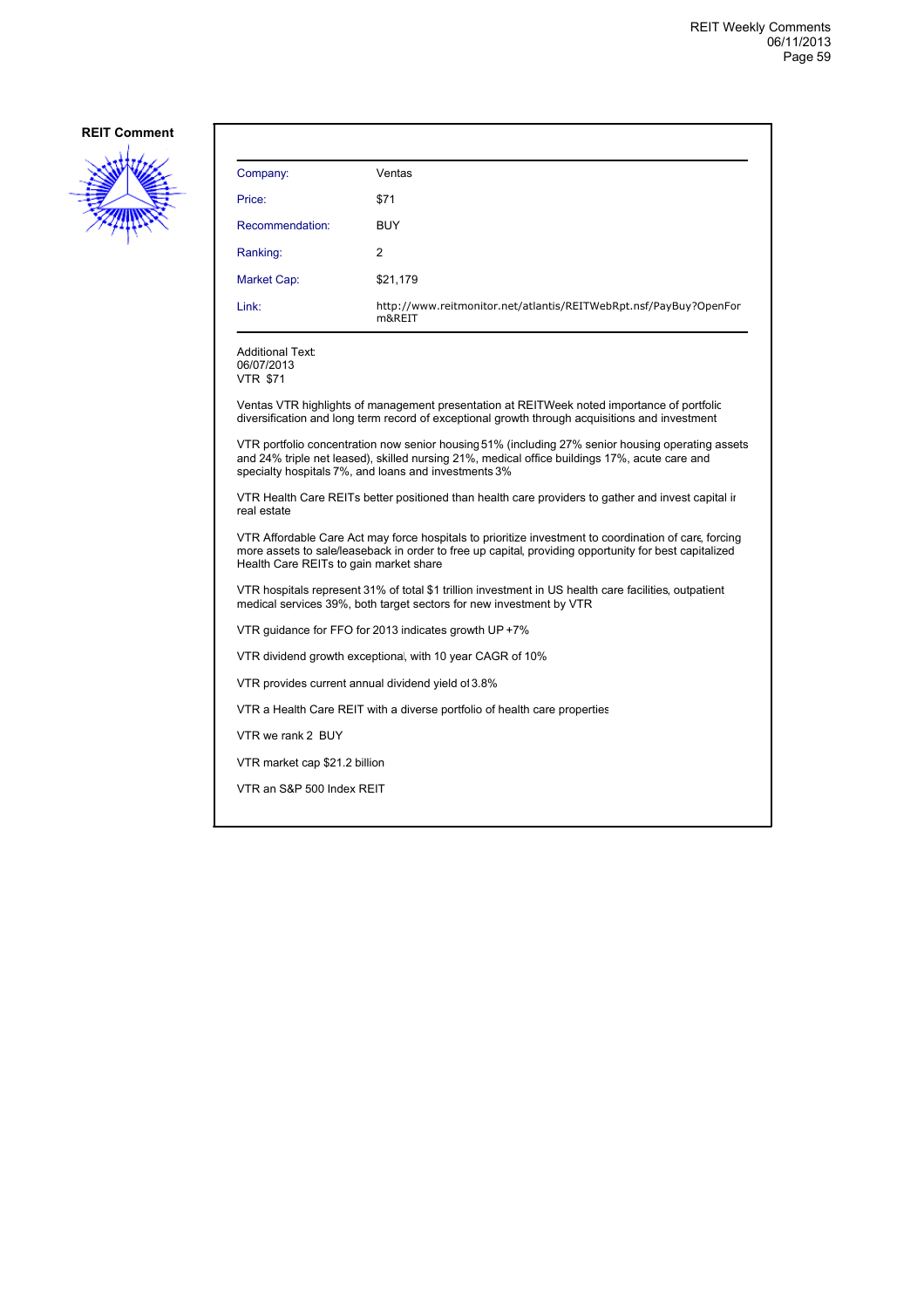

| Company:                                                 | Ventas                                                                      |
|----------------------------------------------------------|-----------------------------------------------------------------------------|
| Price:                                                   | \$71                                                                        |
| Recommendation:                                          | <b>BUY</b>                                                                  |
| Ranking:                                                 | $\overline{2}$                                                              |
| Market Cap:                                              | \$21,179                                                                    |
| Link:                                                    | http://www.reitmonitor.net/atlantis/REITWebRpt.nsf/PayBuy?OpenFor<br>m&REIT |
| <b>Additional Text:</b><br>06/07/2013<br><b>VTR \$71</b> |                                                                             |

Ventas VTR highlights of management presentation at REITWeek noted importance of portfolio diversification and long term record of exceptional growth through acquisitions and investment

VTR portfolio concentration now senior housing51% (including 27% senior housing operating assets and 24% triple net leased), skilled nursing 21%, medical office buildings 17%, acute care and specialty hospitals 7%, and loans and investments 3%

VTR Health Care REITs better positioned than health care providers to gather and invest capital in real estate

VTR Affordable Care Act may force hospitals to prioritize investment to coordination of care, forcing more assets to sale/leaseback in order to free up capital, providing opportunity for best capitalized Health Care REITs to gain market share

VTR hospitals represent 31% of total \$1 trillion investment in US health care facilities, outpatient medical services 39%, both target sectors for new investment by VTR

VTR guidance for FFO for 2013 indicates growth UP +7%

VTR dividend growth exceptional, with 10 year CAGR of 10%

VTR provides current annual dividend yield of3.8%

VTR a Health Care REIT with a diverse portfolio of health care properties

VTR we rank 2 BUY

VTR market cap \$21.2 billion

VTR an S&P 500 Index REIT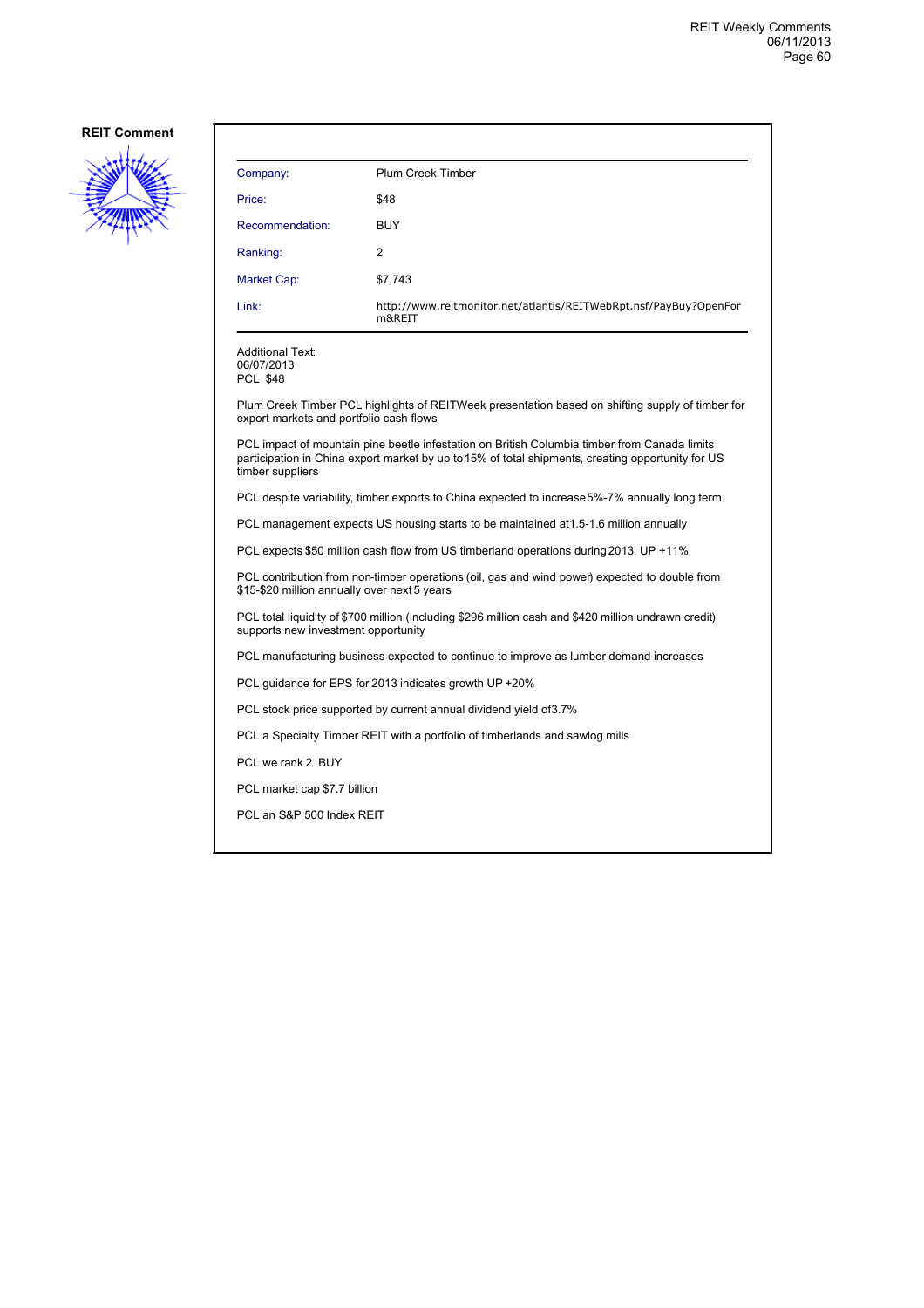

| Plum Creek Timber                                                           |
|-----------------------------------------------------------------------------|
| \$48                                                                        |
| <b>BUY</b>                                                                  |
| 2                                                                           |
| \$7,743                                                                     |
| http://www.reitmonitor.net/atlantis/REITWebRpt.nsf/PayBuy?OpenFor<br>m&REIT |
|                                                                             |

Additional Text: 06/07/2013

PCL \$48

Plum Creek Timber PCL highlights of REITWeek presentation based on shifting supply of timber for export markets and portfolio cash flows

PCL impact of mountain pine beetle infestation on British Columbia timber from Canada limits participation in China export market by up to 15% of total shipments, creating opportunity for US timber suppliers

PCL despite variability, timber exports to China expected to increase 5%-7% annually long term

PCL management expects US housing starts to be maintained at 1.5-1.6 million annually

PCL expects \$50 million cash flow from US timberland operations during 2013, UP +11%

PCL contribution from non-timber operations (oil, gas and wind power) expected to double from \$15-\$20 million annually over next 5 years

PCL total liquidity of \$700 million (including \$296 million cash and \$420 million undrawn credit) supports new investment opportunity

PCL manufacturing business expected to continue to improve as lumber demand increases

PCL guidance for EPS for 2013 indicates growth UP +20%

PCL stock price supported by current annual dividend yield of 3.7%

PCL a Specialty Timber REIT with a portfolio of timberlands and sawlog mills

PCL we rank 2 BUY

PCL market cap \$7.7 billion

PCL an S&P 500 Index REIT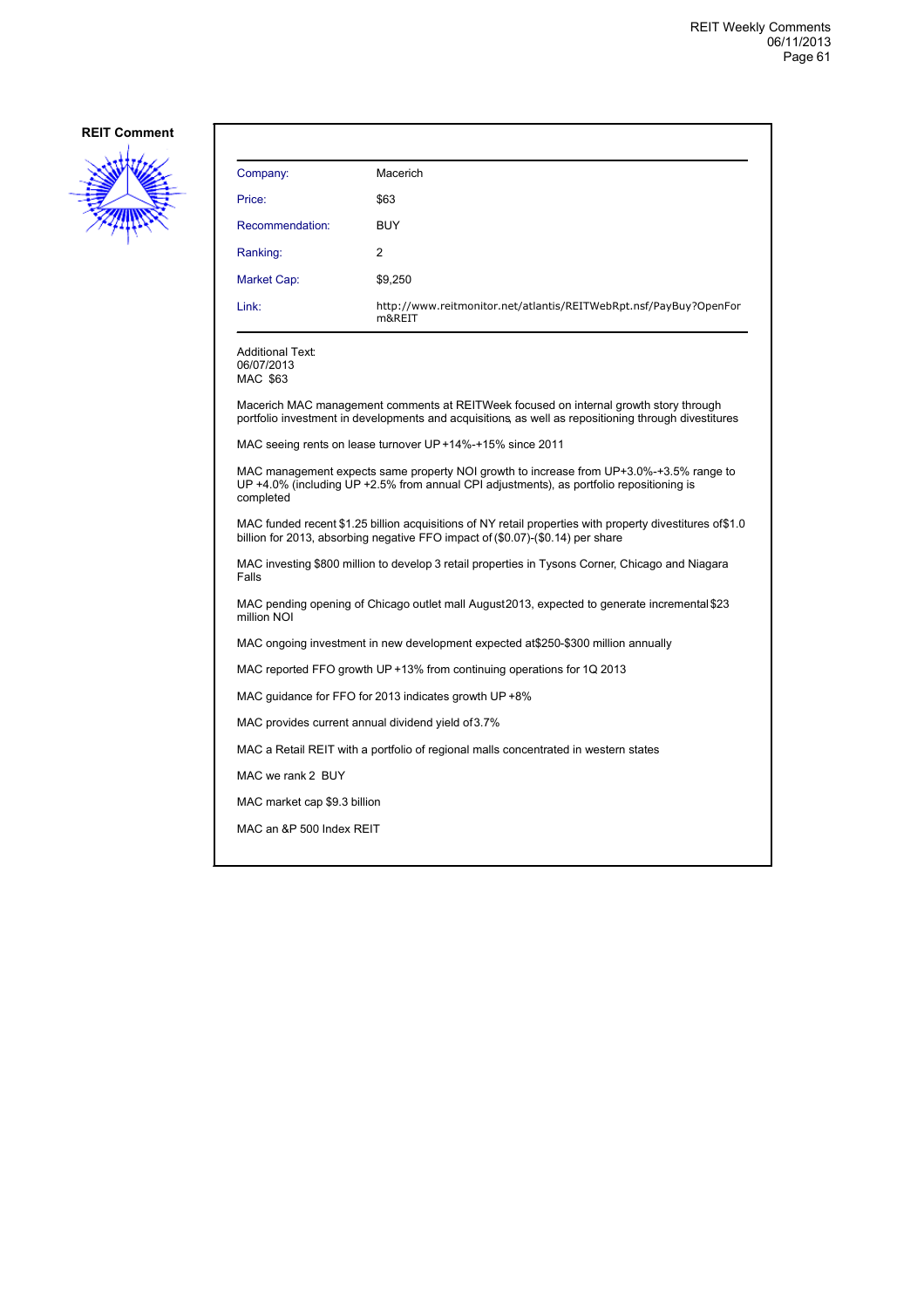

| Company:                                                                                                                                                                                         | Macerich                                                                                                                                                                                      |  |
|--------------------------------------------------------------------------------------------------------------------------------------------------------------------------------------------------|-----------------------------------------------------------------------------------------------------------------------------------------------------------------------------------------------|--|
| Price:                                                                                                                                                                                           | \$63                                                                                                                                                                                          |  |
| Recommendation:                                                                                                                                                                                  | <b>BUY</b>                                                                                                                                                                                    |  |
| Ranking:                                                                                                                                                                                         | 2                                                                                                                                                                                             |  |
| Market Cap:                                                                                                                                                                                      | \$9,250                                                                                                                                                                                       |  |
| Link:                                                                                                                                                                                            | http://www.reitmonitor.net/atlantis/REITWebRpt.nsf/PayBuy?OpenFor<br>m&REIT                                                                                                                   |  |
| <b>Additional Text:</b><br>06/07/2013<br>MAC \$63                                                                                                                                                |                                                                                                                                                                                               |  |
|                                                                                                                                                                                                  | Macerich MAC management comments at REITWeek focused on internal growth story through<br>portfolio investment in developments and acquisitions, as well as repositioning through divestitures |  |
|                                                                                                                                                                                                  | MAC seeing rents on lease turnover UP +14%-+15% since 2011                                                                                                                                    |  |
| MAC management expects same property NOI growth to increase from UP+3.0%-+3.5% range to<br>UP +4.0% (including UP +2.5% from annual CPI adjustments), as portfolio repositioning is<br>completed |                                                                                                                                                                                               |  |
| MAC funded recent \$1.25 billion acquisitions of NY retail properties with property divestitures of \$1.0<br>billion for 2013, absorbing negative FFO impact of (\$0.07)-(\$0.14) per share      |                                                                                                                                                                                               |  |
| MAC investing \$800 million to develop 3 retail properties in Tysons Corner, Chicago and Niagara<br>Falls                                                                                        |                                                                                                                                                                                               |  |
| MAC pending opening of Chicago outlet mall August 2013, expected to generate incremental \$23<br>million NOI                                                                                     |                                                                                                                                                                                               |  |
| MAC ongoing investment in new development expected at \$250-\$300 million annually                                                                                                               |                                                                                                                                                                                               |  |
| MAC reported FFO growth UP +13% from continuing operations for 1Q 2013                                                                                                                           |                                                                                                                                                                                               |  |
| MAC guidance for FFO for 2013 indicates growth UP +8%                                                                                                                                            |                                                                                                                                                                                               |  |
| MAC provides current annual dividend yield of 3.7%                                                                                                                                               |                                                                                                                                                                                               |  |
| MAC a Retail REIT with a portfolio of regional malls concentrated in western states                                                                                                              |                                                                                                                                                                                               |  |
| MAC we rank 2 BUY                                                                                                                                                                                |                                                                                                                                                                                               |  |
| MAC market cap \$9.3 billion                                                                                                                                                                     |                                                                                                                                                                                               |  |
| MAC an &P 500 Index REIT                                                                                                                                                                         |                                                                                                                                                                                               |  |
|                                                                                                                                                                                                  |                                                                                                                                                                                               |  |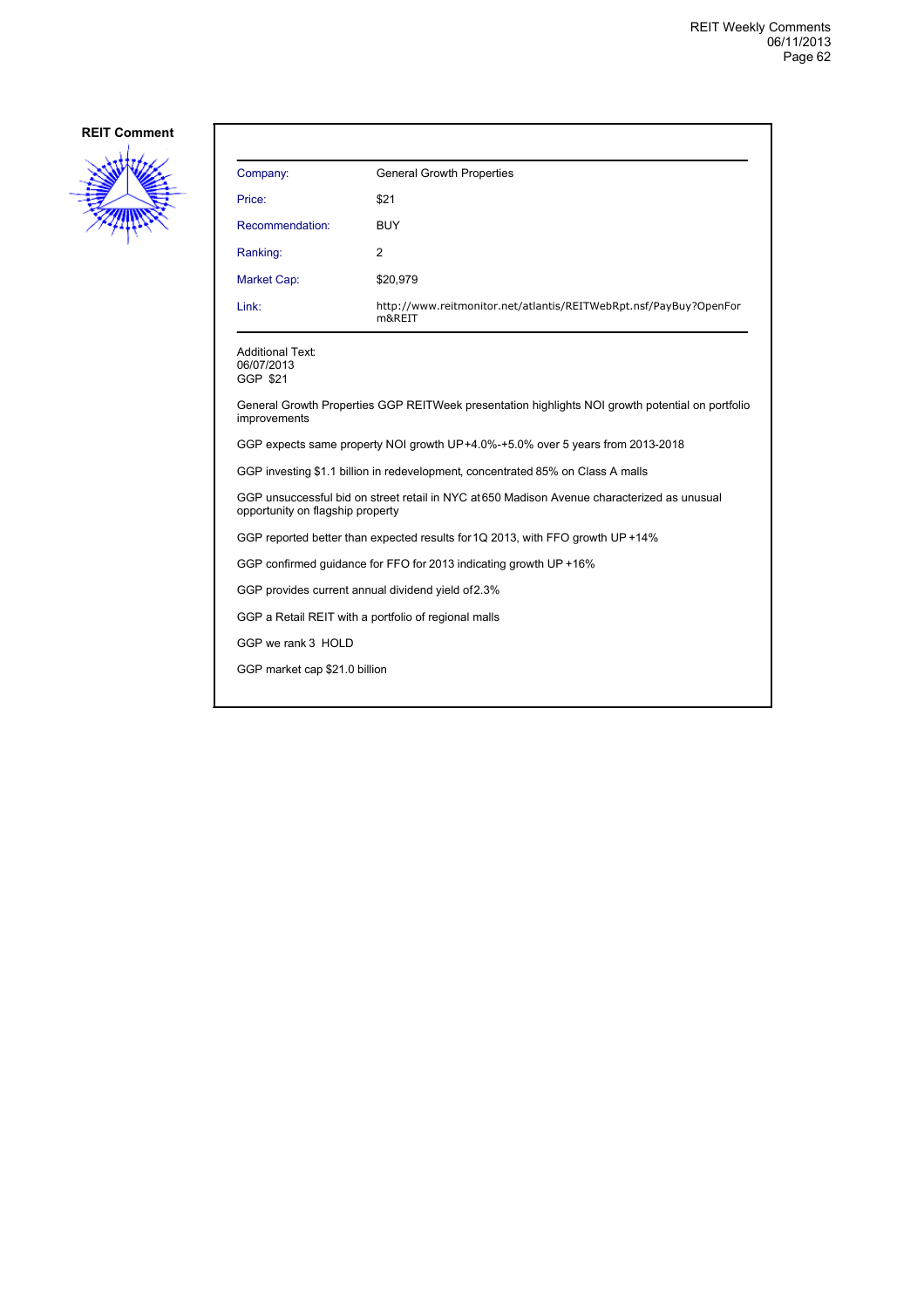

| Company:                                                                                                                        | <b>General Growth Properties</b>                                            |  |
|---------------------------------------------------------------------------------------------------------------------------------|-----------------------------------------------------------------------------|--|
| Price:                                                                                                                          | \$21                                                                        |  |
| Recommendation:                                                                                                                 | <b>BUY</b>                                                                  |  |
| Ranking:                                                                                                                        | 2                                                                           |  |
| Market Cap:                                                                                                                     | \$20,979                                                                    |  |
| Link:                                                                                                                           | http://www.reitmonitor.net/atlantis/REITWebRpt.nsf/PayBuy?OpenFor<br>m&REIT |  |
| <b>Additional Text:</b><br>06/07/2013<br>GGP \$21                                                                               |                                                                             |  |
| General Growth Properties GGP REITWeek presentation highlights NOI growth potential on portfolio<br>improvements                |                                                                             |  |
| GGP expects same property NOI growth UP+4.0%-+5.0% over 5 years from 2013-2018                                                  |                                                                             |  |
| GGP investing \$1.1 billion in redevelopment, concentrated 85% on Class A malls                                                 |                                                                             |  |
| GGP unsuccessful bid on street retail in NYC at 650 Madison Avenue characterized as unusual<br>opportunity on flagship property |                                                                             |  |
| GGP reported better than expected results for 1Q 2013, with FFO growth UP +14%                                                  |                                                                             |  |
| GGP confirmed guidance for FFO for 2013 indicating growth UP +16%                                                               |                                                                             |  |
| GGP provides current annual dividend yield of 2.3%                                                                              |                                                                             |  |
| GGP a Retail REIT with a portfolio of regional malls                                                                            |                                                                             |  |
| GGP we rank 3 HOLD                                                                                                              |                                                                             |  |
| GGP market cap \$21.0 billion                                                                                                   |                                                                             |  |
|                                                                                                                                 |                                                                             |  |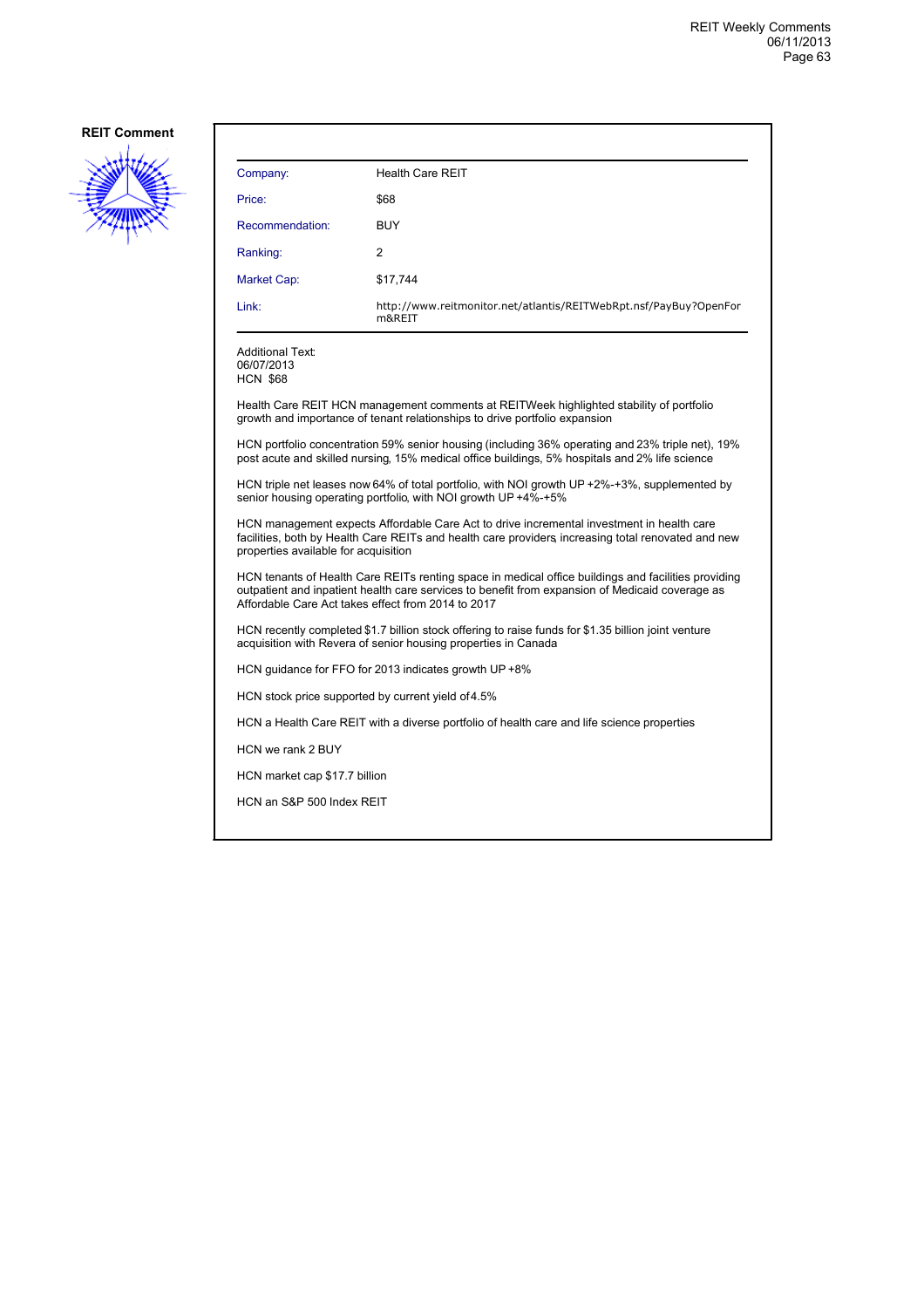

| Company:                                                                                                                                                                                                                                                     | <b>Health Care REIT</b>                                                     |  |
|--------------------------------------------------------------------------------------------------------------------------------------------------------------------------------------------------------------------------------------------------------------|-----------------------------------------------------------------------------|--|
| Price:                                                                                                                                                                                                                                                       | \$68                                                                        |  |
| Recommendation:                                                                                                                                                                                                                                              | <b>BUY</b>                                                                  |  |
| Ranking:                                                                                                                                                                                                                                                     | 2                                                                           |  |
| Market Cap:                                                                                                                                                                                                                                                  | \$17,744                                                                    |  |
| Link:                                                                                                                                                                                                                                                        | http://www.reitmonitor.net/atlantis/REITWebRpt.nsf/PayBuy?OpenFor<br>m&REIT |  |
| <b>Additional Text:</b><br>06/07/2013<br><b>HCN \$68</b>                                                                                                                                                                                                     |                                                                             |  |
| Health Care REIT HCN management comments at REITWeek highlighted stability of portfolio<br>growth and importance of tenant relationships to drive portfolio expansion                                                                                        |                                                                             |  |
| HCN portfolio concentration 59% senior housing (including 36% operating and 23% triple net), 19%<br>post acute and skilled nursing, 15% medical office buildings, 5% hospitals and 2% life science                                                           |                                                                             |  |
| HCN triple net leases now 64% of total portfolio, with NOI growth UP +2%-+3%, supplemented by<br>senior housing operating portfolio, with NOI growth UP +4%-+5%                                                                                              |                                                                             |  |
| HCN management expects Affordable Care Act to drive incremental investment in health care<br>facilities, both by Health Care REITs and health care providers increasing total renovated and new<br>properties available for acquisition                      |                                                                             |  |
| HCN tenants of Health Care REITs renting space in medical office buildings and facilities providing<br>outpatient and inpatient health care services to benefit from expansion of Medicaid coverage as<br>Affordable Care Act takes effect from 2014 to 2017 |                                                                             |  |
| HCN recently completed \$1.7 billion stock offering to raise funds for \$1.35 billion joint venture<br>acquisition with Revera of senior housing properties in Canada                                                                                        |                                                                             |  |

HCN guidance for FFO for 2013 indicates growth UP +8%

HCN stock price supported by current yield of 4.5%

HCN a Health Care REIT with a diverse portfolio of health care and life science properties

HCN we rank 2 BUY

HCN market cap \$17.7 billion

HCN an S&P 500 Index REIT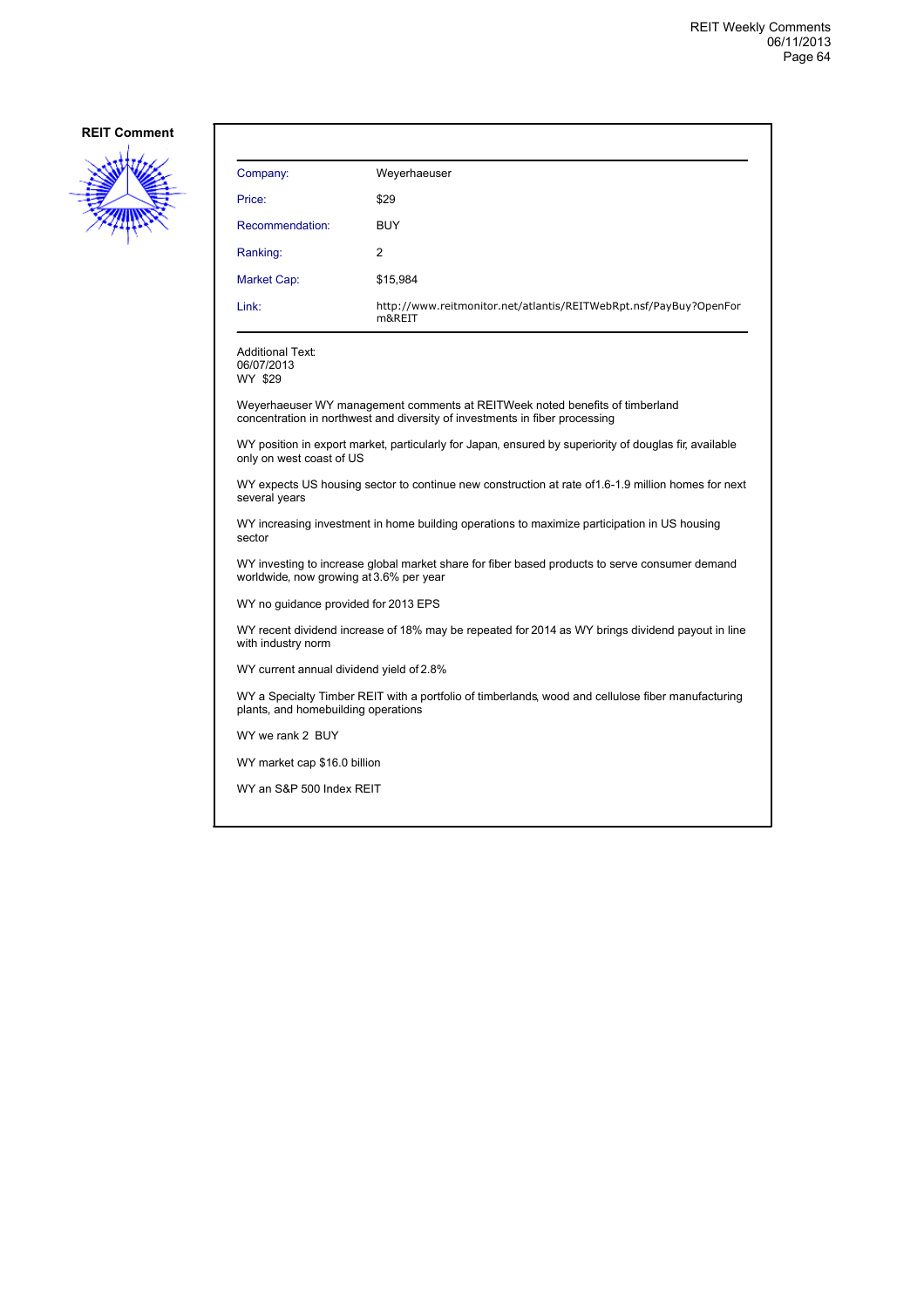

| Company:                                                                                                                                  | Weyerhaeuser                                                                                                                                                |  |
|-------------------------------------------------------------------------------------------------------------------------------------------|-------------------------------------------------------------------------------------------------------------------------------------------------------------|--|
| Price:                                                                                                                                    | \$29                                                                                                                                                        |  |
| Recommendation:                                                                                                                           | <b>BUY</b>                                                                                                                                                  |  |
| Ranking:                                                                                                                                  | 2                                                                                                                                                           |  |
| Market Cap:                                                                                                                               | \$15,984                                                                                                                                                    |  |
| Link:                                                                                                                                     | http://www.reitmonitor.net/atlantis/REITWebRpt.nsf/PayBuy?OpenFor<br>m&RFIT                                                                                 |  |
| <b>Additional Text:</b><br>06/07/2013<br>WY \$29                                                                                          |                                                                                                                                                             |  |
|                                                                                                                                           | Weyerhaeuser WY management comments at REITWeek noted benefits of timberland<br>concentration in northwest and diversity of investments in fiber processing |  |
| only on west coast of US                                                                                                                  | WY position in export market, particularly for Japan, ensured by superiority of douglas fir, available                                                      |  |
| WY expects US housing sector to continue new construction at rate of 1.6-1.9 million homes for next<br>several years                      |                                                                                                                                                             |  |
| WY increasing investment in home building operations to maximize participation in US housing<br>sector                                    |                                                                                                                                                             |  |
| WY investing to increase global market share for fiber based products to serve consumer demand<br>worldwide, now growing at 3.6% per year |                                                                                                                                                             |  |
| WY no guidance provided for 2013 EPS                                                                                                      |                                                                                                                                                             |  |
| WY recent dividend increase of 18% may be repeated for 2014 as WY brings dividend payout in line<br>with industry norm                    |                                                                                                                                                             |  |
| WY current annual dividend yield of 2.8%                                                                                                  |                                                                                                                                                             |  |
| WY a Specialty Timber REIT with a portfolio of timberlands, wood and cellulose fiber manufacturing<br>plants, and homebuilding operations |                                                                                                                                                             |  |
| WY we rank 2 BUY                                                                                                                          |                                                                                                                                                             |  |
| WY market cap \$16.0 billion                                                                                                              |                                                                                                                                                             |  |
| WY an S&P 500 Index REIT                                                                                                                  |                                                                                                                                                             |  |
|                                                                                                                                           |                                                                                                                                                             |  |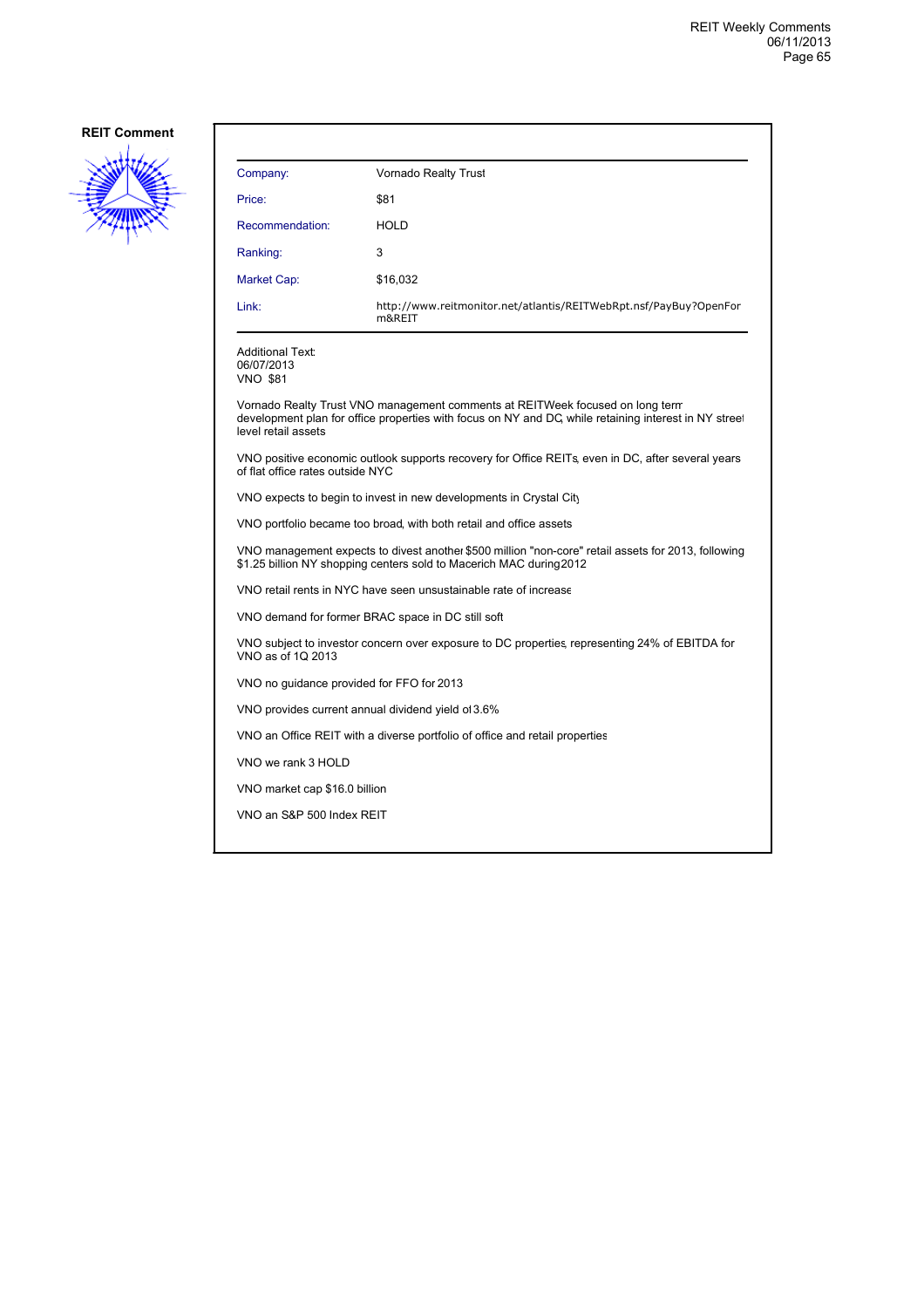

| Company:                                                                                                                                                                   | Vornado Realty Trust                                                                                                                                                                   |  |
|----------------------------------------------------------------------------------------------------------------------------------------------------------------------------|----------------------------------------------------------------------------------------------------------------------------------------------------------------------------------------|--|
| Price:                                                                                                                                                                     | \$81                                                                                                                                                                                   |  |
| Recommendation:                                                                                                                                                            | HOLD                                                                                                                                                                                   |  |
| Ranking:                                                                                                                                                                   | 3                                                                                                                                                                                      |  |
| Market Cap:                                                                                                                                                                | \$16,032                                                                                                                                                                               |  |
| Link:                                                                                                                                                                      | http://www.reitmonitor.net/atlantis/REITWebRpt.nsf/PayBuy?OpenFor<br>m&REIT                                                                                                            |  |
| <b>Additional Text:</b><br>06/07/2013<br><b>VNO \$81</b>                                                                                                                   |                                                                                                                                                                                        |  |
| level retail assets                                                                                                                                                        | Vornado Realty Trust VNO management comments at REITWeek focused on long term<br>development plan for office properties with focus on NY and DC, while retaining interest in NY street |  |
| VNO positive economic outlook supports recovery for Office REITs, even in DC, after several years<br>of flat office rates outside NYC                                      |                                                                                                                                                                                        |  |
| VNO expects to begin to invest in new developments in Crystal City                                                                                                         |                                                                                                                                                                                        |  |
| VNO portfolio became too broad, with both retail and office assets                                                                                                         |                                                                                                                                                                                        |  |
| VNO management expects to divest another \$500 million "non-core" retail assets for 2013, following<br>\$1.25 billion NY shopping centers sold to Macerich MAC during 2012 |                                                                                                                                                                                        |  |
| VNO retail rents in NYC have seen unsustainable rate of increase                                                                                                           |                                                                                                                                                                                        |  |
| VNO demand for former BRAC space in DC still soft                                                                                                                          |                                                                                                                                                                                        |  |
| VNO subject to investor concern over exposure to DC properties, representing 24% of EBITDA for<br>VNO as of 1Q 2013                                                        |                                                                                                                                                                                        |  |
| VNO no guidance provided for FFO for 2013                                                                                                                                  |                                                                                                                                                                                        |  |
| VNO provides current annual dividend yield of 3.6%                                                                                                                         |                                                                                                                                                                                        |  |
| VNO an Office REIT with a diverse portfolio of office and retail properties                                                                                                |                                                                                                                                                                                        |  |
| VNO we rank 3 HOLD                                                                                                                                                         |                                                                                                                                                                                        |  |
| VNO market cap \$16.0 billion                                                                                                                                              |                                                                                                                                                                                        |  |
| VNO an S&P 500 Index REIT                                                                                                                                                  |                                                                                                                                                                                        |  |
|                                                                                                                                                                            |                                                                                                                                                                                        |  |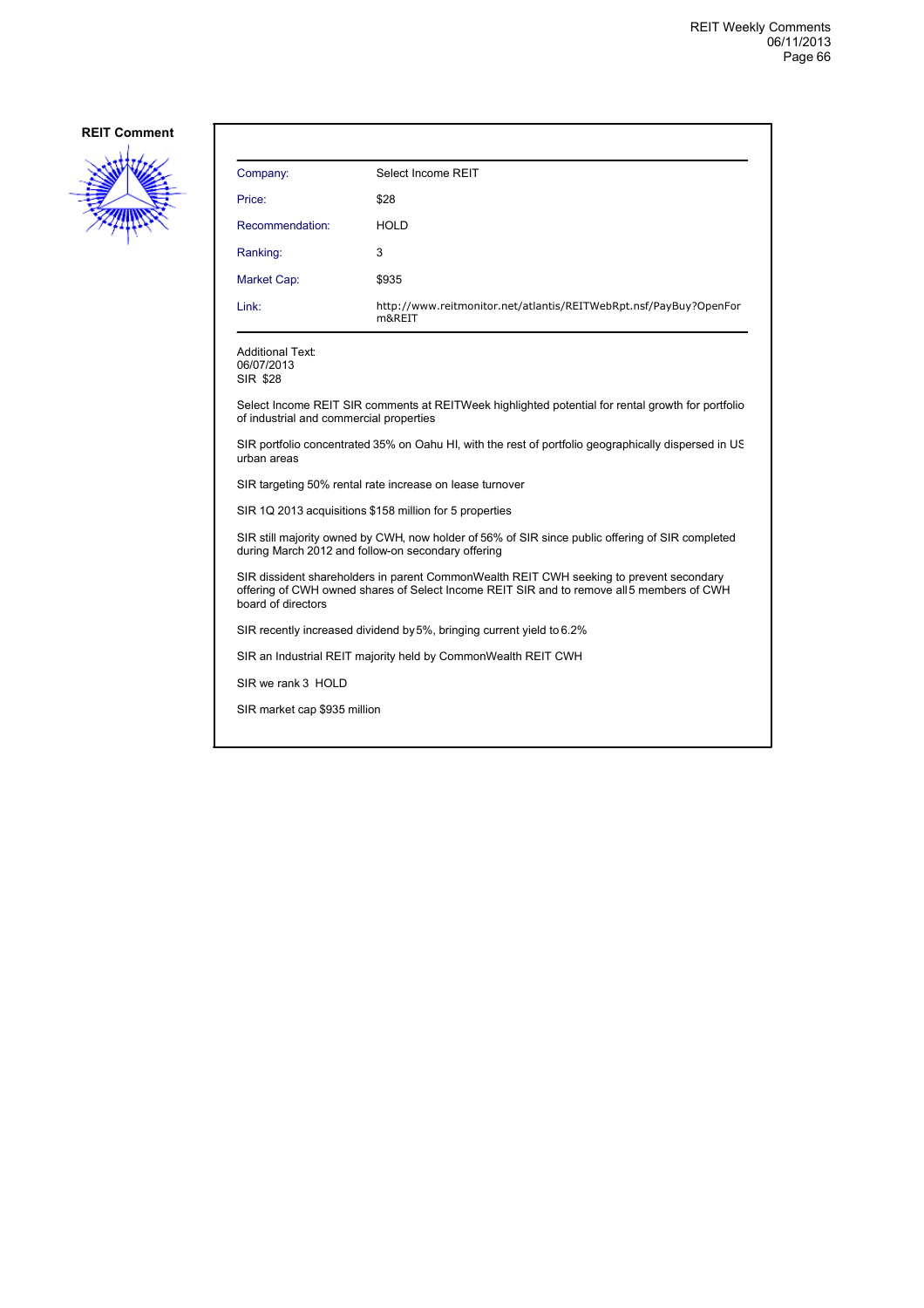

| Company:           | Select Income REIT                                                          |
|--------------------|-----------------------------------------------------------------------------|
| Price:             | \$28                                                                        |
| Recommendation:    | <b>HOLD</b>                                                                 |
| Ranking:           | 3                                                                           |
| <b>Market Cap:</b> | \$935                                                                       |
| Link:              | http://www.reitmonitor.net/atlantis/REITWebRpt.nsf/PayBuy?OpenFor<br>m&REIT |

Additional Text: 06/07/2013 SIR \$28

Select Income REIT SIR comments at REITWeek highlighted potential for rental growth for portfolio of industrial and commercial properties

SIR portfolio concentrated 35% on Oahu HI, with the rest of portfolio geographically dispersed in US urban areas

SIR targeting 50% rental rate increase on lease turnover

SIR 1Q 2013 acquisitions \$158 million for 5 properties

SIR still majority owned by CWH, now holder of 56% of SIR since public offering of SIR completed during March 2012 and follow-on secondary offering

SIR dissident shareholders in parent CommonWealth REIT CWH seeking to prevent secondary offering of CWH owned shares of Select Income REIT SIR and to remove all 5 members of CWH board of directors

SIR recently increased dividend by 5%, bringing current yield to 6.2%

SIR an Industrial REIT majority held by CommonWealth REIT CWH

SIR we rank 3 HOLD

SIR market cap \$935 million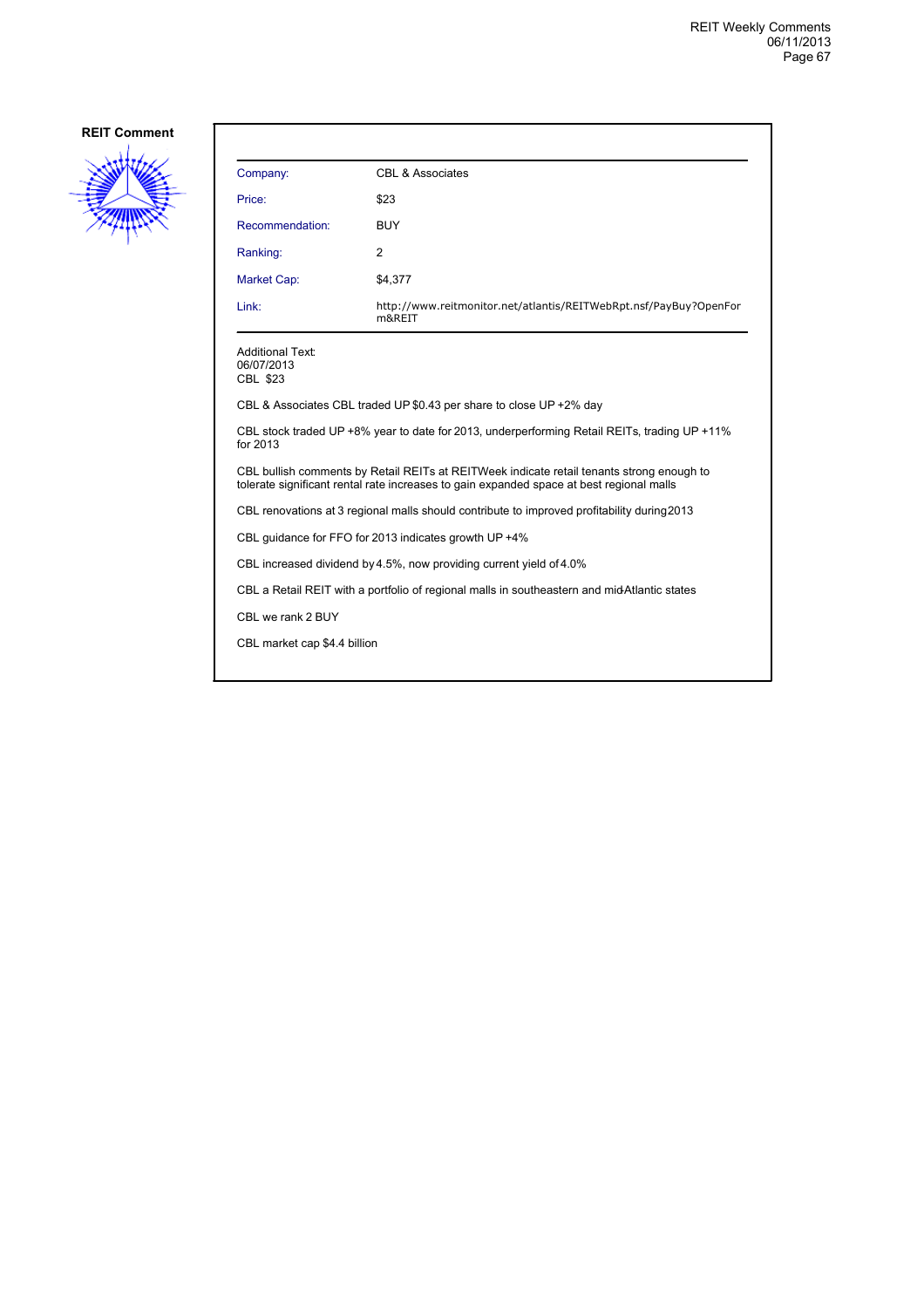

| Company:                                                                                                                                                                              | CBL & Associates                                                            |  |
|---------------------------------------------------------------------------------------------------------------------------------------------------------------------------------------|-----------------------------------------------------------------------------|--|
| Price:                                                                                                                                                                                | \$23                                                                        |  |
| Recommendation:                                                                                                                                                                       | <b>BUY</b>                                                                  |  |
| Ranking:                                                                                                                                                                              | 2                                                                           |  |
| Market Cap:                                                                                                                                                                           | \$4,377                                                                     |  |
| Link:                                                                                                                                                                                 | http://www.reitmonitor.net/atlantis/REITWebRpt.nsf/PayBuy?OpenFor<br>m&REIT |  |
| <b>Additional Text:</b><br>06/07/2013<br>CBL \$23                                                                                                                                     |                                                                             |  |
| CBL & Associates CBL traded UP \$0.43 per share to close UP +2% day                                                                                                                   |                                                                             |  |
| CBL stock traded UP +8% year to date for 2013, underperforming Retail REITs, trading UP +11%<br>for 2013                                                                              |                                                                             |  |
| CBL bullish comments by Retail REITs at REITWeek indicate retail tenants strong enough to<br>tolerate significant rental rate increases to gain expanded space at best regional malls |                                                                             |  |
| CBL renovations at 3 regional malls should contribute to improved profitability during 2013                                                                                           |                                                                             |  |
| CBL quidance for FFO for 2013 indicates growth UP +4%                                                                                                                                 |                                                                             |  |
| CBL increased dividend by 4.5%, now providing current yield of 4.0%                                                                                                                   |                                                                             |  |
| CBL a Retail REIT with a portfolio of regional malls in southeastern and midAtlantic states                                                                                           |                                                                             |  |
| CBL we rank 2 BUY                                                                                                                                                                     |                                                                             |  |
| CBL market cap \$4.4 billion                                                                                                                                                          |                                                                             |  |
|                                                                                                                                                                                       |                                                                             |  |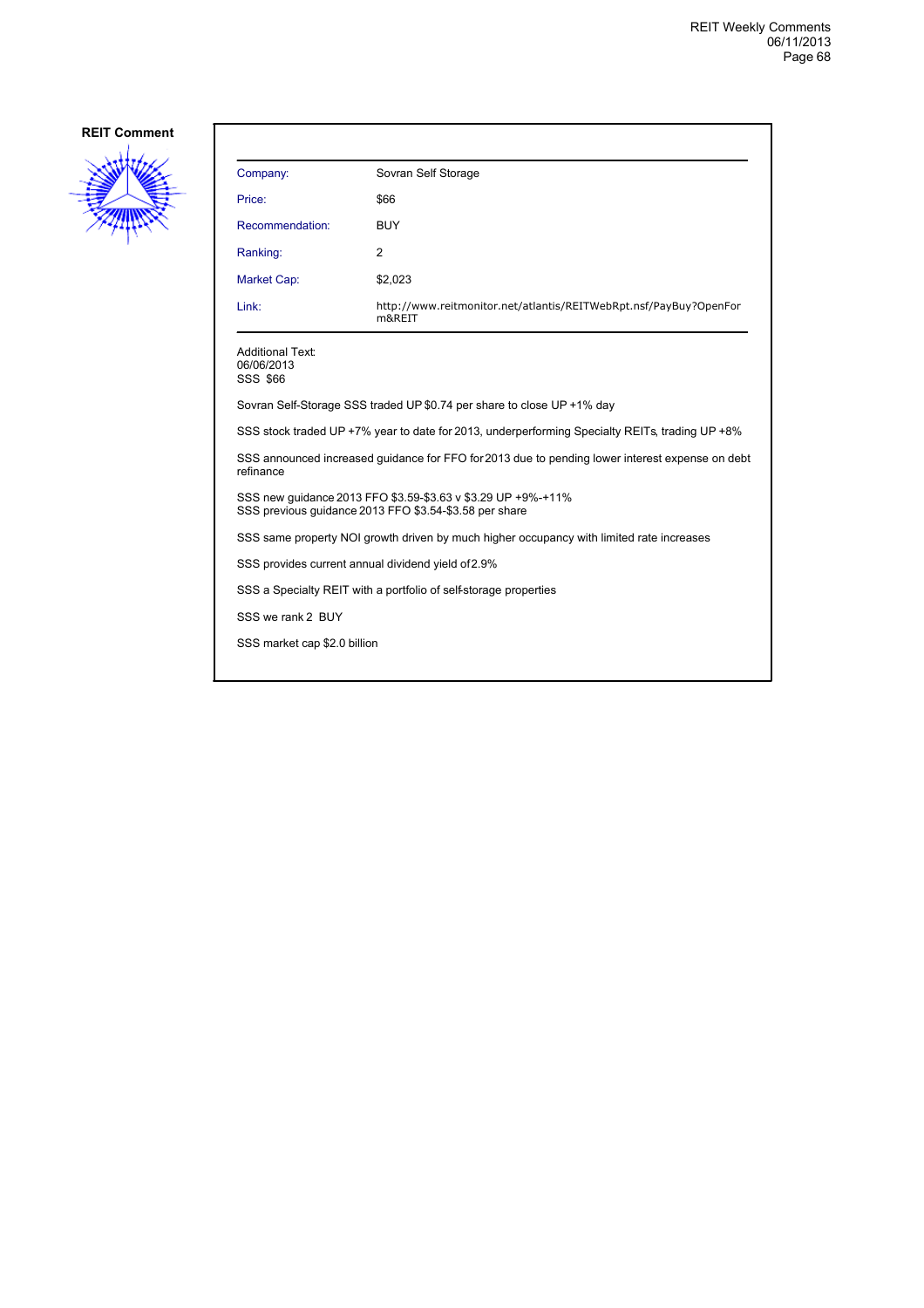

| Company:                                                                                                               | Sovran Self Storage                                                         |  |
|------------------------------------------------------------------------------------------------------------------------|-----------------------------------------------------------------------------|--|
| Price:                                                                                                                 | \$66                                                                        |  |
| Recommendation:                                                                                                        | <b>BUY</b>                                                                  |  |
| Ranking:                                                                                                               | 2                                                                           |  |
| <b>Market Cap:</b>                                                                                                     | \$2,023                                                                     |  |
| Link:                                                                                                                  | http://www.reitmonitor.net/atlantis/REITWebRpt.nsf/PayBuy?OpenFor<br>m&REIT |  |
| <b>Additional Text:</b><br>06/06/2013<br><b>SSS \$66</b>                                                               |                                                                             |  |
| Sovran Self-Storage SSS traded UP \$0.74 per share to close UP +1% day                                                 |                                                                             |  |
| SSS stock traded UP +7% year to date for 2013, underperforming Specialty REITs, trading UP +8%                         |                                                                             |  |
| SSS announced increased quidance for FFO for 2013 due to pending lower interest expense on debt<br>refinance           |                                                                             |  |
| SSS new quidance 2013 FFO \$3.59-\$3.63 v \$3.29 UP +9%-+11%<br>SSS previous guidance 2013 FFO \$3.54-\$3.58 per share |                                                                             |  |
| SSS same property NOI growth driven by much higher occupancy with limited rate increases                               |                                                                             |  |
| SSS provides current annual dividend yield of 2.9%                                                                     |                                                                             |  |
| SSS a Specialty REIT with a portfolio of self-storage properties                                                       |                                                                             |  |
| SSS we rank 2 BUY                                                                                                      |                                                                             |  |
| SSS market cap \$2.0 billion                                                                                           |                                                                             |  |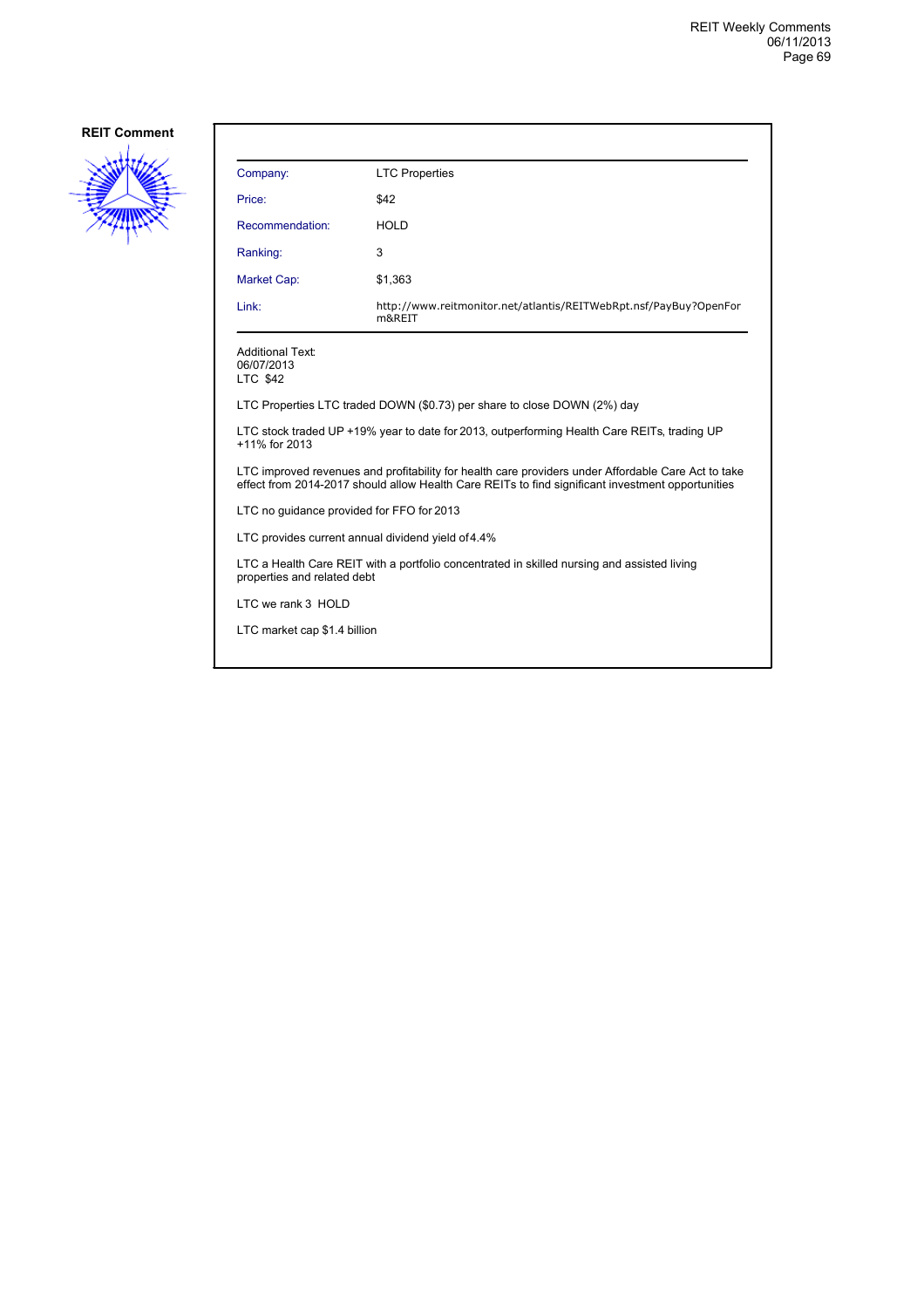

| Company:                                                                                                                                                                                                 | <b>LTC Properties</b>                                                       |  |
|----------------------------------------------------------------------------------------------------------------------------------------------------------------------------------------------------------|-----------------------------------------------------------------------------|--|
| Price:                                                                                                                                                                                                   | \$42                                                                        |  |
| Recommendation:                                                                                                                                                                                          | <b>HOLD</b>                                                                 |  |
| Ranking:                                                                                                                                                                                                 | 3                                                                           |  |
| Market Cap:                                                                                                                                                                                              | \$1,363                                                                     |  |
| Link:                                                                                                                                                                                                    | http://www.reitmonitor.net/atlantis/REITWebRpt.nsf/PayBuy?OpenFor<br>m&REIT |  |
| <b>Additional Text:</b><br>06/07/2013<br>LTC \$42                                                                                                                                                        |                                                                             |  |
| LTC Properties LTC traded DOWN (\$0.73) per share to close DOWN (2%) day                                                                                                                                 |                                                                             |  |
| LTC stock traded UP +19% year to date for 2013, outperforming Health Care REITs, trading UP<br>+11% for 2013                                                                                             |                                                                             |  |
| LTC improved revenues and profitability for health care providers under Affordable Care Act to take<br>effect from 2014-2017 should allow Health Care REITs to find significant investment opportunities |                                                                             |  |
| LTC no quidance provided for FFO for 2013                                                                                                                                                                |                                                                             |  |
| LTC provides current annual dividend yield of 4.4%                                                                                                                                                       |                                                                             |  |
| LTC a Health Care REIT with a portfolio concentrated in skilled nursing and assisted living<br>properties and related debt                                                                               |                                                                             |  |
| LTC we rank 3 HOLD                                                                                                                                                                                       |                                                                             |  |
| LTC market cap \$1.4 billion                                                                                                                                                                             |                                                                             |  |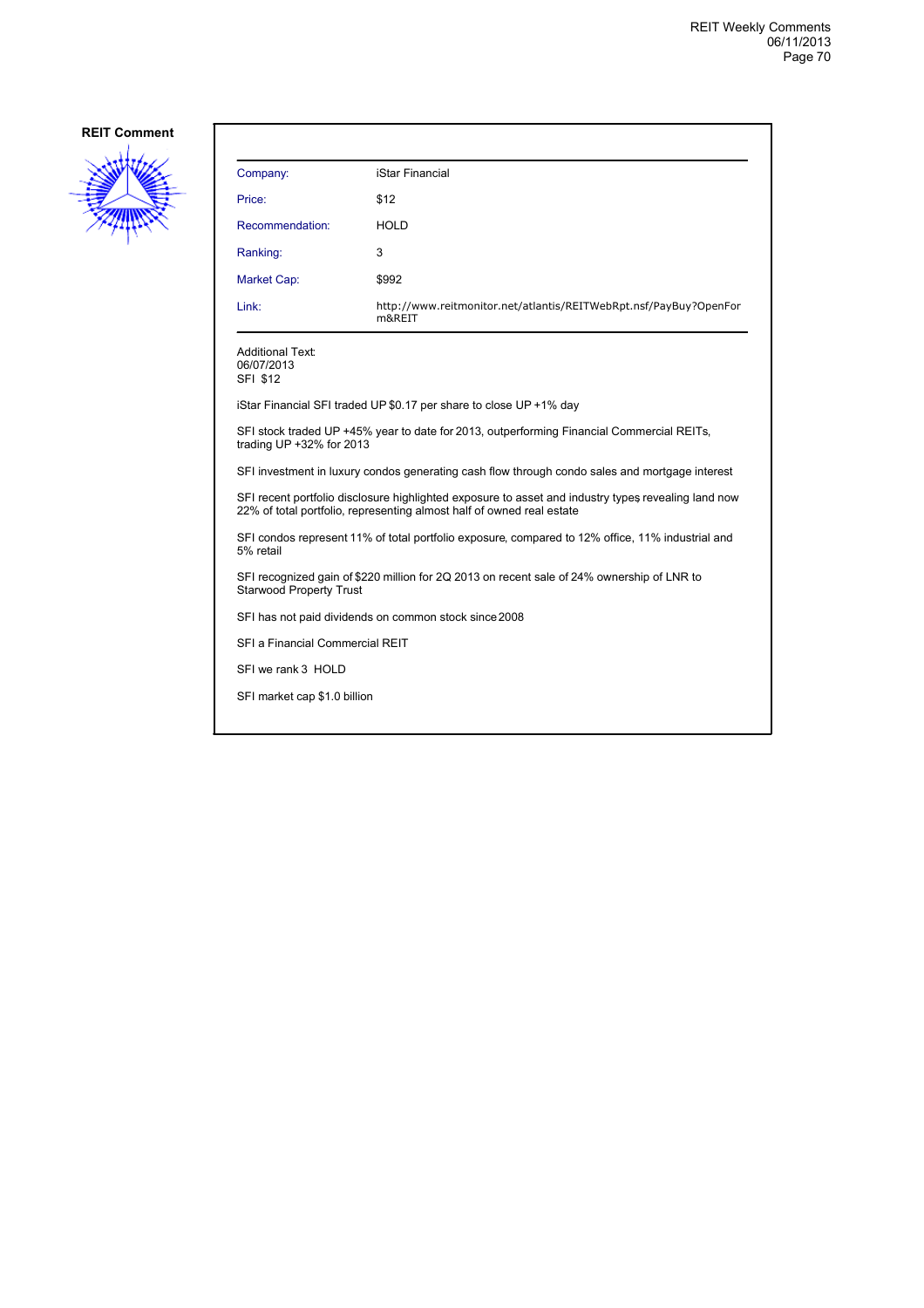

| Company:                                                                                                                                                                     | iStar Financial                                                                                  |  |
|------------------------------------------------------------------------------------------------------------------------------------------------------------------------------|--------------------------------------------------------------------------------------------------|--|
| Price:                                                                                                                                                                       | \$12                                                                                             |  |
| Recommendation:                                                                                                                                                              | HOLD                                                                                             |  |
| Ranking:                                                                                                                                                                     | 3                                                                                                |  |
| <b>Market Cap:</b>                                                                                                                                                           | \$992                                                                                            |  |
| Link:                                                                                                                                                                        | http://www.reitmonitor.net/atlantis/REITWebRpt.nsf/PayBuy?OpenFor<br>m&REIT                      |  |
| <b>Additional Text:</b><br>06/07/2013<br>SFI \$12                                                                                                                            |                                                                                                  |  |
|                                                                                                                                                                              | iStar Financial SFI traded UP \$0.17 per share to close UP +1% day                               |  |
| trading UP +32% for 2013                                                                                                                                                     | SFI stock traded UP +45% year to date for 2013, outperforming Financial Commercial REITs,        |  |
| SFI investment in luxury condos generating cash flow through condo sales and mortgage interest                                                                               |                                                                                                  |  |
| SFI recent portfolio disclosure highlighted exposure to asset and industry types revealing land now<br>22% of total portfolio, representing almost half of owned real estate |                                                                                                  |  |
| 5% retail                                                                                                                                                                    | SFI condos represent 11% of total portfolio exposure, compared to 12% office, 11% industrial and |  |
| <b>Starwood Property Trust</b>                                                                                                                                               | SFI recognized gain of \$220 million for 2Q 2013 on recent sale of 24% ownership of LNR to       |  |
| SFI has not paid dividends on common stock since 2008                                                                                                                        |                                                                                                  |  |
| SFI a Financial Commercial REIT                                                                                                                                              |                                                                                                  |  |
| SFI we rank 3 HOLD                                                                                                                                                           |                                                                                                  |  |
| SFI market cap \$1.0 billion                                                                                                                                                 |                                                                                                  |  |